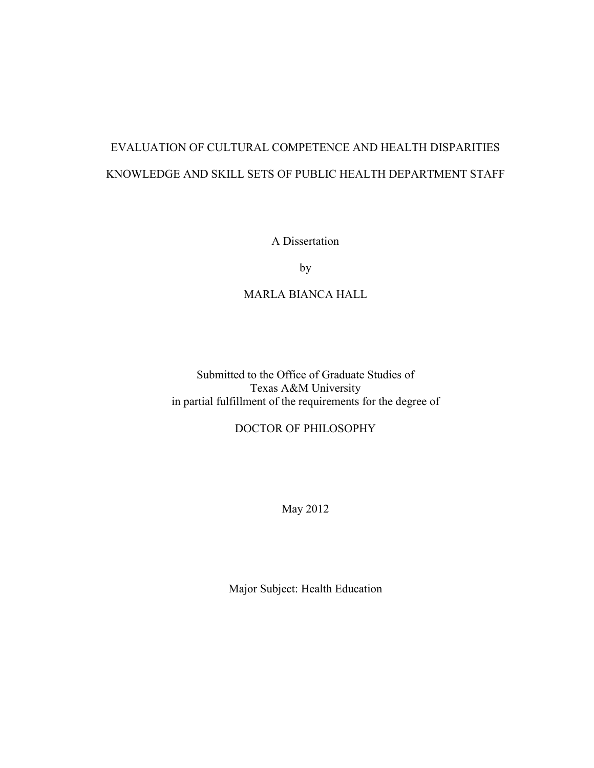## EVALUATION OF CULTURAL COMPETENCE AND HEALTH DISPARITIES KNOWLEDGE AND SKILL SETS OF PUBLIC HEALTH DEPARTMENT STAFF

A Dissertation

by

### MARLA BIANCA HALL

Submitted to the Office of Graduate Studies of Texas A&M University in partial fulfillment of the requirements for the degree of

## DOCTOR OF PHILOSOPHY

May 2012

Major Subject: Health Education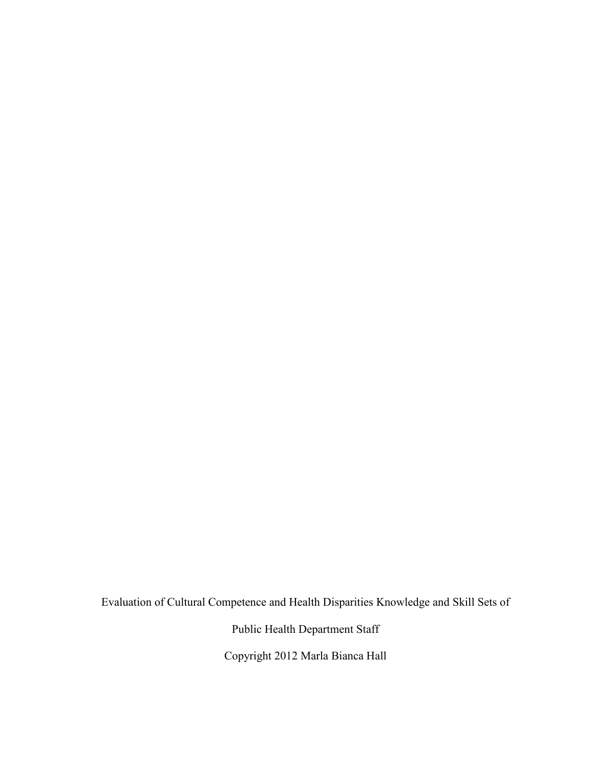Evaluation of Cultural Competence and Health Disparities Knowledge and Skill Sets of

Public Health Department Staff

Copyright 2012 Marla Bianca Hall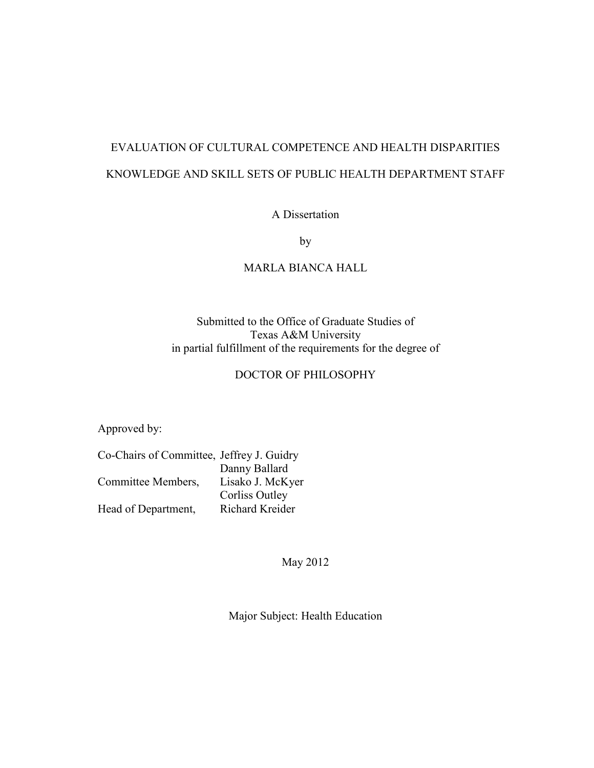## EVALUATION OF CULTURAL COMPETENCE AND HEALTH DISPARITIES KNOWLEDGE AND SKILL SETS OF PUBLIC HEALTH DEPARTMENT STAFF

A Dissertation

by

## MARLA BIANCA HALL

## Submitted to the Office of Graduate Studies of Texas A&M University in partial fulfillment of the requirements for the degree of

## DOCTOR OF PHILOSOPHY

Approved by:

| Co-Chairs of Committee, Jeffrey J. Guidry |
|-------------------------------------------|
| Danny Ballard                             |
| Lisako J. McKyer                          |
| Corliss Outley                            |
| Richard Kreider                           |
|                                           |

May 2012

Major Subject: Health Education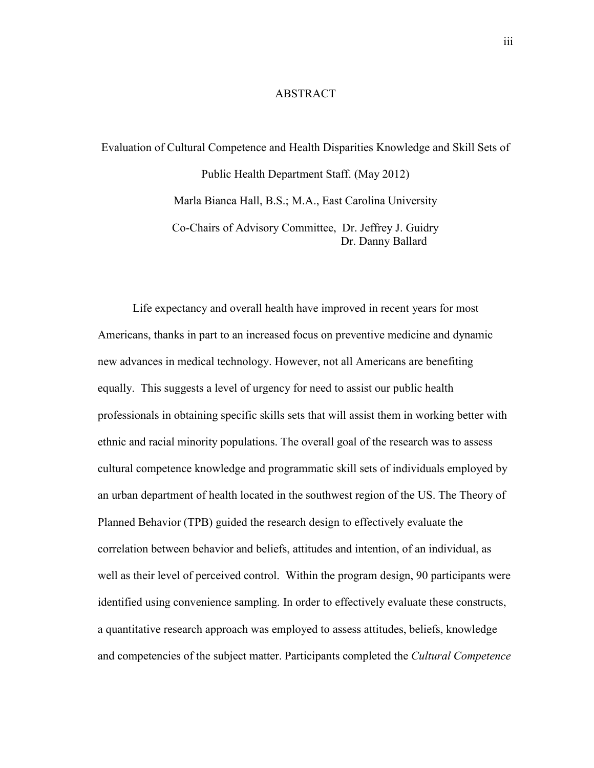### ABSTRACT

# Evaluation of Cultural Competence and Health Disparities Knowledge and Skill Sets of Public Health Department Staff. (May 2012) Marla Bianca Hall, B.S.; M.A., East Carolina University Co-Chairs of Advisory Committee, Dr. Jeffrey J. Guidry

Dr. Danny Ballard

 Life expectancy and overall health have improved in recent years for most Americans, thanks in part to an increased focus on preventive medicine and dynamic new advances in medical technology. However, not all Americans are benefiting equally. This suggests a level of urgency for need to assist our public health professionals in obtaining specific skills sets that will assist them in working better with ethnic and racial minority populations. The overall goal of the research was to assess cultural competence knowledge and programmatic skill sets of individuals employed by an urban department of health located in the southwest region of the US. The Theory of Planned Behavior (TPB) guided the research design to effectively evaluate the correlation between behavior and beliefs, attitudes and intention, of an individual, as well as their level of perceived control. Within the program design, 90 participants were identified using convenience sampling. In order to effectively evaluate these constructs, a quantitative research approach was employed to assess attitudes, beliefs, knowledge and competencies of the subject matter. Participants completed the *Cultural Competence*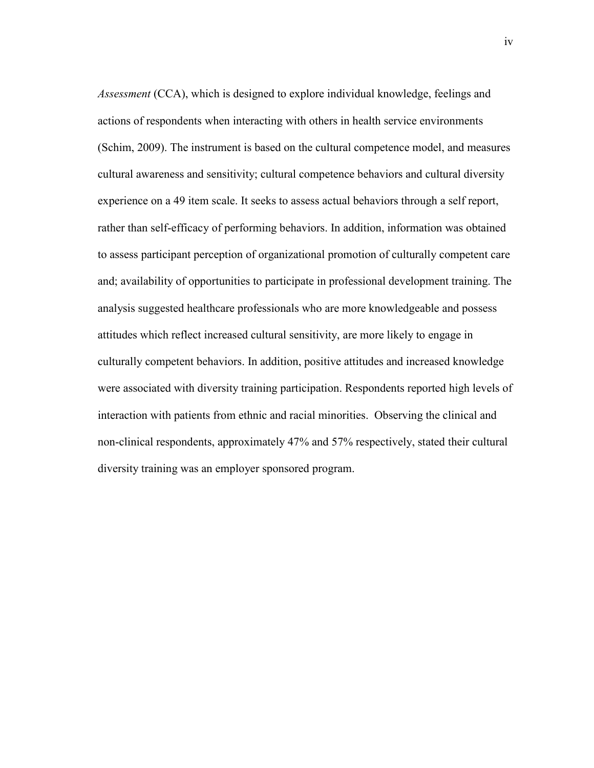*Assessment* (CCA), which is designed to explore individual knowledge, feelings and actions of respondents when interacting with others in health service environments (Schim, 2009). The instrument is based on the cultural competence model, and measures cultural awareness and sensitivity; cultural competence behaviors and cultural diversity experience on a 49 item scale. It seeks to assess actual behaviors through a self report, rather than self-efficacy of performing behaviors. In addition, information was obtained to assess participant perception of organizational promotion of culturally competent care and; availability of opportunities to participate in professional development training. The analysis suggested healthcare professionals who are more knowledgeable and possess attitudes which reflect increased cultural sensitivity, are more likely to engage in culturally competent behaviors. In addition, positive attitudes and increased knowledge were associated with diversity training participation. Respondents reported high levels of interaction with patients from ethnic and racial minorities. Observing the clinical and non-clinical respondents, approximately 47% and 57% respectively, stated their cultural diversity training was an employer sponsored program.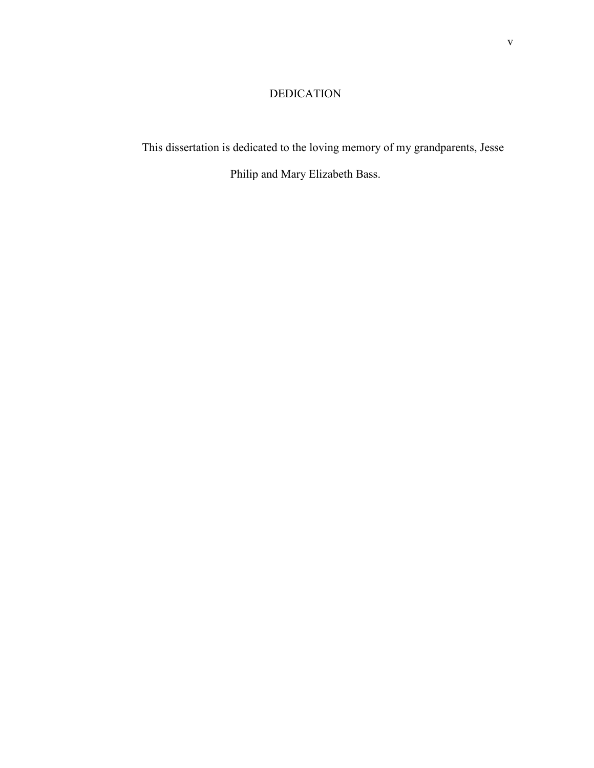## DEDICATION

This dissertation is dedicated to the loving memory of my grandparents, Jesse

Philip and Mary Elizabeth Bass.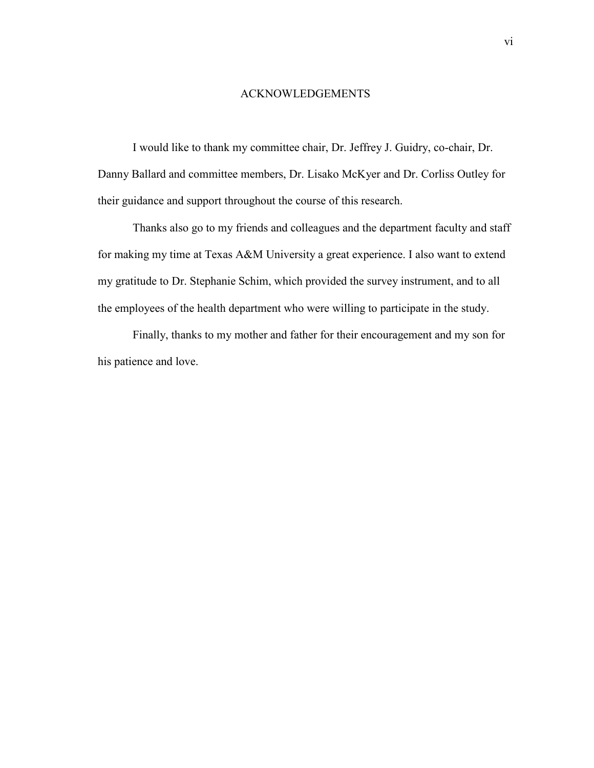### ACKNOWLEDGEMENTS

I would like to thank my committee chair, Dr. Jeffrey J. Guidry, co-chair, Dr. Danny Ballard and committee members, Dr. Lisako McKyer and Dr. Corliss Outley for their guidance and support throughout the course of this research.

Thanks also go to my friends and colleagues and the department faculty and staff for making my time at Texas A&M University a great experience. I also want to extend my gratitude to Dr. Stephanie Schim, which provided the survey instrument, and to all the employees of the health department who were willing to participate in the study.

Finally, thanks to my mother and father for their encouragement and my son for his patience and love.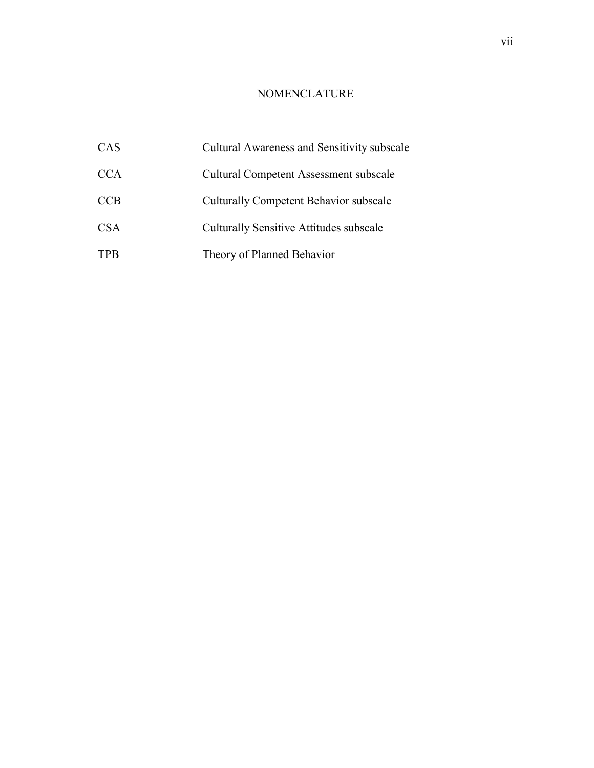## NOMENCLATURE

| <b>CAS</b> | Cultural Awareness and Sensitivity subscale    |
|------------|------------------------------------------------|
| <b>CCA</b> | <b>Cultural Competent Assessment subscale</b>  |
| <b>CCB</b> | <b>Culturally Competent Behavior subscale</b>  |
| <b>CSA</b> | <b>Culturally Sensitive Attitudes subscale</b> |
| <b>TPB</b> | Theory of Planned Behavior                     |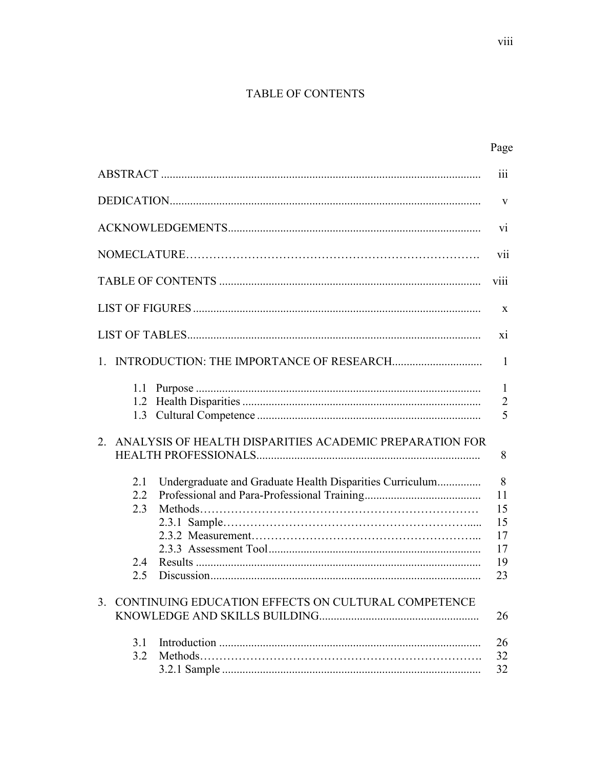## TABLE OF CONTENTS

|                                 |                                                                                                                    | $\overline{\text{iii}}$                     |
|---------------------------------|--------------------------------------------------------------------------------------------------------------------|---------------------------------------------|
|                                 |                                                                                                                    | V                                           |
|                                 |                                                                                                                    | V <sub>1</sub>                              |
|                                 |                                                                                                                    | V11                                         |
|                                 |                                                                                                                    | viii                                        |
|                                 |                                                                                                                    | $\mathbf{X}$                                |
|                                 |                                                                                                                    | xi                                          |
|                                 |                                                                                                                    | $\mathbf{1}$                                |
|                                 | 2. ANALYSIS OF HEALTH DISPARITIES ACADEMIC PREPARATION FOR                                                         | $\mathbf{1}$<br>$\overline{2}$<br>5<br>8    |
| 2.1<br>2.2<br>2.3<br>2.4<br>2.5 | Undergraduate and Graduate Health Disparities Curriculum<br>3. CONTINUING EDUCATION EFFECTS ON CULTURAL COMPETENCE | 8<br>11<br>15<br>15<br>17<br>17<br>19<br>23 |
|                                 |                                                                                                                    | 26                                          |
| 3.1<br>3.2                      |                                                                                                                    | 26<br>32<br>32                              |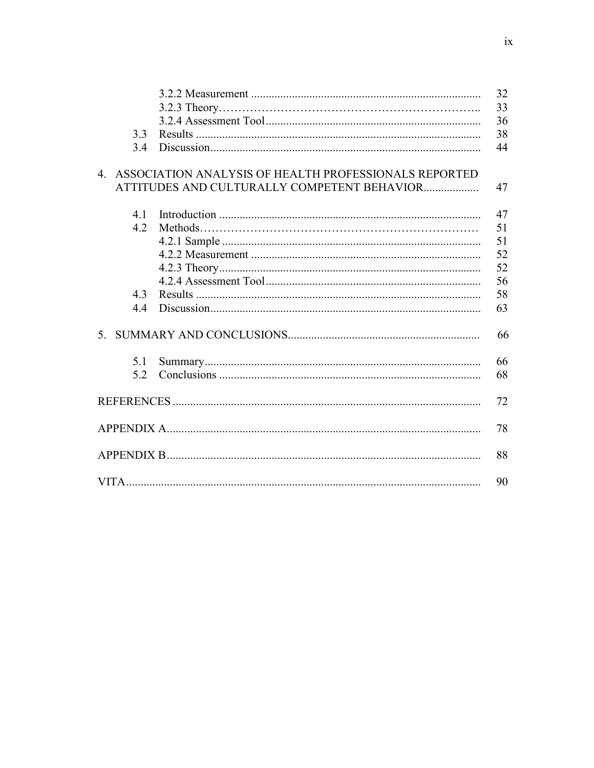|     |                                                          | 32 |
|-----|----------------------------------------------------------|----|
|     |                                                          | 33 |
|     |                                                          | 36 |
| 3.3 |                                                          | 38 |
| 3.4 |                                                          | 44 |
|     | 4. ASSOCIATION ANALYSIS OF HEALTH PROFESSIONALS REPORTED |    |
|     | ATTITUDES AND CULTURALLY COMPETENT BEHAVIOR              | 47 |
| 41  |                                                          | 47 |
| 4.2 |                                                          | 51 |
|     |                                                          | 51 |
|     |                                                          | 52 |
|     |                                                          | 52 |
|     |                                                          | 56 |
| 4.3 |                                                          | 58 |
| 4.4 |                                                          | 63 |
|     |                                                          | 66 |
| 5.1 |                                                          | 66 |
| 5.2 |                                                          | 68 |
|     |                                                          | 72 |
|     |                                                          | 78 |
|     |                                                          | 88 |
|     |                                                          | 90 |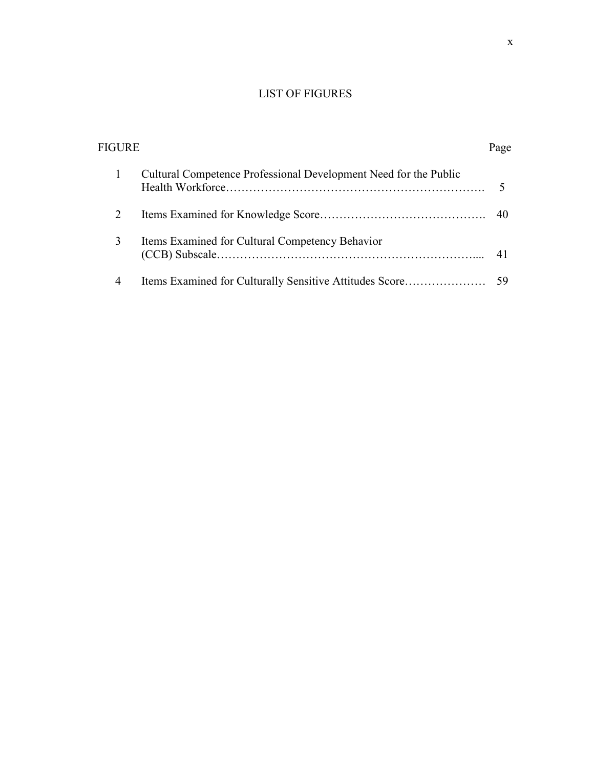## LIST OF FIGURES

| FIGURE |                                                                  | Page |
|--------|------------------------------------------------------------------|------|
|        | Cultural Competence Professional Development Need for the Public |      |
| 2      |                                                                  | - 40 |
| 3      | Items Examined for Cultural Competency Behavior                  |      |
| 4      |                                                                  |      |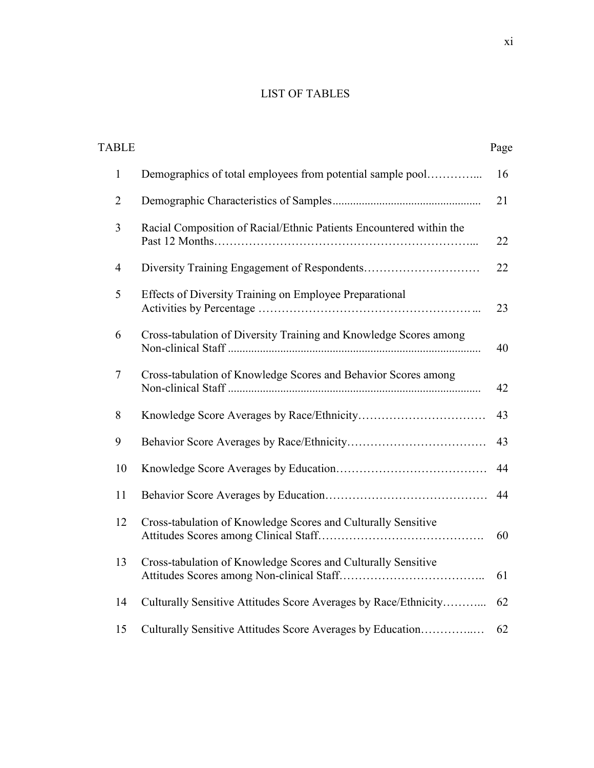## LIST OF TABLES

| <b>TABLE</b>   |                                                                     | Page |
|----------------|---------------------------------------------------------------------|------|
| $\mathbf{1}$   | Demographics of total employees from potential sample pool          | 16   |
| $\overline{2}$ |                                                                     | 21   |
| $\overline{3}$ | Racial Composition of Racial/Ethnic Patients Encountered within the | 22   |
| $\overline{4}$ |                                                                     | 22   |
| 5              | Effects of Diversity Training on Employee Preparational             | 23   |
| 6              | Cross-tabulation of Diversity Training and Knowledge Scores among   | 40   |
| 7              | Cross-tabulation of Knowledge Scores and Behavior Scores among      | 42   |
| 8              |                                                                     | 43   |
| 9              |                                                                     | 43   |
| 10             |                                                                     | 44   |
| 11             |                                                                     | 44   |
| 12             | Cross-tabulation of Knowledge Scores and Culturally Sensitive       | 60   |
| 13             | Cross-tabulation of Knowledge Scores and Culturally Sensitive       | 61   |
| 14             | Culturally Sensitive Attitudes Score Averages by Race/Ethnicity     | 62   |
| 15             | Culturally Sensitive Attitudes Score Averages by Education          | 62   |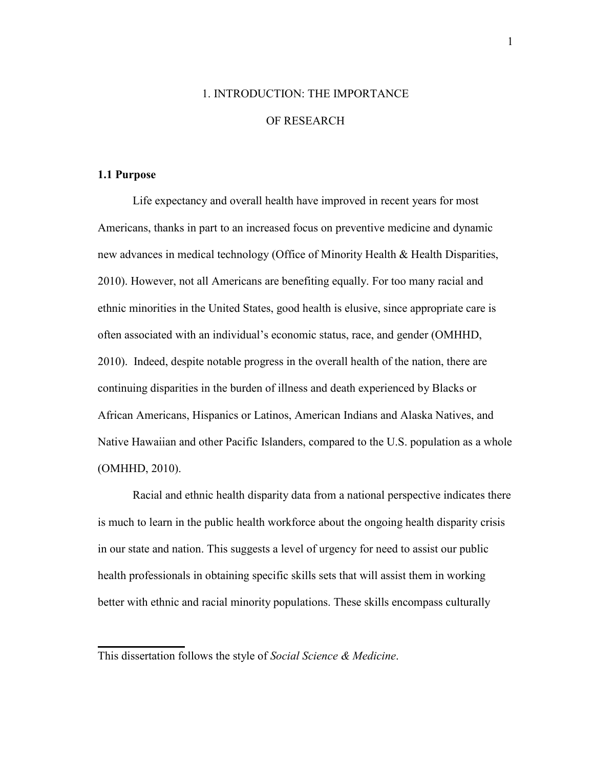## 1. INTRODUCTION: THE IMPORTANCE OF RESEARCH

### **1.1 Purpose**

Life expectancy and overall health have improved in recent years for most Americans, thanks in part to an increased focus on preventive medicine and dynamic new advances in medical technology (Office of Minority Health & Health Disparities, 2010). However, not all Americans are benefiting equally. For too many racial and ethnic minorities in the United States, good health is elusive, since appropriate care is often associated with an individual's economic status, race, and gender (OMHHD, 2010). Indeed, despite notable progress in the overall health of the nation, there are continuing disparities in the burden of illness and death experienced by Blacks or African Americans, Hispanics or Latinos, American Indians and Alaska Natives, and Native Hawaiian and other Pacific Islanders, compared to the U.S. population as a whole (OMHHD, 2010).

Racial and ethnic health disparity data from a national perspective indicates there is much to learn in the public health workforce about the ongoing health disparity crisis in our state and nation. This suggests a level of urgency for need to assist our public health professionals in obtaining specific skills sets that will assist them in working better with ethnic and racial minority populations. These skills encompass culturally

This dissertation follows the style of *Social Science & Medicine*.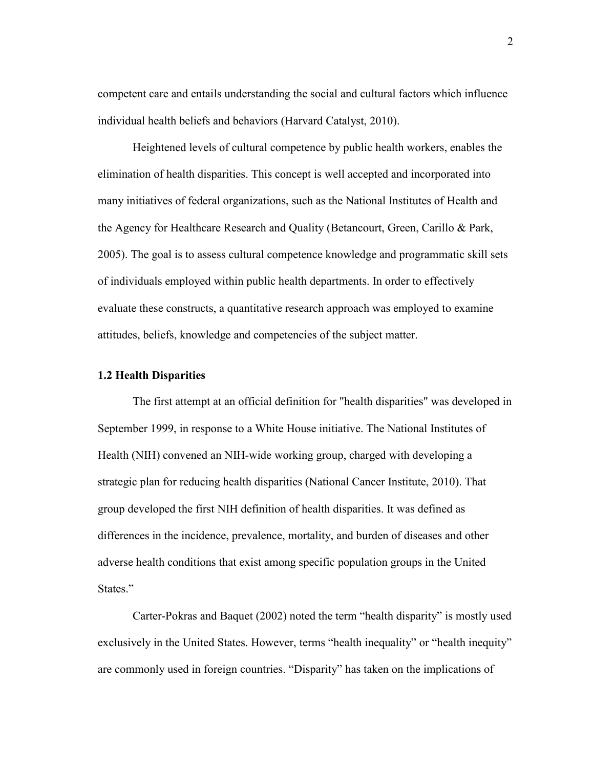competent care and entails understanding the social and cultural factors which influence individual health beliefs and behaviors (Harvard Catalyst, 2010).

 Heightened levels of cultural competence by public health workers, enables the elimination of health disparities. This concept is well accepted and incorporated into many initiatives of federal organizations, such as the National Institutes of Health and the Agency for Healthcare Research and Quality (Betancourt, Green, Carillo & Park, 2005). The goal is to assess cultural competence knowledge and programmatic skill sets of individuals employed within public health departments. In order to effectively evaluate these constructs, a quantitative research approach was employed to examine attitudes, beliefs, knowledge and competencies of the subject matter.

### **1.2 Health Disparities**

The first attempt at an official definition for "health disparities" was developed in September 1999, in response to a White House initiative. The National Institutes of Health (NIH) convened an NIH-wide working group, charged with developing a strategic plan for reducing health disparities (National Cancer Institute, 2010). That group developed the first NIH definition of health disparities. It was defined as differences in the incidence, prevalence, mortality, and burden of diseases and other adverse health conditions that exist among specific population groups in the United States."

Carter-Pokras and Baquet (2002) noted the term "health disparity" is mostly used exclusively in the United States. However, terms "health inequality" or "health inequity" are commonly used in foreign countries. "Disparity" has taken on the implications of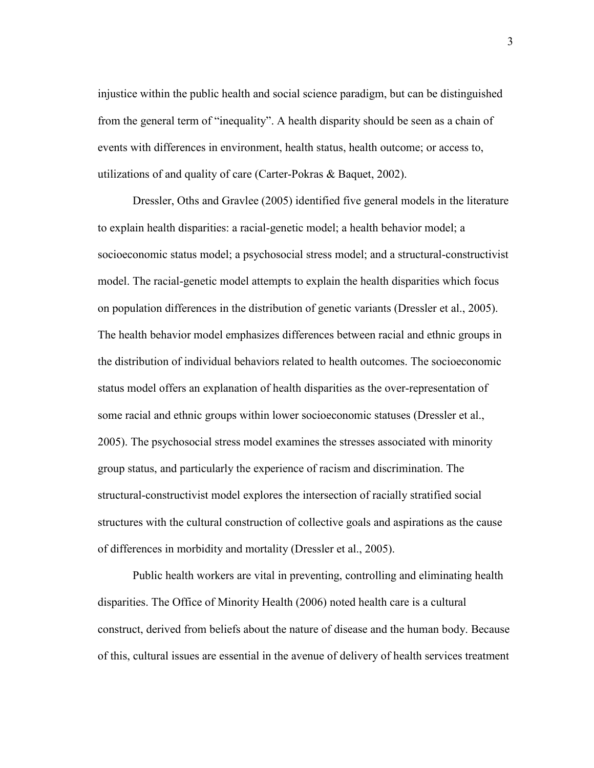injustice within the public health and social science paradigm, but can be distinguished from the general term of "inequality". A health disparity should be seen as a chain of events with differences in environment, health status, health outcome; or access to, utilizations of and quality of care (Carter-Pokras & Baquet, 2002).

Dressler, Oths and Gravlee (2005) identified five general models in the literature to explain health disparities: a racial-genetic model; a health behavior model; a socioeconomic status model; a psychosocial stress model; and a structural-constructivist model. The racial-genetic model attempts to explain the health disparities which focus on population differences in the distribution of genetic variants (Dressler et al., 2005). The health behavior model emphasizes differences between racial and ethnic groups in the distribution of individual behaviors related to health outcomes. The socioeconomic status model offers an explanation of health disparities as the over-representation of some racial and ethnic groups within lower socioeconomic statuses (Dressler et al., 2005). The psychosocial stress model examines the stresses associated with minority group status, and particularly the experience of racism and discrimination. The structural-constructivist model explores the intersection of racially stratified social structures with the cultural construction of collective goals and aspirations as the cause of differences in morbidity and mortality (Dressler et al., 2005).

Public health workers are vital in preventing, controlling and eliminating health disparities. The Office of Minority Health (2006) noted health care is a cultural construct, derived from beliefs about the nature of disease and the human body. Because of this, cultural issues are essential in the avenue of delivery of health services treatment

3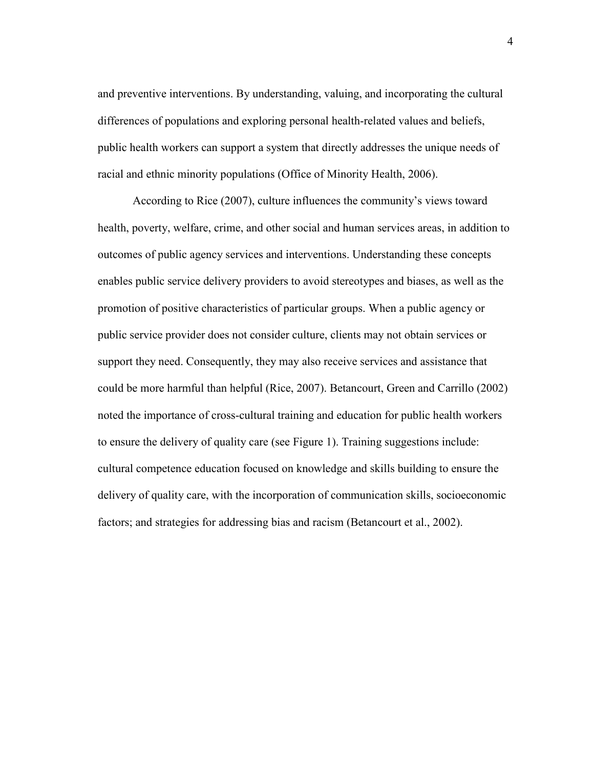and preventive interventions. By understanding, valuing, and incorporating the cultural differences of populations and exploring personal health-related values and beliefs, public health workers can support a system that directly addresses the unique needs of racial and ethnic minority populations (Office of Minority Health, 2006).

According to Rice (2007), culture influences the community's views toward health, poverty, welfare, crime, and other social and human services areas, in addition to outcomes of public agency services and interventions. Understanding these concepts enables public service delivery providers to avoid stereotypes and biases, as well as the promotion of positive characteristics of particular groups. When a public agency or public service provider does not consider culture, clients may not obtain services or support they need. Consequently, they may also receive services and assistance that could be more harmful than helpful (Rice, 2007). Betancourt, Green and Carrillo (2002) noted the importance of cross-cultural training and education for public health workers to ensure the delivery of quality care (see Figure 1). Training suggestions include: cultural competence education focused on knowledge and skills building to ensure the delivery of quality care, with the incorporation of communication skills, socioeconomic factors; and strategies for addressing bias and racism (Betancourt et al., 2002).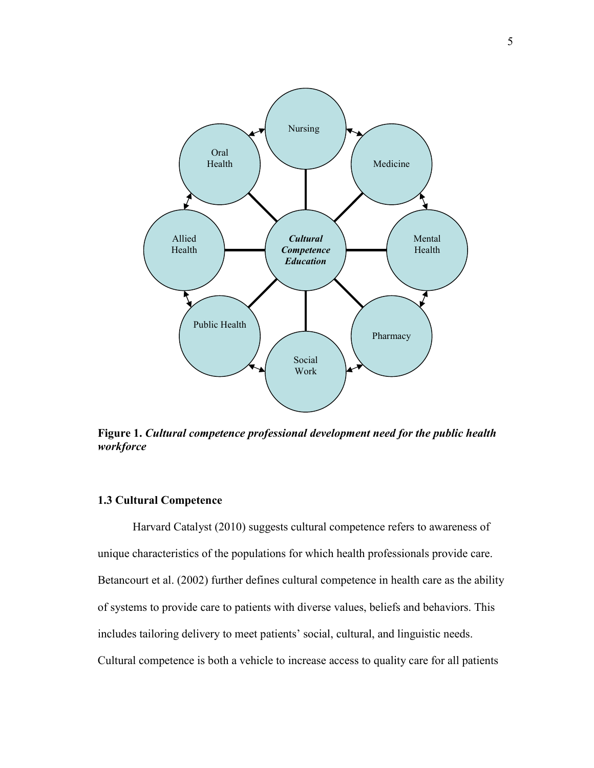

**Figure 1.** *Cultural competence professional development need for the public health workforce*

### **1.3 Cultural Competence**

 Harvard Catalyst (2010) suggests cultural competence refers to awareness of unique characteristics of the populations for which health professionals provide care. Betancourt et al. (2002) further defines cultural competence in health care as the ability of systems to provide care to patients with diverse values, beliefs and behaviors. This includes tailoring delivery to meet patients' social, cultural, and linguistic needs. Cultural competence is both a vehicle to increase access to quality care for all patients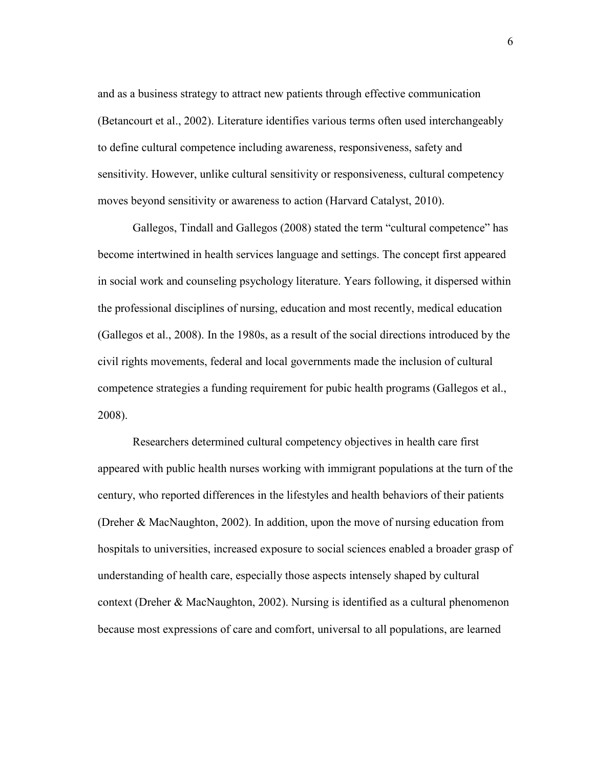and as a business strategy to attract new patients through effective communication (Betancourt et al., 2002). Literature identifies various terms often used interchangeably to define cultural competence including awareness, responsiveness, safety and sensitivity. However, unlike cultural sensitivity or responsiveness, cultural competency moves beyond sensitivity or awareness to action (Harvard Catalyst, 2010).

 Gallegos, Tindall and Gallegos (2008) stated the term "cultural competence" has become intertwined in health services language and settings. The concept first appeared in social work and counseling psychology literature. Years following, it dispersed within the professional disciplines of nursing, education and most recently, medical education (Gallegos et al., 2008). In the 1980s, as a result of the social directions introduced by the civil rights movements, federal and local governments made the inclusion of cultural competence strategies a funding requirement for pubic health programs (Gallegos et al., 2008).

Researchers determined cultural competency objectives in health care first appeared with public health nurses working with immigrant populations at the turn of the century, who reported differences in the lifestyles and health behaviors of their patients (Dreher & MacNaughton, 2002). In addition, upon the move of nursing education from hospitals to universities, increased exposure to social sciences enabled a broader grasp of understanding of health care, especially those aspects intensely shaped by cultural context (Dreher & MacNaughton, 2002). Nursing is identified as a cultural phenomenon because most expressions of care and comfort, universal to all populations, are learned

6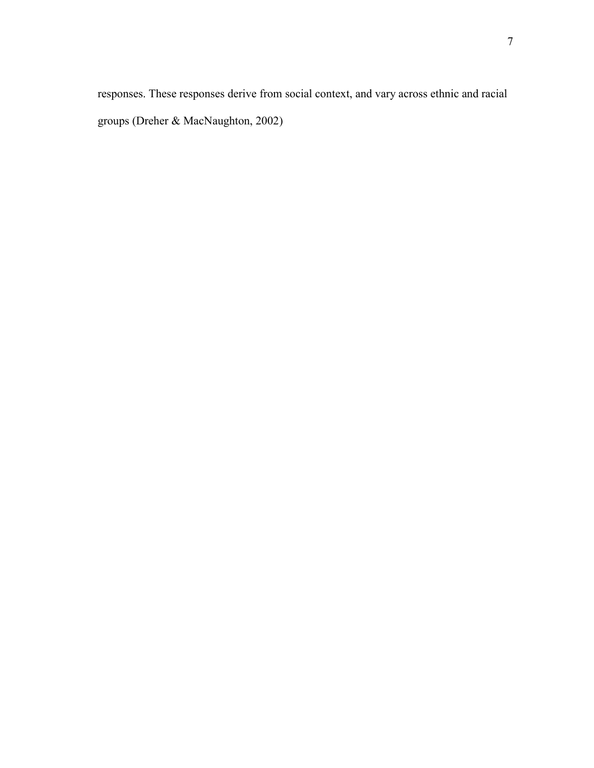responses. These responses derive from social context, and vary across ethnic and racial groups (Dreher & MacNaughton, 2002)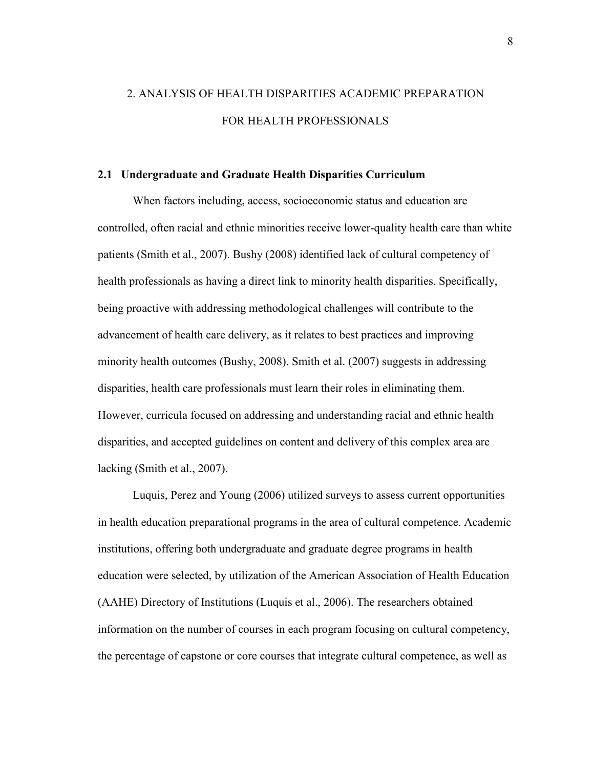## 2. ANALYSIS OF HEALTH DISPARITIES ACADEMIC PREPARATION FOR HEALTH PROFESSIONALS

### **2.1 Undergraduate and Graduate Health Disparities Curriculum**

When factors including, access, socioeconomic status and education are controlled, often racial and ethnic minorities receive lower-quality health care than white patients (Smith et al., 2007). Bushy (2008) identified lack of cultural competency of health professionals as having a direct link to minority health disparities. Specifically, being proactive with addressing methodological challenges will contribute to the advancement of health care delivery, as it relates to best practices and improving minority health outcomes (Bushy, 2008). Smith et al. (2007) suggests in addressing disparities, health care professionals must learn their roles in eliminating them. However, curricula focused on addressing and understanding racial and ethnic health disparities, and accepted guidelines on content and delivery of this complex area are lacking (Smith et al., 2007).

Luquis, Perez and Young (2006) utilized surveys to assess current opportunities in health education preparational programs in the area of cultural competence. Academic institutions, offering both undergraduate and graduate degree programs in health education were selected, by utilization of the American Association of Health Education (AAHE) Directory of Institutions (Luquis et al., 2006). The researchers obtained information on the number of courses in each program focusing on cultural competency, the percentage of capstone or core courses that integrate cultural competence, as well as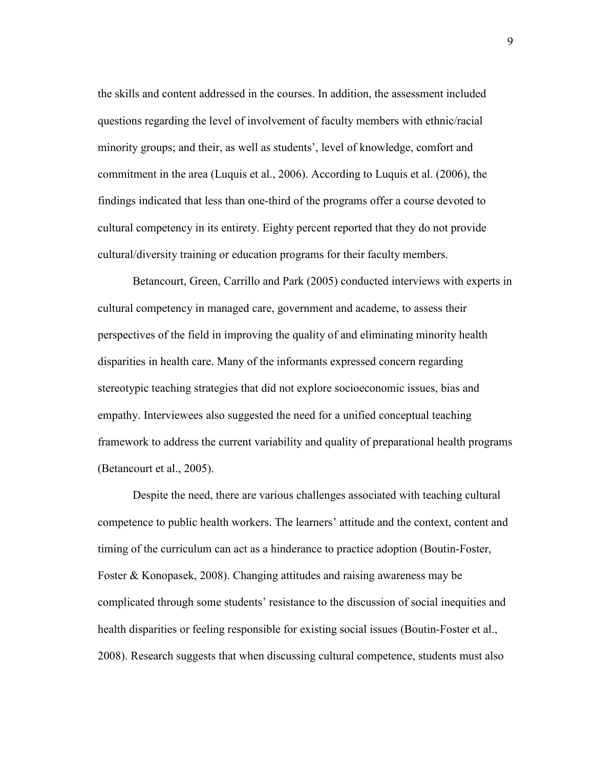the skills and content addressed in the courses. In addition, the assessment included questions regarding the level of involvement of faculty members with ethnic/racial minority groups; and their, as well as students', level of knowledge, comfort and commitment in the area (Luquis et al., 2006). According to Luquis et al. (2006), the findings indicated that less than one-third of the programs offer a course devoted to cultural competency in its entirety. Eighty percent reported that they do not provide cultural/diversity training or education programs for their faculty members.

Betancourt, Green, Carrillo and Park (2005) conducted interviews with experts in cultural competency in managed care, government and academe, to assess their perspectives of the field in improving the quality of and eliminating minority health disparities in health care. Many of the informants expressed concern regarding stereotypic teaching strategies that did not explore socioeconomic issues, bias and empathy. Interviewees also suggested the need for a unified conceptual teaching framework to address the current variability and quality of preparational health programs (Betancourt et al., 2005).

Despite the need, there are various challenges associated with teaching cultural competence to public health workers. The learners' attitude and the context, content and timing of the curriculum can act as a hinderance to practice adoption (Boutin-Foster, Foster & Konopasek, 2008). Changing attitudes and raising awareness may be complicated through some students' resistance to the discussion of social inequities and health disparities or feeling responsible for existing social issues (Boutin-Foster et al., 2008). Research suggests that when discussing cultural competence, students must also

9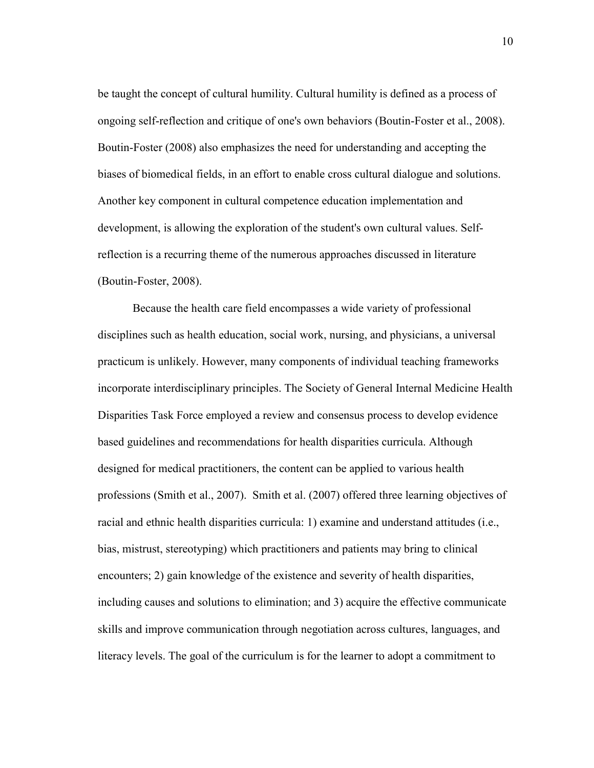be taught the concept of cultural humility. Cultural humility is defined as a process of ongoing self-reflection and critique of one's own behaviors (Boutin-Foster et al., 2008). Boutin-Foster (2008) also emphasizes the need for understanding and accepting the biases of biomedical fields, in an effort to enable cross cultural dialogue and solutions. Another key component in cultural competence education implementation and development, is allowing the exploration of the student's own cultural values. Selfreflection is a recurring theme of the numerous approaches discussed in literature (Boutin-Foster, 2008).

Because the health care field encompasses a wide variety of professional disciplines such as health education, social work, nursing, and physicians, a universal practicum is unlikely. However, many components of individual teaching frameworks incorporate interdisciplinary principles. The Society of General Internal Medicine Health Disparities Task Force employed a review and consensus process to develop evidence based guidelines and recommendations for health disparities curricula. Although designed for medical practitioners, the content can be applied to various health professions (Smith et al., 2007). Smith et al. (2007) offered three learning objectives of racial and ethnic health disparities curricula: 1) examine and understand attitudes (i.e., bias, mistrust, stereotyping) which practitioners and patients may bring to clinical encounters; 2) gain knowledge of the existence and severity of health disparities, including causes and solutions to elimination; and 3) acquire the effective communicate skills and improve communication through negotiation across cultures, languages, and literacy levels. The goal of the curriculum is for the learner to adopt a commitment to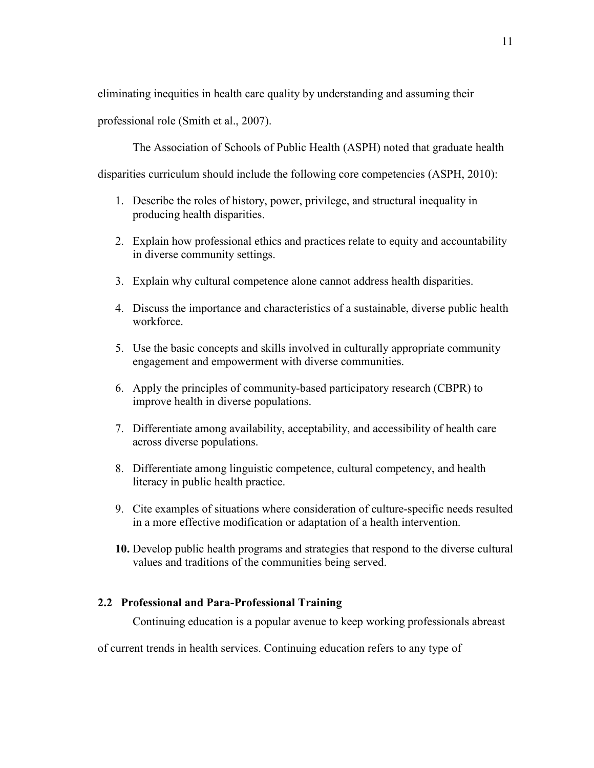eliminating inequities in health care quality by understanding and assuming their

professional role (Smith et al., 2007).

The Association of Schools of Public Health (ASPH) noted that graduate health

disparities curriculum should include the following core competencies (ASPH, 2010):

- 1. Describe the roles of history, power, privilege, and structural inequality in producing health disparities.
- 2. Explain how professional ethics and practices relate to equity and accountability in diverse community settings.
- 3. Explain why cultural competence alone cannot address health disparities.
- 4. Discuss the importance and characteristics of a sustainable, diverse public health workforce.
- 5. Use the basic concepts and skills involved in culturally appropriate community engagement and empowerment with diverse communities.
- 6. Apply the principles of community-based participatory research (CBPR) to improve health in diverse populations.
- 7. Differentiate among availability, acceptability, and accessibility of health care across diverse populations.
- 8. Differentiate among linguistic competence, cultural competency, and health literacy in public health practice.
- 9. Cite examples of situations where consideration of culture-specific needs resulted in a more effective modification or adaptation of a health intervention.
- **10.** Develop public health programs and strategies that respond to the diverse cultural values and traditions of the communities being served.

### **2.2 Professional and Para-Professional Training**

Continuing education is a popular avenue to keep working professionals abreast

of current trends in health services. Continuing [education](http://www.wisegeek.com/what-is-education.htm) refers to any type of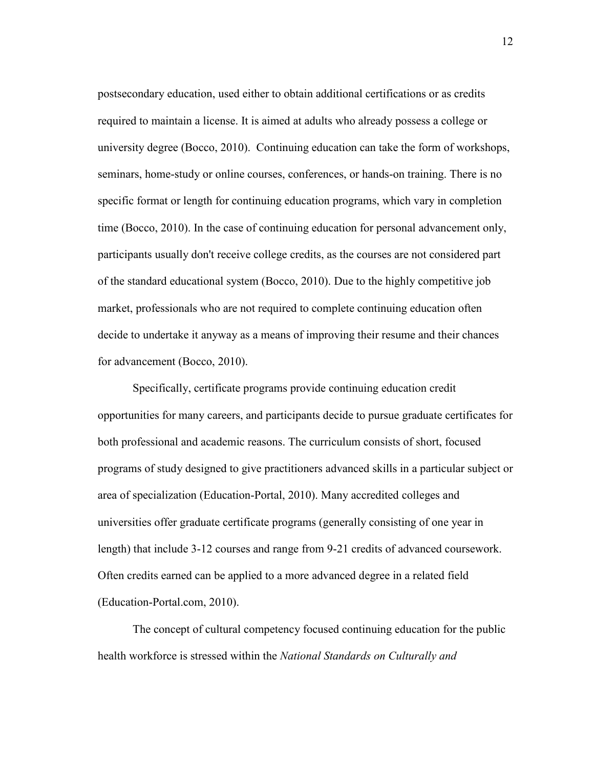postsecondary education, used either to obtain additional certifications or as credits required to maintain a license. It is aimed at adults who already possess a college or university degree (Bocco, 2010). Continuing education can take the form of workshops, seminars, home-study or online courses, conferences, or hands-on training. There is no specific format or length for continuing education programs, which vary in completion time (Bocco, 2010). In the case of continuing education for personal advancement only, participants usually don't receive college credits, as the courses are not considered part of the standard educational system (Bocco, 2010). Due to the highly competitive job market, professionals who are not required to complete continuing education often decide to undertake it anyway as a means of improving their resume and their chances for advancement (Bocco, 2010).

Specifically, certificate programs provide continuing education credit opportunities for many careers, and participants decide to pursue graduate certificates for both professional and academic reasons. The curriculum consists of short, focused programs of study designed to give practitioners advanced skills in a particular subject or area of specialization (Education-Portal, 2010). Many accredited colleges and universities offer graduate certificate programs (generally consisting of one year in length) that include 3-12 courses and range from 9-21 credits of advanced coursework. Often credits earned can be applied to a more advanced degree in a related field (Education-Portal.com, 2010).

The concept of cultural competency focused continuing education for the public health workforce is stressed within the *National Standards on Culturally and*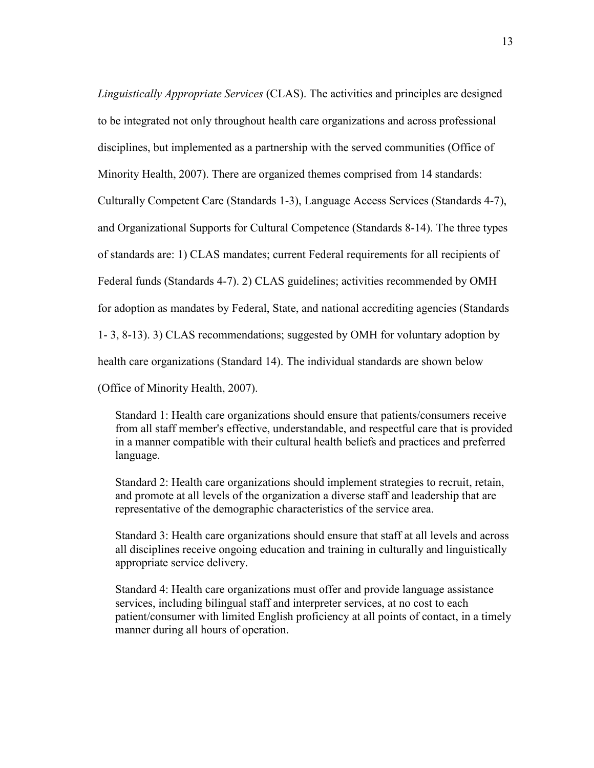*Linguistically Appropriate Services* (CLAS). The activities and principles are designed to be integrated not only throughout health care organizations and across professional disciplines, but implemented as a partnership with the served communities (Office of Minority Health, 2007). There are organized themes comprised from 14 standards: Culturally Competent Care (Standards 1-3), Language Access Services (Standards 4-7), and Organizational Supports for Cultural Competence (Standards 8-14). The three types of standards are: 1) CLAS mandates; current Federal requirements for all recipients of Federal funds (Standards 4-7). 2) CLAS guidelines; activities recommended by OMH for adoption as mandates by Federal, State, and national accrediting agencies (Standards 1- 3, 8-13). 3) CLAS recommendations; suggested by OMH for voluntary adoption by health care organizations (Standard 14). The individual standards are shown below

(Office of Minority Health, 2007).

Standard 1: Health care organizations should ensure that patients/consumers receive from all staff member's effective, understandable, and respectful care that is provided in a manner compatible with their cultural health beliefs and practices and preferred language.

Standard 2: Health care organizations should implement strategies to recruit, retain, and promote at all levels of the organization a diverse staff and leadership that are representative of the demographic characteristics of the service area.

Standard 3: Health care organizations should ensure that staff at all levels and across all disciplines receive ongoing education and training in culturally and linguistically appropriate service delivery.

Standard 4: Health care organizations must offer and provide language assistance services, including bilingual staff and interpreter services, at no cost to each patient/consumer with limited English proficiency at all points of contact, in a timely manner during all hours of operation.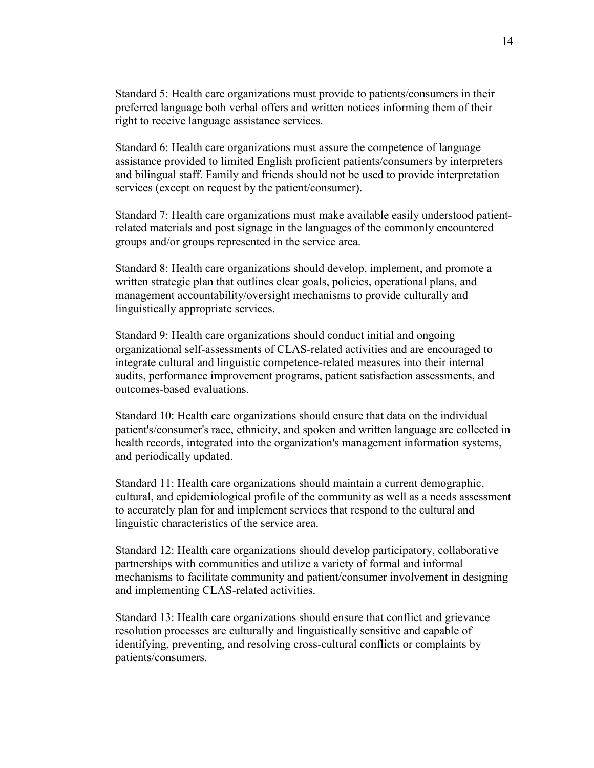Standard 5: Health care organizations must provide to patients/consumers in their preferred language both verbal offers and written notices informing them of their right to receive language assistance services.

Standard 6: Health care organizations must assure the competence of language assistance provided to limited English proficient patients/consumers by interpreters and bilingual staff. Family and friends should not be used to provide interpretation services (except on request by the patient/consumer).

Standard 7: Health care organizations must make available easily understood patientrelated materials and post signage in the languages of the commonly encountered groups and/or groups represented in the service area.

Standard 8: Health care organizations should develop, implement, and promote a written strategic plan that outlines clear goals, policies, operational plans, and management accountability/oversight mechanisms to provide culturally and linguistically appropriate services.

Standard 9: Health care organizations should conduct initial and ongoing organizational self-assessments of CLAS-related activities and are encouraged to integrate cultural and linguistic competence-related measures into their internal audits, performance improvement programs, patient satisfaction assessments, and outcomes-based evaluations.

Standard 10: Health care organizations should ensure that data on the individual patient's/consumer's race, ethnicity, and spoken and written language are collected in health records, integrated into the organization's management information systems, and periodically updated.

Standard 11: Health care organizations should maintain a current demographic, cultural, and epidemiological profile of the community as well as a needs assessment to accurately plan for and implement services that respond to the cultural and linguistic characteristics of the service area.

Standard 12: Health care organizations should develop participatory, collaborative partnerships with communities and utilize a variety of formal and informal mechanisms to facilitate community and patient/consumer involvement in designing and implementing CLAS-related activities.

Standard 13: Health care organizations should ensure that conflict and grievance resolution processes are culturally and linguistically sensitive and capable of identifying, preventing, and resolving cross-cultural conflicts or complaints by patients/consumers.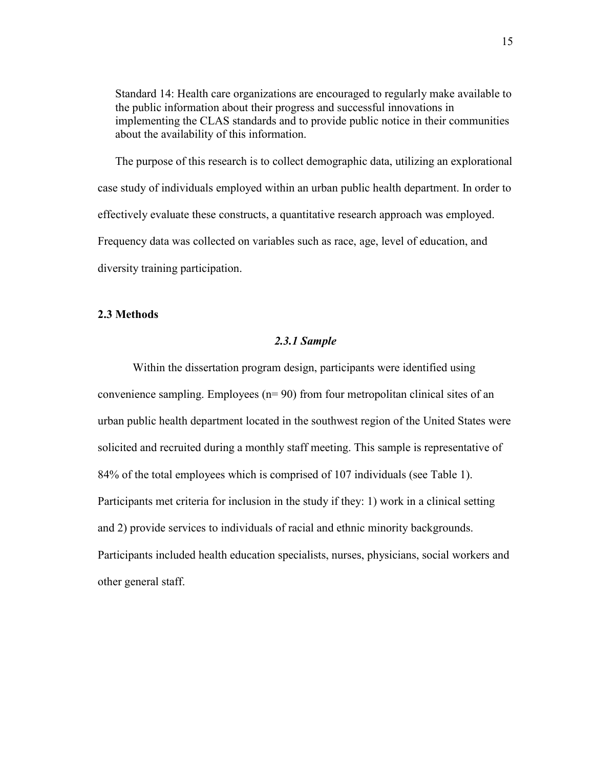Standard 14: Health care organizations are encouraged to regularly make available to the public information about their progress and successful innovations in implementing the CLAS standards and to provide public notice in their communities about the availability of this information.

The purpose of this research is to collect demographic data, utilizing an explorational case study of individuals employed within an urban public health department. In order to effectively evaluate these constructs, a quantitative research approach was employed. Frequency data was collected on variables such as race, age, level of education, and diversity training participation.

### **2.3 Methods**

### *2.3.1 Sample*

 Within the dissertation program design, participants were identified using convenience sampling. Employees (n= 90) from four metropolitan clinical sites of an urban public health department located in the southwest region of the United States were solicited and recruited during a monthly staff meeting. This sample is representative of 84% of the total employees which is comprised of 107 individuals (see Table 1). Participants met criteria for inclusion in the study if they: 1) work in a clinical setting and 2) provide services to individuals of racial and ethnic minority backgrounds. Participants included health education specialists, nurses, physicians, social workers and other general staff.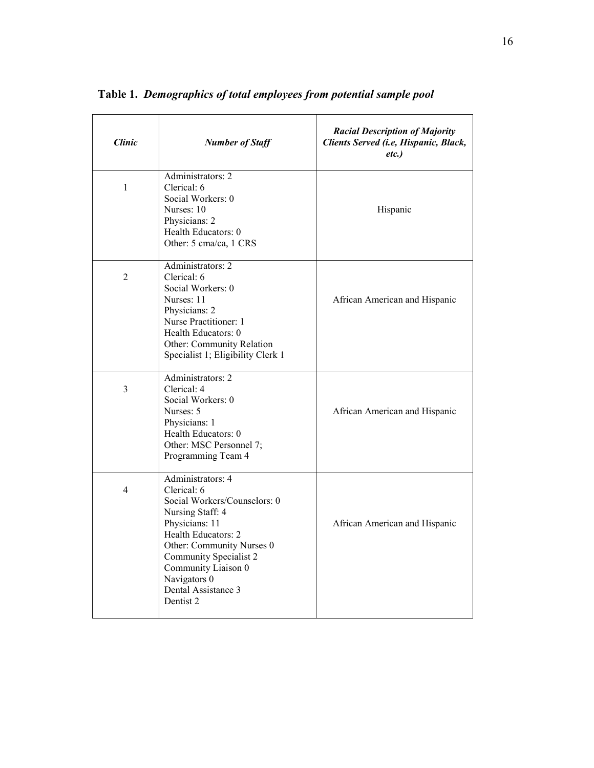| <b>Clinic</b>  | <b>Number of Staff</b>                                                                                                                                                                                                                                          | <b>Racial Description of Majority</b><br>Clients Served (i.e, Hispanic, Black,<br>etc.) |
|----------------|-----------------------------------------------------------------------------------------------------------------------------------------------------------------------------------------------------------------------------------------------------------------|-----------------------------------------------------------------------------------------|
| $\mathbf{1}$   | Administrators: 2<br>Clerical: 6<br>Social Workers: 0<br>Nurses: 10<br>Physicians: 2<br>Health Educators: 0<br>Other: 5 cma/ca, 1 CRS                                                                                                                           | Hispanic                                                                                |
| 2              | Administrators: 2<br>Clerical: 6<br>Social Workers: 0<br>Nurses: 11<br>Physicians: 2<br>Nurse Practitioner: 1<br>Health Educators: 0<br>Other: Community Relation<br>Specialist 1; Eligibility Clerk 1                                                          | African American and Hispanic                                                           |
| 3              | Administrators: 2<br>Clerical: 4<br>Social Workers: 0<br>Nurses: 5<br>Physicians: 1<br>Health Educators: 0<br>Other: MSC Personnel 7;<br>Programming Team 4                                                                                                     | African American and Hispanic                                                           |
| $\overline{4}$ | Administrators: 4<br>Clerical: 6<br>Social Workers/Counselors: 0<br>Nursing Staff: 4<br>Physicians: 11<br>Health Educators: 2<br>Other: Community Nurses 0<br>Community Specialist 2<br>Community Liaison 0<br>Navigators 0<br>Dental Assistance 3<br>Dentist 2 | African American and Hispanic                                                           |

**Table 1.** *Demographics of total employees from potential sample pool*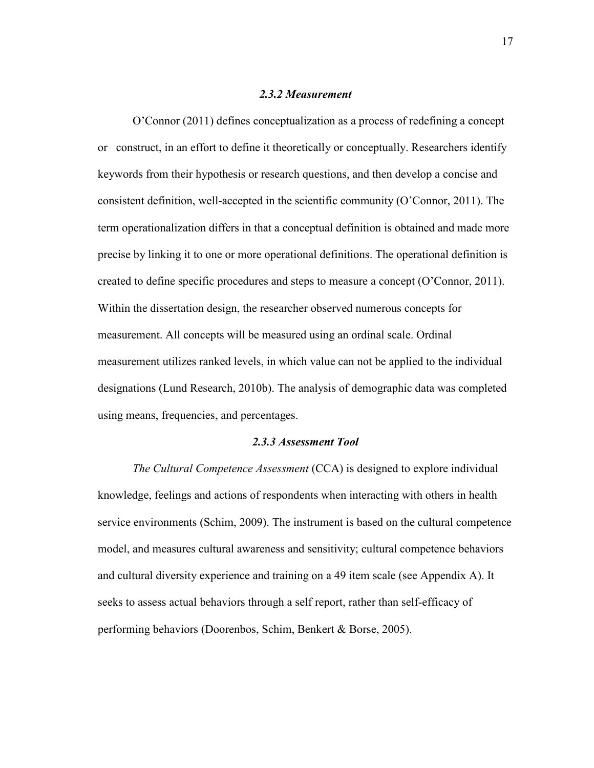#### *2.3.2 Measurement*

O'Connor (2011) defines conceptualization as a process of redefining a concept or construct, in an effort to define it theoretically or conceptually. Researchers identify keywords from their hypothesis or research questions, and then develop a concise and consistent definition, well-accepted in the scientific community (O'Connor, 2011). The term operationalization differs in that a conceptual definition is obtained and made more precise by linking it to one or more operational definitions. The operational definition is created to define specific procedures and steps to measure a concept (O'Connor, 2011). Within the dissertation design, the researcher observed numerous concepts for measurement. All concepts will be measured using an ordinal scale. Ordinal measurement utilizes ranked levels, in which value can not be applied to the individual designations (Lund Research, 2010b). The analysis of demographic data was completed using means, frequencies, and percentages.

### *2.3.3 Assessment Tool*

*The Cultural Competence Assessment* (CCA) is designed to explore individual knowledge, feelings and actions of respondents when interacting with others in health service environments (Schim, 2009). The instrument is based on the cultural competence model, and measures cultural awareness and sensitivity; cultural competence behaviors and cultural diversity experience and training on a 49 item scale (see Appendix A). It seeks to assess actual behaviors through a self report, rather than self-efficacy of performing behaviors (Doorenbos, Schim, Benkert & Borse, 2005).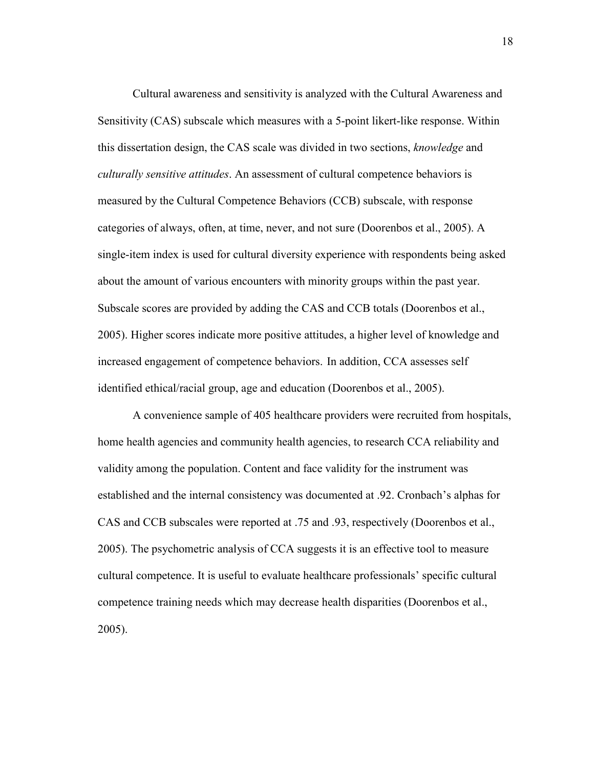Cultural awareness and sensitivity is analyzed with the Cultural Awareness and Sensitivity (CAS) subscale which measures with a 5-point likert-like response. Within this dissertation design, the CAS scale was divided in two sections, *knowledge* and *culturally sensitive attitudes*. An assessment of cultural competence behaviors is measured by the Cultural Competence Behaviors (CCB) subscale, with response categories of always, often, at time, never, and not sure (Doorenbos et al., 2005). A single-item index is used for cultural diversity experience with respondents being asked about the amount of various encounters with minority groups within the past year. Subscale scores are provided by adding the CAS and CCB totals (Doorenbos et al., 2005). Higher scores indicate more positive attitudes, a higher level of knowledge and increased engagement of competence behaviors. In addition, CCA assesses self identified ethical/racial group, age and education (Doorenbos et al., 2005).

A convenience sample of 405 healthcare providers were recruited from hospitals, home health agencies and community health agencies, to research CCA reliability and validity among the population. Content and face validity for the instrument was established and the internal consistency was documented at .92. Cronbach's alphas for CAS and CCB subscales were reported at .75 and .93, respectively (Doorenbos et al., 2005). The psychometric analysis of CCA suggests it is an effective tool to measure cultural competence. It is useful to evaluate healthcare professionals' specific cultural competence training needs which may decrease health disparities (Doorenbos et al., 2005).

18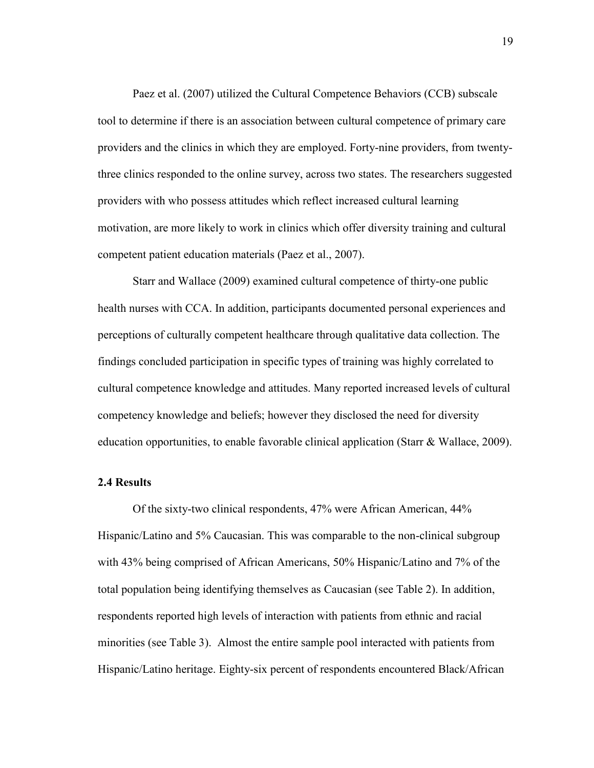Paez et al. (2007) utilized the Cultural Competence Behaviors (CCB) subscale tool to determine if there is an association between cultural competence of primary care providers and the clinics in which they are employed. Forty-nine providers, from twentythree clinics responded to the online survey, across two states. The researchers suggested providers with who possess attitudes which reflect increased cultural learning motivation, are more likely to work in clinics which offer diversity training and cultural competent patient education materials (Paez et al., 2007).

Starr and Wallace (2009) examined cultural competence of thirty-one public health nurses with CCA. In addition, participants documented personal experiences and perceptions of culturally competent healthcare through qualitative data collection. The findings concluded participation in specific types of training was highly correlated to cultural competence knowledge and attitudes. Many reported increased levels of cultural competency knowledge and beliefs; however they disclosed the need for diversity education opportunities, to enable favorable clinical application (Starr & Wallace, 2009).

### **2.4 Results**

Of the sixty-two clinical respondents, 47% were African American, 44% Hispanic/Latino and 5% Caucasian. This was comparable to the non-clinical subgroup with 43% being comprised of African Americans, 50% Hispanic/Latino and 7% of the total population being identifying themselves as Caucasian (see Table 2). In addition, respondents reported high levels of interaction with patients from ethnic and racial minorities (see Table 3). Almost the entire sample pool interacted with patients from Hispanic/Latino heritage. Eighty-six percent of respondents encountered Black/African

19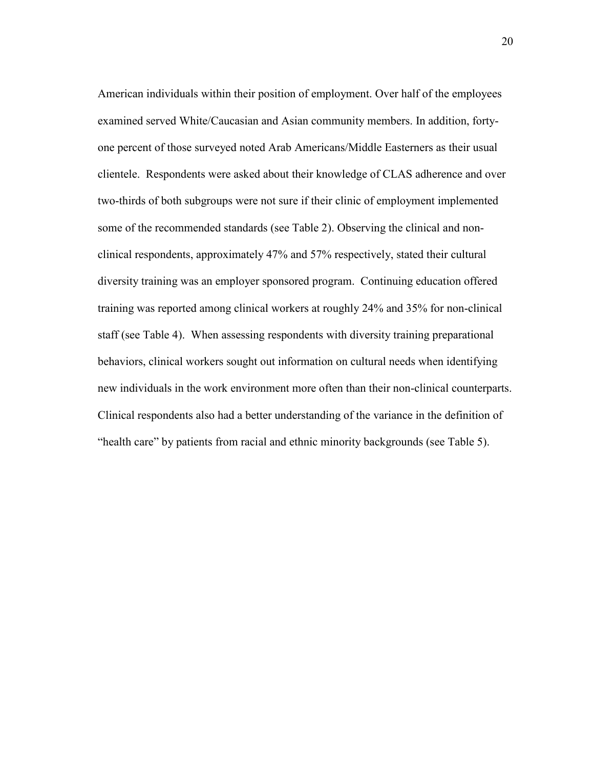American individuals within their position of employment. Over half of the employees examined served White/Caucasian and Asian community members. In addition, fortyone percent of those surveyed noted Arab Americans/Middle Easterners as their usual clientele. Respondents were asked about their knowledge of CLAS adherence and over two-thirds of both subgroups were not sure if their clinic of employment implemented some of the recommended standards (see Table 2). Observing the clinical and nonclinical respondents, approximately 47% and 57% respectively, stated their cultural diversity training was an employer sponsored program. Continuing education offered training was reported among clinical workers at roughly 24% and 35% for non-clinical staff (see Table 4). When assessing respondents with diversity training preparational behaviors, clinical workers sought out information on cultural needs when identifying new individuals in the work environment more often than their non-clinical counterparts. Clinical respondents also had a better understanding of the variance in the definition of "health care" by patients from racial and ethnic minority backgrounds (see Table 5).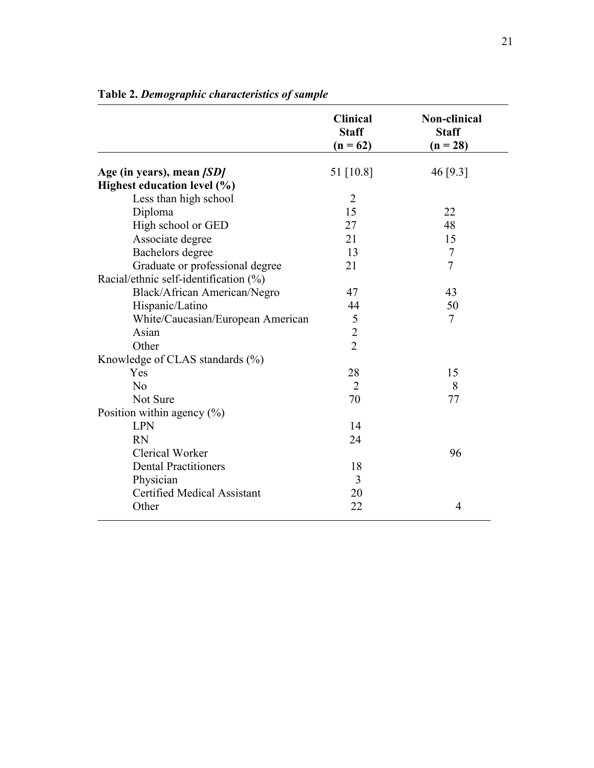|                                       | <b>Clinical</b><br><b>Staff</b><br>$(n = 62)$ | <b>Non-clinical</b><br><b>Staff</b><br>$(n = 28)$ |
|---------------------------------------|-----------------------------------------------|---------------------------------------------------|
| Age (in years), mean [SD]             | 51 [10.8]                                     | 46 [9.3]                                          |
| Highest education level (%)           |                                               |                                                   |
| Less than high school                 | $\overline{2}$                                |                                                   |
| Diploma                               | 15                                            | 22                                                |
| High school or GED                    | 27                                            | 48                                                |
| Associate degree                      | 21                                            | 15                                                |
| Bachelors degree                      | 13                                            | $\tau$                                            |
| Graduate or professional degree       | 21                                            | $\overline{7}$                                    |
| Racial/ethnic self-identification (%) |                                               |                                                   |
| Black/African American/Negro          | 47                                            | 43                                                |
| Hispanic/Latino                       | 44                                            | 50                                                |
| White/Caucasian/European American     | 5                                             | $\tau$                                            |
| Asian                                 | $\overline{c}$                                |                                                   |
| Other                                 | $\overline{2}$                                |                                                   |
| Knowledge of CLAS standards (%)       |                                               |                                                   |
| Yes                                   | 28                                            | 15                                                |
| No                                    | $\overline{2}$                                | 8                                                 |
| Not Sure                              | 70                                            | 77                                                |
| Position within agency $(\% )$        |                                               |                                                   |
| <b>LPN</b>                            | 14                                            |                                                   |
| <b>RN</b>                             | 24                                            |                                                   |
| <b>Clerical Worker</b>                |                                               | 96                                                |
| <b>Dental Practitioners</b>           | 18                                            |                                                   |
| Physician                             | 3                                             |                                                   |
| <b>Certified Medical Assistant</b>    | 20                                            |                                                   |
| Other                                 | 22                                            | 4                                                 |

**Table 2.** *Demographic characteristics of sample*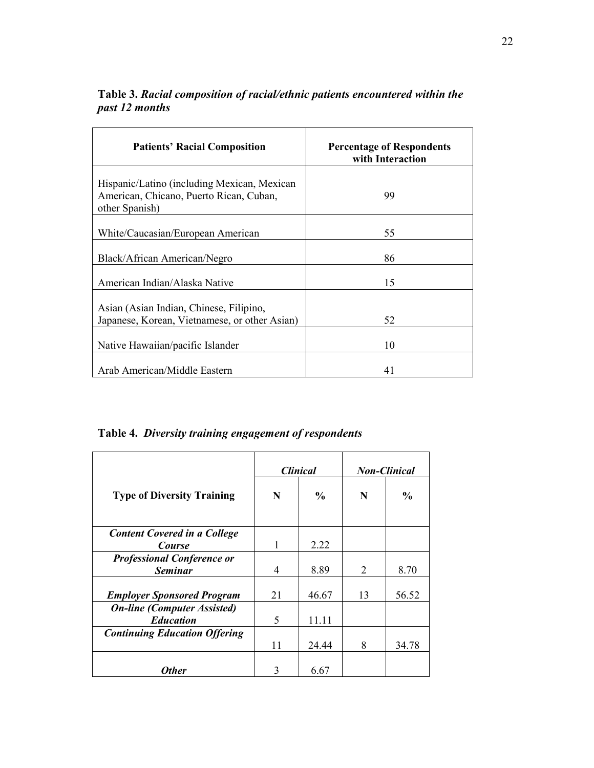| <b>Patients' Racial Composition</b>                                                                      | <b>Percentage of Respondents</b><br>with Interaction |
|----------------------------------------------------------------------------------------------------------|------------------------------------------------------|
| Hispanic/Latino (including Mexican, Mexican<br>American, Chicano, Puerto Rican, Cuban,<br>other Spanish) | 99                                                   |
| White/Caucasian/European American                                                                        | 55                                                   |
| Black/African American/Negro                                                                             | 86                                                   |
| American Indian/Alaska Native                                                                            | 15                                                   |
| Asian (Asian Indian, Chinese, Filipino,<br>Japanese, Korean, Vietnamese, or other Asian)                 | 52                                                   |
| Native Hawaiian/pacific Islander                                                                         | 10                                                   |
| Arab American/Middle Eastern                                                                             | 41                                                   |

**Table 3.** *Racial composition of racial/ethnic patients encountered within the past 12 months*

**Table 4.** *Diversity training engagement of respondents* 

|                                                        | <b>Clinical</b> |       |                | <b>Non-Clinical</b> |
|--------------------------------------------------------|-----------------|-------|----------------|---------------------|
| <b>Type of Diversity Training</b>                      | N               | $\%$  | N              | $\frac{0}{0}$       |
| <b>Content Covered in a College</b><br><b>Course</b>   | 1               | 2.22  |                |                     |
| <b>Professional Conference or</b><br><b>Seminar</b>    | 4               | 8.89  | $\overline{2}$ | 8.70                |
| <b>Employer Sponsored Program</b>                      | 21              | 46.67 | 13             | 56.52               |
| <b>On-line (Computer Assisted)</b><br><b>Education</b> | 5               | 11.11 |                |                     |
| <b>Continuing Education Offering</b>                   | 11              | 24.44 | 8              | 34.78               |
| Other                                                  | 3               | 6.67  |                |                     |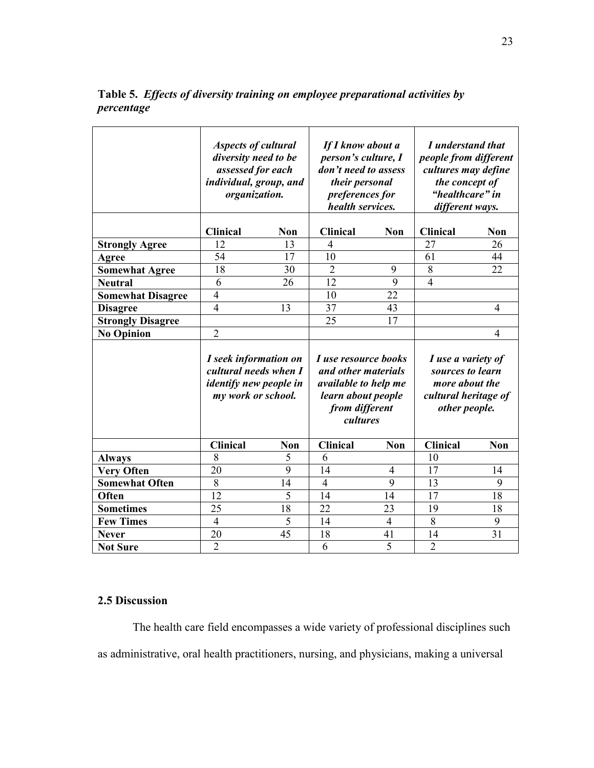**Table 5.** *Effects of diversity training on employee preparational activities by percentage* 

|                                 | <b>Aspects of cultural</b><br>diversity need to be<br>assessed for each<br>individual, group, and<br>organization. |            | If I know about a<br>person's culture, I<br>don't need to assess<br>their personal<br>preferences for<br>health services.                    |                      | I understand that<br>people from different<br>cultures may define<br>the concept of<br>"healthcare" in<br>different ways. |                |
|---------------------------------|--------------------------------------------------------------------------------------------------------------------|------------|----------------------------------------------------------------------------------------------------------------------------------------------|----------------------|---------------------------------------------------------------------------------------------------------------------------|----------------|
|                                 | <b>Clinical</b>                                                                                                    | Non        | <b>Clinical</b>                                                                                                                              | <b>Non</b>           | <b>Clinical</b>                                                                                                           | Non            |
| <b>Strongly Agree</b>           | 12                                                                                                                 | 13         | $\overline{4}$                                                                                                                               |                      | 27                                                                                                                        | 26             |
| Agree                           | 54                                                                                                                 | 17         | 10                                                                                                                                           |                      | 61                                                                                                                        | 44             |
| <b>Somewhat Agree</b>           | 18                                                                                                                 | 30         | $\overline{2}$                                                                                                                               | 9                    | 8                                                                                                                         | 22             |
| <b>Neutral</b>                  | 6                                                                                                                  | 26         | 12                                                                                                                                           | 9                    | $\overline{4}$                                                                                                            |                |
| <b>Somewhat Disagree</b>        | $\overline{4}$                                                                                                     |            | 10                                                                                                                                           | 22                   |                                                                                                                           |                |
| <b>Disagree</b>                 | $\overline{4}$                                                                                                     | 13         | 37                                                                                                                                           | 43                   |                                                                                                                           | 4              |
| <b>Strongly Disagree</b>        |                                                                                                                    |            | 25                                                                                                                                           | 17                   |                                                                                                                           |                |
| <b>No Opinion</b>               | $\overline{2}$                                                                                                     |            |                                                                                                                                              |                      |                                                                                                                           | $\overline{4}$ |
|                                 | I seek information on<br>cultural needs when I<br><i>identify new people in</i><br>my work or school.              |            | <i>I use resource books</i><br>and other materials<br><i>available to help me</i><br>learn about people<br>from different<br><i>cultures</i> |                      | I use a variety of<br>sources to learn<br>more about the<br>cultural heritage of<br>other people.                         |                |
|                                 | <b>Clinical</b>                                                                                                    | <b>Non</b> | <b>Clinical</b>                                                                                                                              | <b>Non</b>           | <b>Clinical</b>                                                                                                           | <b>Non</b>     |
| <b>Always</b>                   |                                                                                                                    |            |                                                                                                                                              |                      |                                                                                                                           |                |
|                                 | 8                                                                                                                  | 5          | 6                                                                                                                                            |                      | 10                                                                                                                        |                |
| <b>Very Often</b>               | 20                                                                                                                 | 9          | 14                                                                                                                                           | $\overline{4}$       | 17                                                                                                                        | 14             |
| <b>Somewhat Often</b>           | 8                                                                                                                  | 14         | $\overline{4}$                                                                                                                               | 9                    | 13                                                                                                                        | 9              |
| Often                           | 12                                                                                                                 | 5          | 14                                                                                                                                           | 14                   | 17                                                                                                                        | 18             |
| <b>Sometimes</b>                | 25                                                                                                                 | 18         | 22                                                                                                                                           | 23                   | 19                                                                                                                        | 18             |
| <b>Few Times</b>                | $\overline{4}$                                                                                                     | 5          | 14                                                                                                                                           | $\overline{4}$       | 8                                                                                                                         | 9              |
| <b>Never</b><br><b>Not Sure</b> | 20<br>$\overline{2}$                                                                                               | 45         | 18<br>6                                                                                                                                      | 41<br>$\overline{5}$ | 14<br>$\overline{2}$                                                                                                      | 31             |

## **2.5 Discussion**

The health care field encompasses a wide variety of professional disciplines such as administrative, oral health practitioners, nursing, and physicians, making a universal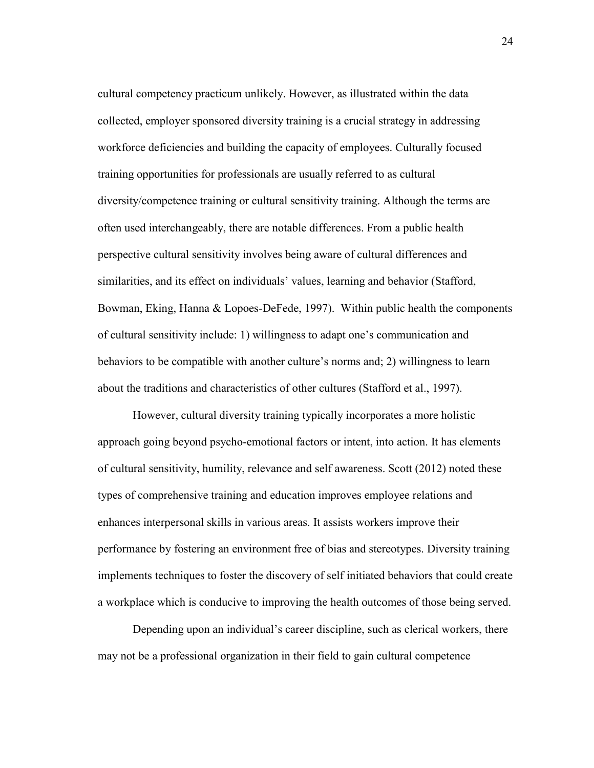cultural competency practicum unlikely. However, as illustrated within the data collected, employer sponsored diversity training is a crucial strategy in addressing workforce deficiencies and building the capacity of employees. Culturally focused training opportunities for professionals are usually referred to as cultural diversity/competence training or cultural sensitivity training. Although the terms are often used interchangeably, there are notable differences. From a public health perspective cultural sensitivity involves being aware of cultural differences and similarities, and its effect on individuals' values, learning and behavior (Stafford, Bowman, Eking, Hanna & Lopoes-DeFede, 1997). Within public health the components of cultural sensitivity include: 1) willingness to adapt one's communication and behaviors to be compatible with another culture's norms and; 2) willingness to learn about the traditions and characteristics of other cultures (Stafford et al., 1997).

However, cultural diversity training typically incorporates a more holistic approach going beyond psycho-emotional factors or intent, into action. It has elements of cultural sensitivity, humility, relevance and self awareness. Scott (2012) noted these types of comprehensive training and education improves employee relations and enhances interpersonal skills in various areas. It assists workers improve their performance by fostering an environment free of bias and stereotypes. Diversity training implements techniques to foster the discovery of self initiated behaviors that could create a workplace which is conducive to improving the health outcomes of those being served.

Depending upon an individual's career discipline, such as clerical workers, there may not be a professional organization in their field to gain cultural competence

24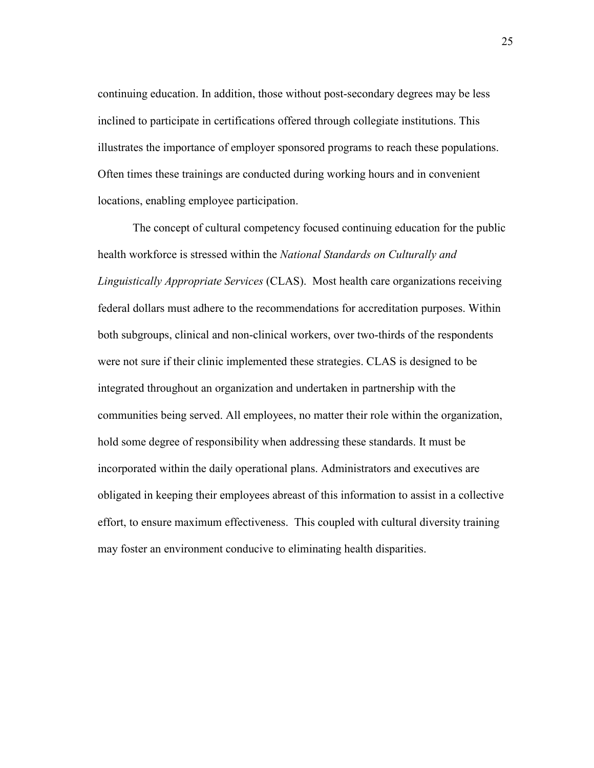continuing education. In addition, those without post-secondary degrees may be less inclined to participate in certifications offered through collegiate institutions. This illustrates the importance of employer sponsored programs to reach these populations. Often times these trainings are conducted during working hours and in convenient locations, enabling employee participation.

The concept of cultural competency focused continuing education for the public health workforce is stressed within the *National Standards on Culturally and Linguistically Appropriate Services* (CLAS). Most health care organizations receiving federal dollars must adhere to the recommendations for accreditation purposes. Within both subgroups, clinical and non-clinical workers, over two-thirds of the respondents were not sure if their clinic implemented these strategies. CLAS is designed to be integrated throughout an organization and undertaken in partnership with the communities being served. All employees, no matter their role within the organization, hold some degree of responsibility when addressing these standards. It must be incorporated within the daily operational plans. Administrators and executives are obligated in keeping their employees abreast of this information to assist in a collective effort, to ensure maximum effectiveness. This coupled with cultural diversity training may foster an environment conducive to eliminating health disparities.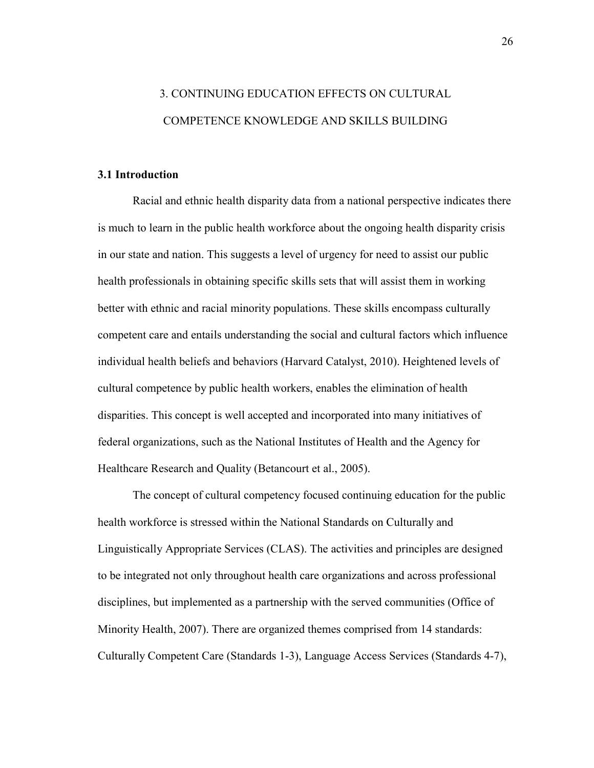# 3. CONTINUING EDUCATION EFFECTS ON CULTURAL COMPETENCE KNOWLEDGE AND SKILLS BUILDING

# **3.1 Introduction**

Racial and ethnic health disparity data from a national perspective indicates there is much to learn in the public health workforce about the ongoing health disparity crisis in our state and nation. This suggests a level of urgency for need to assist our public health professionals in obtaining specific skills sets that will assist them in working better with ethnic and racial minority populations. These skills encompass culturally competent care and entails understanding the social and cultural factors which influence individual health beliefs and behaviors (Harvard Catalyst, 2010). Heightened levels of cultural competence by public health workers, enables the elimination of health disparities. This concept is well accepted and incorporated into many initiatives of federal organizations, such as the National Institutes of Health and the Agency for Healthcare Research and Quality (Betancourt et al., 2005).

The concept of cultural competency focused continuing education for the public health workforce is stressed within the National Standards on Culturally and Linguistically Appropriate Services (CLAS). The activities and principles are designed to be integrated not only throughout health care organizations and across professional disciplines, but implemented as a partnership with the served communities (Office of Minority Health, 2007). There are organized themes comprised from 14 standards: Culturally Competent Care (Standards 1-3), Language Access Services (Standards 4-7),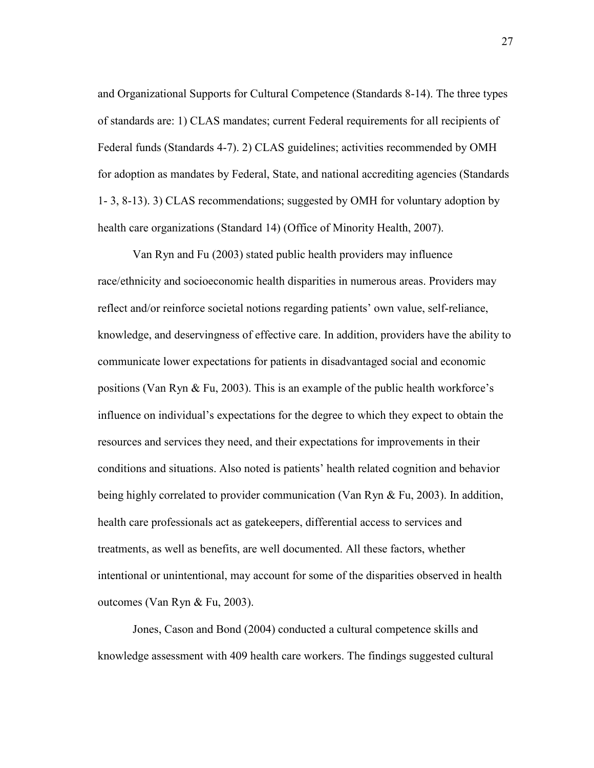and Organizational Supports for Cultural Competence (Standards 8-14). The three types of standards are: 1) CLAS mandates; current Federal requirements for all recipients of Federal funds (Standards 4-7). 2) CLAS guidelines; activities recommended by OMH for adoption as mandates by Federal, State, and national accrediting agencies (Standards 1- 3, 8-13). 3) CLAS recommendations; suggested by OMH for voluntary adoption by health care organizations (Standard 14) (Office of Minority Health, 2007).

Van Ryn and Fu (2003) stated public health providers may influence race/ethnicity and socioeconomic health disparities in numerous areas. Providers may reflect and/or reinforce societal notions regarding patients' own value, self-reliance, knowledge, and deservingness of effective care. In addition, providers have the ability to communicate lower expectations for patients in disadvantaged social and economic positions (Van Ryn & Fu, 2003). This is an example of the public health workforce's influence on individual's expectations for the degree to which they expect to obtain the resources and services they need, and their expectations for improvements in their conditions and situations. Also noted is patients' health related cognition and behavior being highly correlated to provider communication (Van Ryn & Fu, 2003). In addition, health care professionals act as gatekeepers, differential access to services and treatments, as well as benefits, are well documented. All these factors, whether intentional or unintentional, may account for some of the disparities observed in health outcomes (Van Ryn & Fu, 2003).

Jones, Cason and Bond (2004) conducted a cultural competence skills and knowledge assessment with 409 health care workers. The findings suggested cultural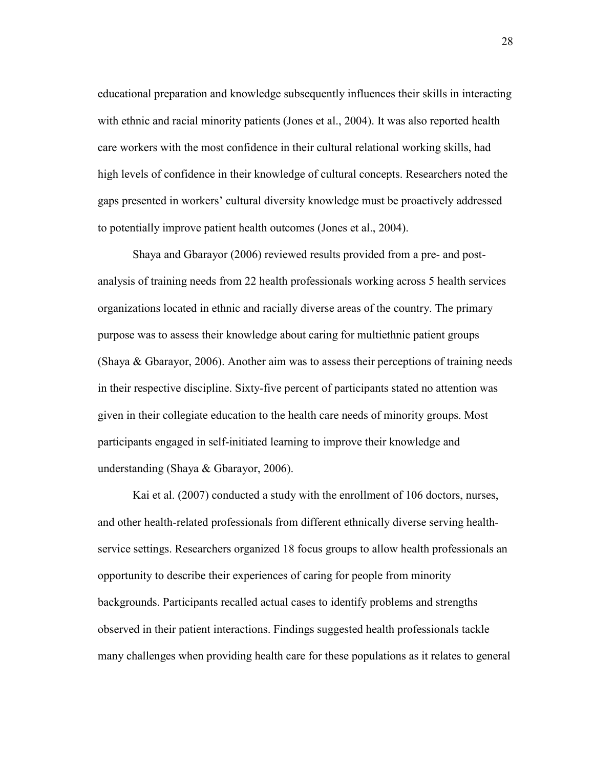educational preparation and knowledge subsequently influences their skills in interacting with ethnic and racial minority patients (Jones et al., 2004). It was also reported health care workers with the most confidence in their cultural relational working skills, had high levels of confidence in their knowledge of cultural concepts. Researchers noted the gaps presented in workers' cultural diversity knowledge must be proactively addressed to potentially improve patient health outcomes (Jones et al., 2004).

Shaya and Gbarayor (2006) reviewed results provided from a pre- and postanalysis of training needs from 22 health professionals working across 5 health services organizations located in ethnic and racially diverse areas of the country. The primary purpose was to assess their knowledge about caring for multiethnic patient groups (Shaya & Gbarayor, 2006). Another aim was to assess their perceptions of training needs in their respective discipline. Sixty-five percent of participants stated no attention was given in their collegiate education to the health care needs of minority groups. Most participants engaged in self-initiated learning to improve their knowledge and understanding (Shaya & Gbarayor, 2006).

Kai et al. (2007) conducted a study with the enrollment of 106 doctors, nurses, and other health-related professionals from different ethnically diverse serving healthservice settings. Researchers organized 18 focus groups to allow health professionals an opportunity to describe their experiences of caring for people from minority backgrounds. Participants recalled actual cases to identify problems and strengths observed in their patient interactions. Findings suggested health professionals tackle many challenges when providing health care for these populations as it relates to general

28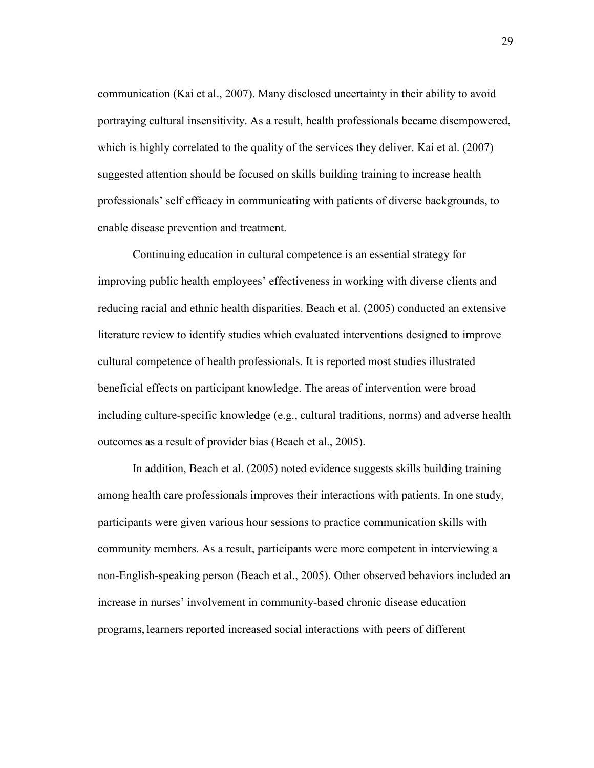communication (Kai et al., 2007). Many disclosed uncertainty in their ability to avoid portraying cultural insensitivity. As a result, health professionals became disempowered, which is highly correlated to the quality of the services they deliver. Kai et al. (2007) suggested attention should be focused on skills building training to increase health professionals' self efficacy in communicating with patients of diverse backgrounds, to enable disease prevention and treatment.

Continuing education in cultural competence is an essential strategy for improving public health employees' effectiveness in working with diverse clients and reducing racial and ethnic health disparities. Beach et al. (2005) conducted an extensive literature review to identify studies which evaluated interventions designed to improve cultural competence of health professionals. It is reported most studies illustrated beneficial effects on participant knowledge. The areas of intervention were broad including culture-specific knowledge (e.g., cultural traditions, norms) and adverse health outcomes as a result of provider bias (Beach et al., 2005).

In addition, Beach et al. (2005) noted evidence suggests skills building training among health care professionals improves their interactions with patients. In one study, participants were given various hour sessions to practice communication skills with community members. As a result, participants were more competent in interviewing a non-English-speaking person (Beach et al., 2005). Other observed behaviors included an increase in nurses' involvement in community-based chronic disease education programs, learners reported increased social interactions with peers of different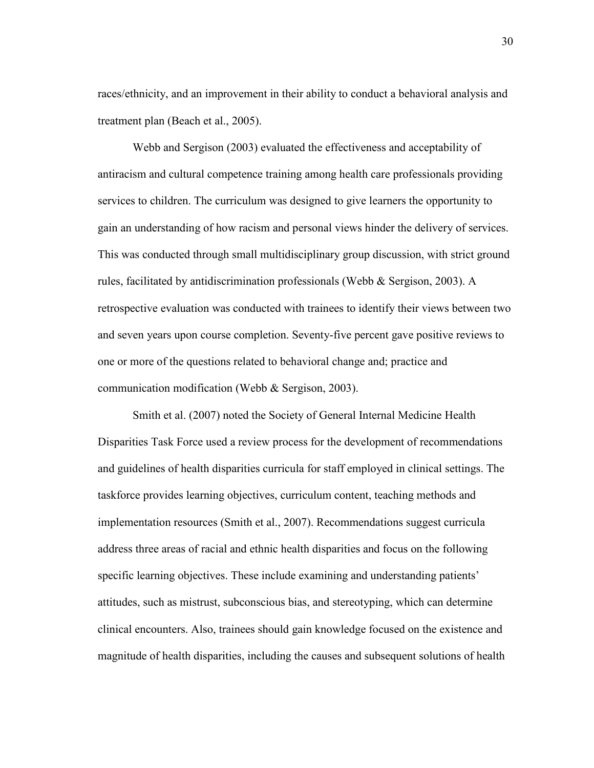races/ethnicity, and an improvement in their ability to conduct a behavioral analysis and treatment plan (Beach et al., 2005).

 Webb and Sergison (2003) evaluated the effectiveness and acceptability of antiracism and cultural competence training among health care professionals providing services to children. The curriculum was designed to give learners the opportunity to gain an understanding of how racism and personal views hinder the delivery of services. This was conducted through small multidisciplinary group discussion, with strict ground rules, facilitated by antidiscrimination professionals (Webb & Sergison, 2003). A retrospective evaluation was conducted with trainees to identify their views between two and seven years upon course completion. Seventy-five percent gave positive reviews to one or more of the questions related to behavioral change and; practice and communication modification (Webb & Sergison, 2003).

Smith et al. (2007) noted the Society of General Internal Medicine Health Disparities Task Force used a review process for the development of recommendations and guidelines of health disparities curricula for staff employed in clinical settings. The taskforce provides learning objectives, curriculum content, teaching methods and implementation resources (Smith et al., 2007). Recommendations suggest curricula address three areas of racial and ethnic health disparities and focus on the following specific learning objectives. These include examining and understanding patients' attitudes, such as mistrust, subconscious bias, and stereotyping, which can determine clinical encounters. Also, trainees should gain knowledge focused on the existence and magnitude of health disparities, including the causes and subsequent solutions of health

30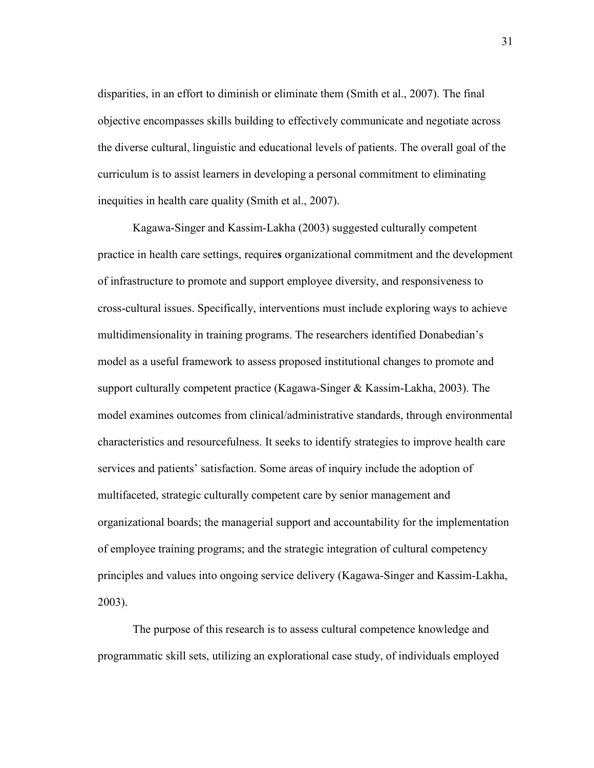disparities, in an effort to diminish or eliminate them (Smith et al., 2007). The final objective encompasses skills building to effectively communicate and negotiate across the diverse cultural, linguistic and educational levels of patients. The overall goal of the curriculum is to assist learners in developing a personal commitment to eliminating inequities in health care quality (Smith et al., 2007).

Kagawa-Singer and Kassim-Lakha (2003) suggested culturally competent practice in health care settings, require**s** organizational commitment and the development of infrastructure to promote and support employee diversity, and responsiveness to cross-cultural issues. Specifically, interventions must include exploring ways to achieve multidimensionality in training programs. The researchers identified Donabedian's model as a useful framework to assess proposed institutional changes to promote and support culturally competent practice (Kagawa-Singer & Kassim-Lakha, 2003). The model examines outcomes from clinical/administrative standards, through environmental characteristics and resourcefulness. It seeks to identify strategies to improve health care services and patients' satisfaction. Some areas of inquiry include the adoption of multifaceted, strategic culturally competent care by senior management and organizational boards; the managerial support and accountability for the implementation of employee training programs; and the strategic integration of cultural competency principles and values into ongoing service delivery (Kagawa-Singer and Kassim-Lakha, 2003).

 The purpose of this research is to assess cultural competence knowledge and programmatic skill sets, utilizing an explorational case study, of individuals employed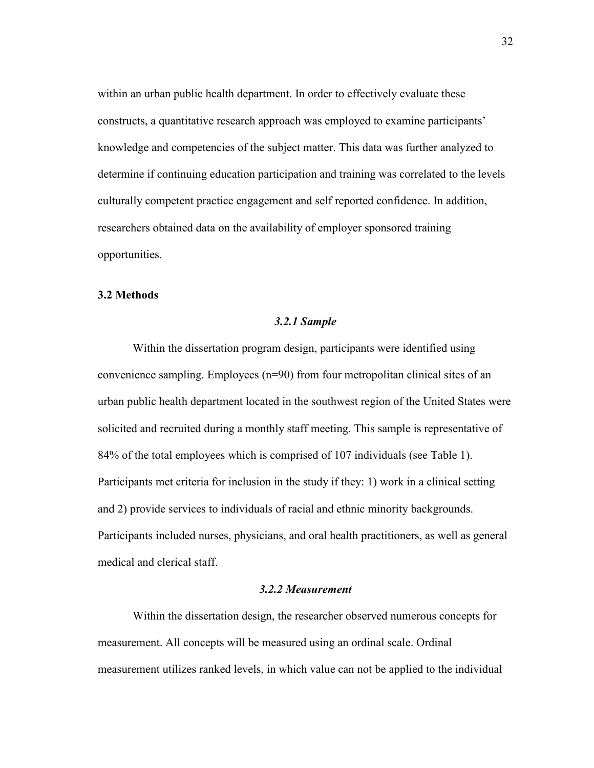within an urban public health department. In order to effectively evaluate these constructs, a quantitative research approach was employed to examine participants' knowledge and competencies of the subject matter. This data was further analyzed to determine if continuing education participation and training was correlated to the levels culturally competent practice engagement and self reported confidence. In addition, researchers obtained data on the availability of employer sponsored training opportunities.

## **3.2 Methods**

## *3.2.1 Sample*

Within the dissertation program design, participants were identified using convenience sampling. Employees (n=90) from four metropolitan clinical sites of an urban public health department located in the southwest region of the United States were solicited and recruited during a monthly staff meeting. This sample is representative of 84% of the total employees which is comprised of 107 individuals (see Table 1). Participants met criteria for inclusion in the study if they: 1) work in a clinical setting and 2) provide services to individuals of racial and ethnic minority backgrounds. Participants included nurses, physicians, and oral health practitioners, as well as general medical and clerical staff.

# *3.2.2 Measurement*

Within the dissertation design, the researcher observed numerous concepts for measurement. All concepts will be measured using an ordinal scale. Ordinal measurement utilizes ranked levels, in which value can not be applied to the individual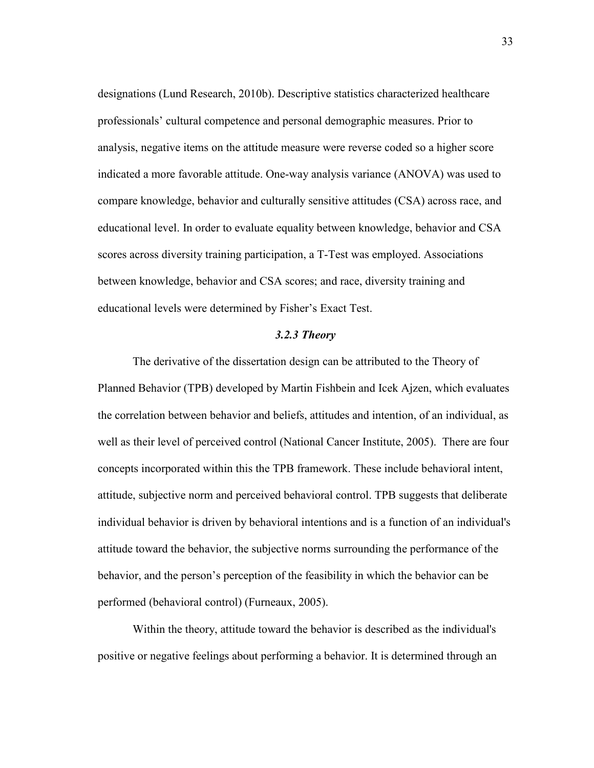designations (Lund Research, 2010b). Descriptive statistics characterized healthcare professionals' cultural competence and personal demographic measures. Prior to analysis, negative items on the attitude measure were reverse coded so a higher score indicated a more favorable attitude. One-way analysis variance (ANOVA) was used to compare knowledge, behavior and culturally sensitive attitudes (CSA) across race, and educational level. In order to evaluate equality between knowledge, behavior and CSA scores across diversity training participation, a T-Test was employed. Associations between knowledge, behavior and CSA scores; and race, diversity training and educational levels were determined by Fisher's Exact Test.

## *3.2.3 Theory*

The derivative of the dissertation design can be attributed to the Theory of Planned Behavior (TPB) developed by Martin Fishbein and Icek Ajzen, which evaluates the correlation between behavior and beliefs, attitudes and intention, of an individual, as well as their level of perceived control (National Cancer Institute, 2005). There are four concepts incorporated within this the TPB framework. These include behavioral intent, attitude, subjective norm and perceived behavioral control. TPB suggests that deliberate individual behavior is driven by behavioral intentions and is a function of an individual's attitude toward the behavior, the subjective norms surrounding the performance of the behavior, and the person's perception of the feasibility in which the behavior can be performed (behavioral control) (Furneaux, 2005).

Within the theory, attitude toward the behavior is described as the individual's positive or negative feelings about performing a behavior. It is determined through an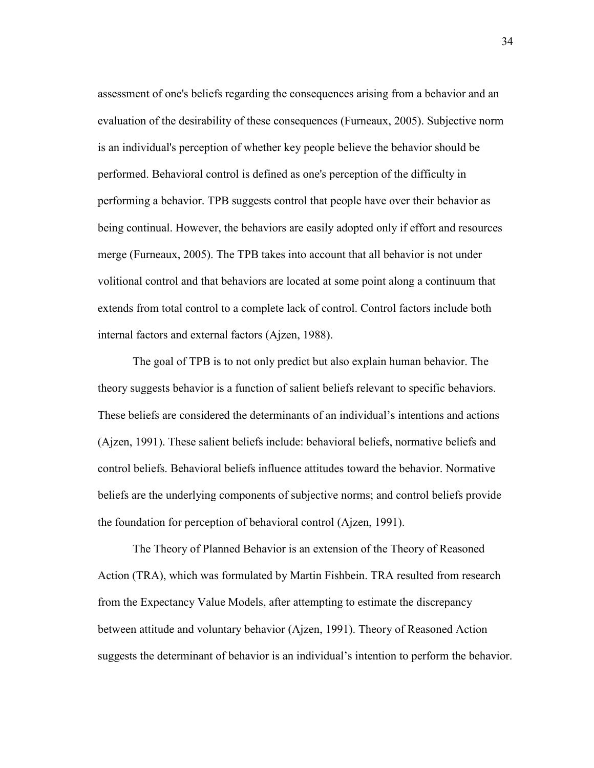assessment of one's beliefs regarding the consequences arising from a behavior and an evaluation of the desirability of these consequences (Furneaux, 2005). Subjective norm is an individual's perception of whether key people believe the behavior should be performed. Behavioral control is defined as one's perception of the difficulty in performing a behavior. TPB suggests control that people have over their behavior as being continual. However, the behaviors are easily adopted only if effort and resources merge (Furneaux, 2005). The TPB takes into account that all behavior is not under volitional control and that behaviors are located at some point along a continuum that extends from total control to a complete lack of control. Control factors include both internal factors and external factors (Ajzen, 1988).

The goal of TPB is to not only predict but also explain human behavior. The theory suggests behavior is a function of salient beliefs relevant to specific behaviors. These beliefs are considered the determinants of an individual's intentions and actions (Ajzen, 1991). These salient beliefs include: behavioral beliefs, normative beliefs and control beliefs. Behavioral beliefs influence attitudes toward the behavior. Normative beliefs are the underlying components of subjective norms; and control beliefs provide the foundation for perception of behavioral control (Ajzen, 1991).

The Theory of Planned Behavior is an extension of the Theory of Reasoned Action (TRA), which was formulated by Martin Fishbein. TRA resulted from research from the Expectancy Value Models, after attempting to estimate the discrepancy between attitude and voluntary behavior (Ajzen, 1991). Theory of Reasoned Action suggests the determinant of behavior is an individual's intention to perform the behavior.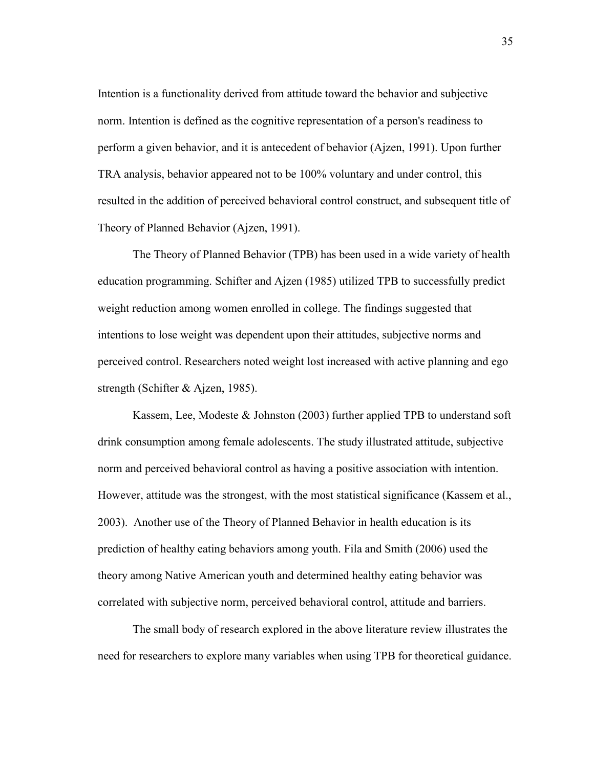Intention is a functionality derived from attitude toward the behavior and subjective norm. Intention is defined as the cognitive representation of a person's readiness to perform a given behavior, and it is antecedent of behavior (Ajzen, 1991). Upon further TRA analysis, behavior appeared not to be 100% voluntary and under control, this resulted in the addition of perceived behavioral control construct, and subsequent title of Theory of Planned Behavior (Ajzen, 1991).

The Theory of Planned Behavior (TPB) has been used in a wide variety of health education programming. Schifter and Ajzen (1985) utilized TPB to successfully predict weight reduction among women enrolled in college. The findings suggested that intentions to lose weight was dependent upon their attitudes, subjective norms and perceived control. Researchers noted weight lost increased with active planning and ego strength (Schifter & Ajzen, 1985).

Kassem, Lee, Modeste & Johnston (2003) further applied TPB to understand soft drink consumption among female adolescents. The study illustrated attitude, subjective norm and perceived behavioral control as having a positive association with intention. However, attitude was the strongest, with the most statistical significance (Kassem et al., 2003). Another use of the Theory of Planned Behavior in health education is its prediction of healthy eating behaviors among youth. Fila and Smith (2006) used the theory among Native American youth and determined healthy eating behavior was correlated with subjective norm, perceived behavioral control, attitude and barriers.

 The small body of research explored in the above literature review illustrates the need for researchers to explore many variables when using TPB for theoretical guidance.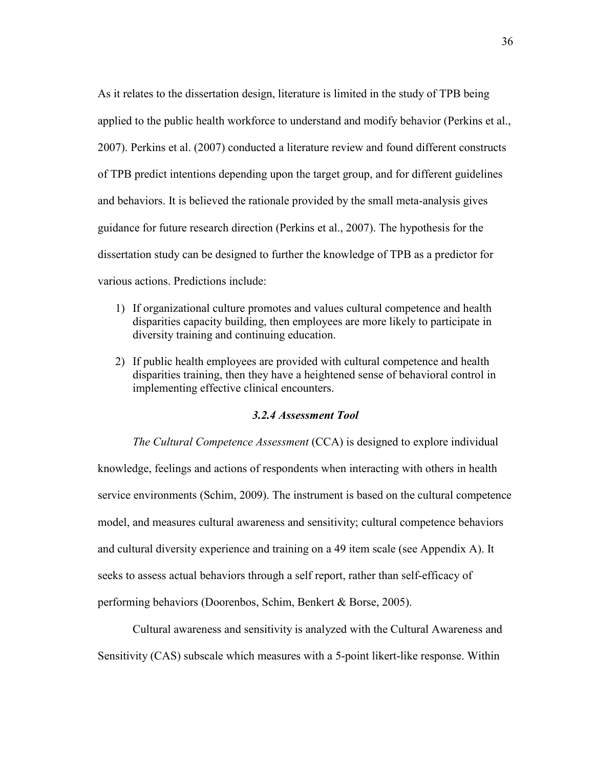As it relates to the dissertation design, literature is limited in the study of TPB being applied to the public health workforce to understand and modify behavior (Perkins et al., 2007). Perkins et al. (2007) conducted a literature review and found different constructs of TPB predict intentions depending upon the target group, and for different guidelines and behaviors. It is believed the rationale provided by the small meta-analysis gives guidance for future research direction (Perkins et al., 2007). The hypothesis for the dissertation study can be designed to further the knowledge of TPB as a predictor for various actions. Predictions include:

- 1) If organizational culture promotes and values cultural competence and health disparities capacity building, then employees are more likely to participate in diversity training and continuing education.
- 2) If public health employees are provided with cultural competence and health disparities training, then they have a heightened sense of behavioral control in implementing effective clinical encounters.

# *3.2.4 Assessment Tool*

*The Cultural Competence Assessment* (CCA) is designed to explore individual knowledge, feelings and actions of respondents when interacting with others in health service environments (Schim, 2009). The instrument is based on the cultural competence model, and measures cultural awareness and sensitivity; cultural competence behaviors and cultural diversity experience and training on a 49 item scale (see Appendix A). It seeks to assess actual behaviors through a self report, rather than self-efficacy of performing behaviors (Doorenbos, Schim, Benkert & Borse, 2005).

Cultural awareness and sensitivity is analyzed with the Cultural Awareness and Sensitivity (CAS) subscale which measures with a 5-point likert-like response. Within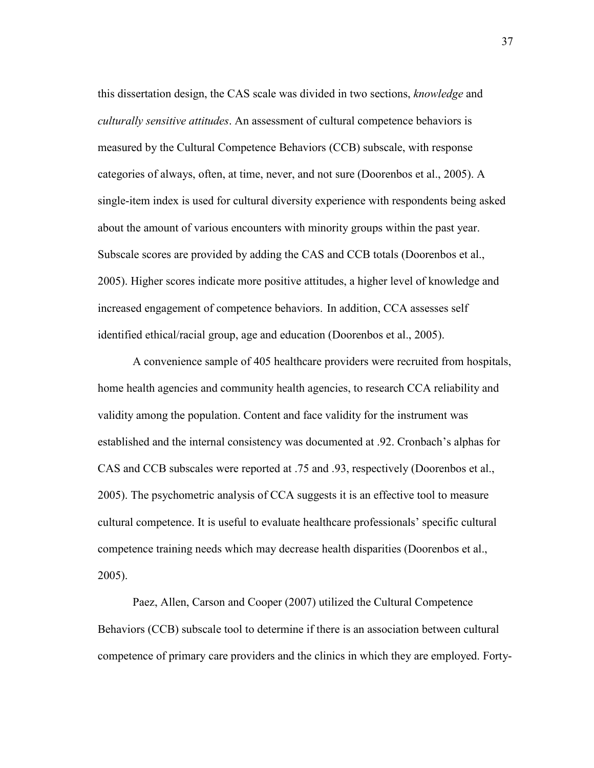this dissertation design, the CAS scale was divided in two sections, *knowledge* and *culturally sensitive attitudes*. An assessment of cultural competence behaviors is measured by the Cultural Competence Behaviors (CCB) subscale, with response categories of always, often, at time, never, and not sure (Doorenbos et al., 2005). A single-item index is used for cultural diversity experience with respondents being asked about the amount of various encounters with minority groups within the past year. Subscale scores are provided by adding the CAS and CCB totals (Doorenbos et al., 2005). Higher scores indicate more positive attitudes, a higher level of knowledge and increased engagement of competence behaviors. In addition, CCA assesses self identified ethical/racial group, age and education (Doorenbos et al., 2005).

A convenience sample of 405 healthcare providers were recruited from hospitals, home health agencies and community health agencies, to research CCA reliability and validity among the population. Content and face validity for the instrument was established and the internal consistency was documented at .92. Cronbach's alphas for CAS and CCB subscales were reported at .75 and .93, respectively (Doorenbos et al., 2005). The psychometric analysis of CCA suggests it is an effective tool to measure cultural competence. It is useful to evaluate healthcare professionals' specific cultural competence training needs which may decrease health disparities (Doorenbos et al., 2005).

Paez, Allen, Carson and Cooper (2007) utilized the Cultural Competence Behaviors (CCB) subscale tool to determine if there is an association between cultural competence of primary care providers and the clinics in which they are employed. Forty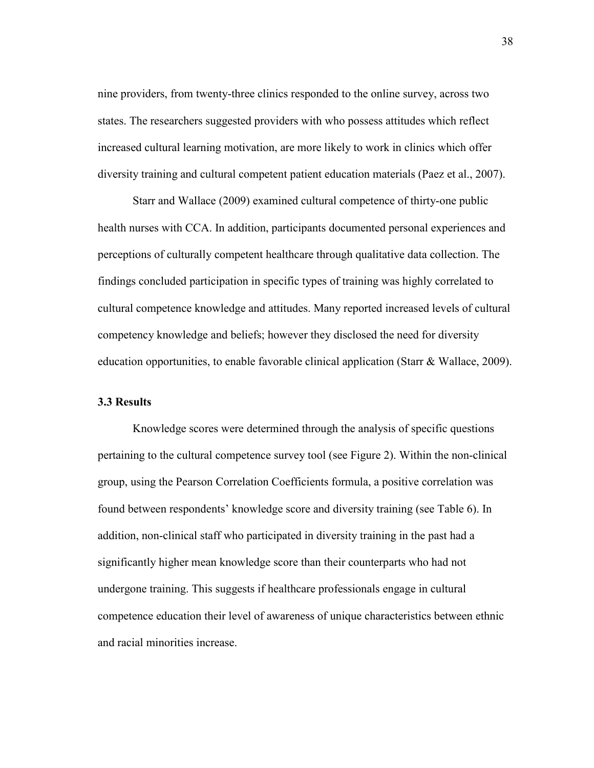nine providers, from twenty-three clinics responded to the online survey, across two states. The researchers suggested providers with who possess attitudes which reflect increased cultural learning motivation, are more likely to work in clinics which offer diversity training and cultural competent patient education materials (Paez et al., 2007).

Starr and Wallace (2009) examined cultural competence of thirty-one public health nurses with CCA. In addition, participants documented personal experiences and perceptions of culturally competent healthcare through qualitative data collection. The findings concluded participation in specific types of training was highly correlated to cultural competence knowledge and attitudes. Many reported increased levels of cultural competency knowledge and beliefs; however they disclosed the need for diversity education opportunities, to enable favorable clinical application (Starr & Wallace, 2009).

# **3.3 Results**

Knowledge scores were determined through the analysis of specific questions pertaining to the cultural competence survey tool (see Figure 2). Within the non-clinical group, using the Pearson Correlation Coefficients formula, a positive correlation was found between respondents' knowledge score and diversity training (see Table 6). In addition, non-clinical staff who participated in diversity training in the past had a significantly higher mean knowledge score than their counterparts who had not undergone training. This suggests if healthcare professionals engage in cultural competence education their level of awareness of unique characteristics between ethnic and racial minorities increase.

38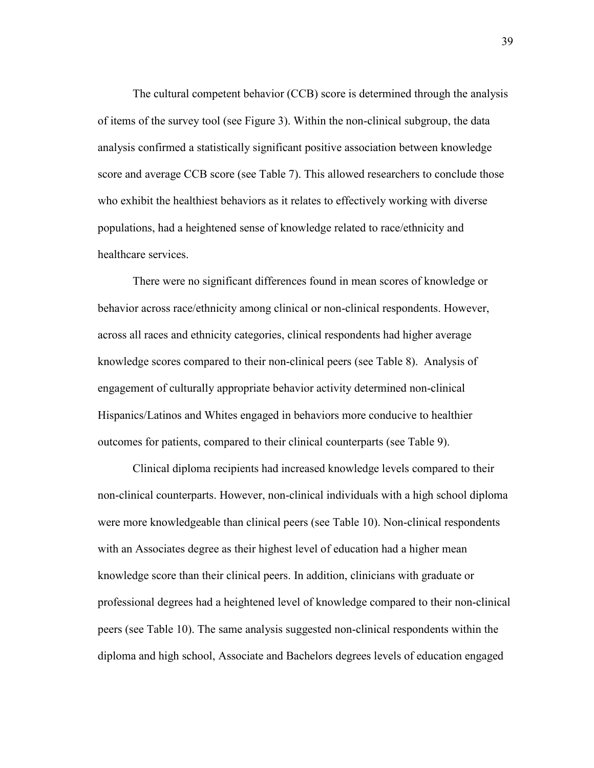The cultural competent behavior (CCB) score is determined through the analysis of items of the survey tool (see Figure 3). Within the non-clinical subgroup, the data analysis confirmed a statistically significant positive association between knowledge score and average CCB score (see Table 7). This allowed researchers to conclude those who exhibit the healthiest behaviors as it relates to effectively working with diverse populations, had a heightened sense of knowledge related to race/ethnicity and healthcare services.

There were no significant differences found in mean scores of knowledge or behavior across race/ethnicity among clinical or non-clinical respondents. However, across all races and ethnicity categories, clinical respondents had higher average knowledge scores compared to their non-clinical peers (see Table 8). Analysis of engagement of culturally appropriate behavior activity determined non-clinical Hispanics/Latinos and Whites engaged in behaviors more conducive to healthier outcomes for patients, compared to their clinical counterparts (see Table 9).

Clinical diploma recipients had increased knowledge levels compared to their non-clinical counterparts. However, non-clinical individuals with a high school diploma were more knowledgeable than clinical peers (see Table 10). Non-clinical respondents with an Associates degree as their highest level of education had a higher mean knowledge score than their clinical peers. In addition, clinicians with graduate or professional degrees had a heightened level of knowledge compared to their non-clinical peers (see Table 10). The same analysis suggested non-clinical respondents within the diploma and high school, Associate and Bachelors degrees levels of education engaged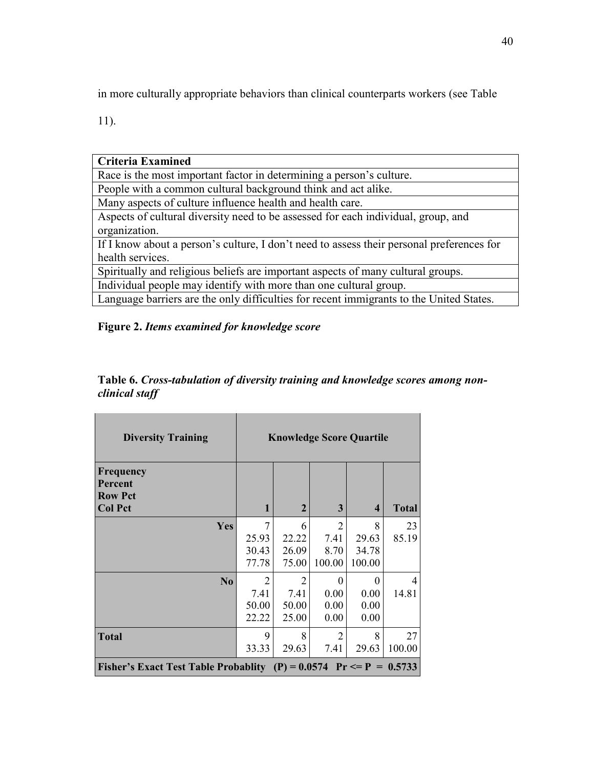in more culturally appropriate behaviors than clinical counterparts workers (see Table

11).

| Criteria Examined                                                                         |
|-------------------------------------------------------------------------------------------|
| Race is the most important factor in determining a person's culture.                      |
| People with a common cultural background think and act alike.                             |
| Many aspects of culture influence health and health care.                                 |
| Aspects of cultural diversity need to be assessed for each individual, group, and         |
| organization.                                                                             |
| If I know about a person's culture, I don't need to assess their personal preferences for |
| health services.                                                                          |
| Spiritually and religious beliefs are important aspects of many cultural groups.          |
| Individual people may identify with more than one cultural group.                         |
| Language barriers are the only difficulties for recent immigrants to the United States.   |

# **Figure 2.** *Items examined for knowledge score*

| <b>Diversity Training</b>                                                            | <b>Knowledge Score Quartile</b>          |                              |                                          |                                  |              |
|--------------------------------------------------------------------------------------|------------------------------------------|------------------------------|------------------------------------------|----------------------------------|--------------|
| Frequency<br>Percent<br><b>Row Pct</b><br><b>Col Pct</b>                             | 1                                        | $\mathbf{2}$                 | 3                                        | 4                                | <b>Total</b> |
| Yes                                                                                  | 7<br>25.93<br>30.43<br>77.78             | 6<br>22.22<br>26.09<br>75.00 | $\overline{2}$<br>7.41<br>8.70<br>100.00 | 8<br>29.63<br>34.78<br>100.00    | 23<br>85.19  |
| N <sub>0</sub>                                                                       | $\overline{2}$<br>7.41<br>50.00<br>22.22 | 2<br>7.41<br>50.00<br>25.00  | 0<br>0.00<br>0.00<br>0.00                | $\theta$<br>0.00<br>0.00<br>0.00 | 4<br>14.81   |
| <b>Total</b><br>Fisher's Exact Test Table Probablity (P) = $0.0574$ Pr <= P = 0.5733 | 9<br>33.33                               | 8<br>29.63                   | $\overline{2}$<br>7.41                   | 8<br>29.63                       | 27<br>100.00 |

# **Table 6.** *Cross-tabulation of diversity training and knowledge scores among nonclinical staff*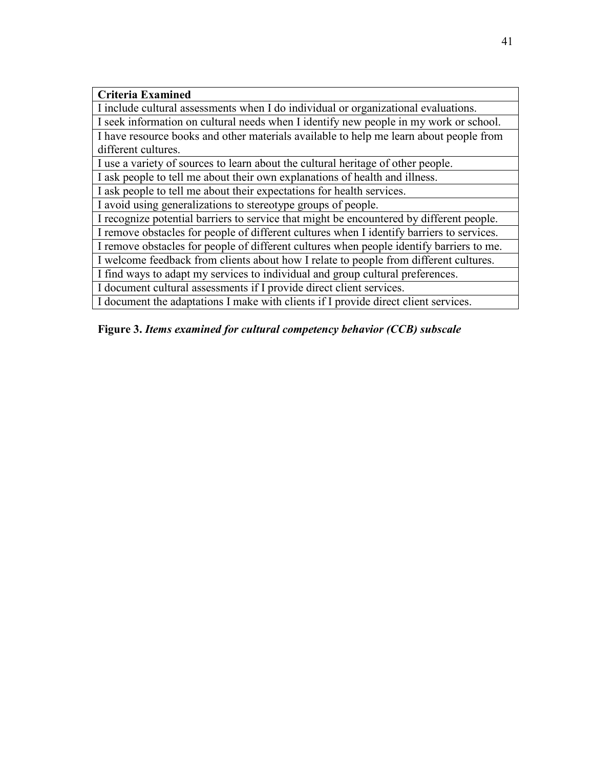| <b>Criteria Examined</b>                                                                  |
|-------------------------------------------------------------------------------------------|
| I include cultural assessments when I do individual or organizational evaluations.        |
| I seek information on cultural needs when I identify new people in my work or school.     |
| I have resource books and other materials available to help me learn about people from    |
| different cultures.                                                                       |
| I use a variety of sources to learn about the cultural heritage of other people.          |
| I ask people to tell me about their own explanations of health and illness.               |
| I ask people to tell me about their expectations for health services.                     |
| I avoid using generalizations to stereotype groups of people.                             |
| I recognize potential barriers to service that might be encountered by different people.  |
| I remove obstacles for people of different cultures when I identify barriers to services. |
| I remove obstacles for people of different cultures when people identify barriers to me.  |
| I welcome feedback from clients about how I relate to people from different cultures.     |
| I find ways to adapt my services to individual and group cultural preferences.            |
| I document cultural assessments if I provide direct client services.                      |
| I document the adaptations I make with clients if I provide direct client services.       |
|                                                                                           |

**Figure 3.** *Items examined for cultural competency behavior (CCB) subscale*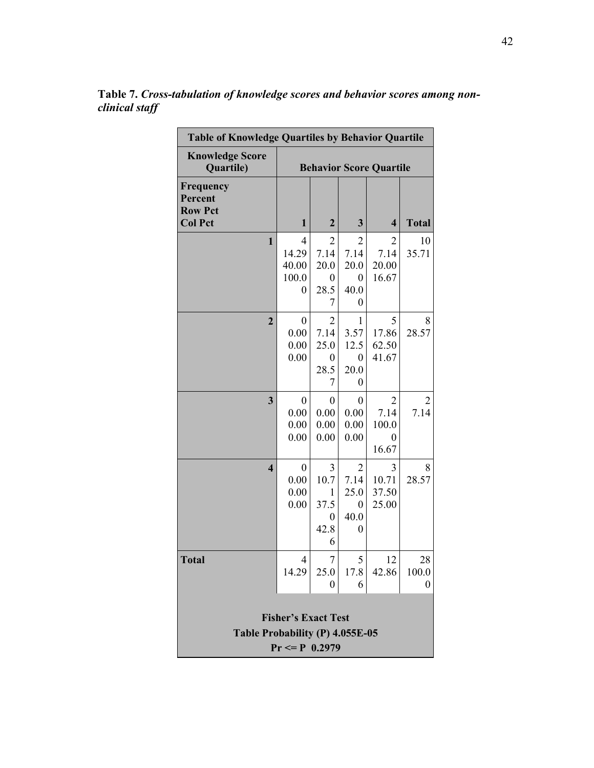| <b>Table of Knowledge Quartiles by Behavior Quartile</b>                           |                                          |                                          |                                                  |                                         |                  |  |
|------------------------------------------------------------------------------------|------------------------------------------|------------------------------------------|--------------------------------------------------|-----------------------------------------|------------------|--|
| <b>Knowledge Score</b><br>Quartile)                                                | <b>Behavior Score Quartile</b>           |                                          |                                                  |                                         |                  |  |
| Frequency<br>Percent<br><b>Row Pct</b><br><b>Col Pct</b>                           | $\mathbf{1}$                             | $\mathbf{2}$                             | $\mathbf{3}$                                     | $\overline{\mathbf{4}}$                 | <b>Total</b>     |  |
| 1                                                                                  | 4<br>14.29<br>40.00<br>100.0<br>0        | 2<br>7.14<br>20.0<br>0<br>28.5<br>7      | $\overline{2}$<br>7.14<br>20.0<br>0<br>40.0<br>0 | 2<br>7.14<br>20.00<br>16.67             | 10<br>35.71      |  |
| $\overline{2}$                                                                     | $\boldsymbol{0}$<br>0.00<br>0.00<br>0.00 | 2<br>7.14<br>25.0<br>0<br>28.5<br>7      | $\mathbf{1}$<br>3.57<br>12.5<br>0<br>20.0<br>0   | 5<br>17.86<br>62.50<br>41.67            | 8<br>28.57       |  |
| 3                                                                                  | 0<br>0.00<br>0.00<br>0.00                | 0<br>0.00<br>0.00<br>0.00                | $\boldsymbol{0}$<br>0.00<br>0.00<br>0.00         | 2<br>7.14<br>100.0<br>$\theta$<br>16.67 | 2<br>7.14        |  |
| $\overline{\mathbf{4}}$                                                            | $\boldsymbol{0}$<br>0.00<br>0.00<br>0.00 | 3<br>10.7<br>1<br>37.5<br>0<br>42.8<br>6 | $\overline{2}$<br>7.14<br>25.0<br>0<br>40.0<br>0 | 3<br>10.71<br>37.50<br>25.00            | 8<br>28.57       |  |
| <b>Total</b>                                                                       | 4<br>14.29                               | $\overline{7}$<br>25.0<br>0              | 5<br>17.8<br>6                                   | 12<br>42.86                             | 28<br>100.0<br>0 |  |
| <b>Fisher's Exact Test</b><br>Table Probability (P) 4.055E-05<br>$Pr \le P 0.2979$ |                                          |                                          |                                                  |                                         |                  |  |

**Table 7.** *Cross-tabulation of knowledge scores and behavior scores among nonclinical staff*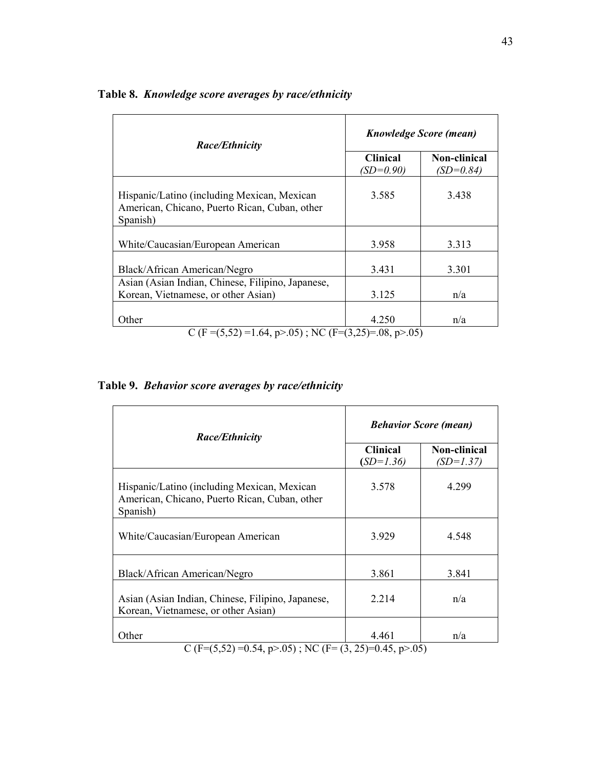| <b>Race/Ethnicity</b>                                                                                                    | <b>Knowledge Score (mean)</b>  |                                    |  |  |
|--------------------------------------------------------------------------------------------------------------------------|--------------------------------|------------------------------------|--|--|
|                                                                                                                          | <b>Clinical</b><br>$(SD=0.90)$ | <b>Non-clinical</b><br>$(SD=0.84)$ |  |  |
| Hispanic/Latino (including Mexican, Mexican<br>American, Chicano, Puerto Rican, Cuban, other<br>Spanish)                 | 3.585                          | 3.438                              |  |  |
| White/Caucasian/European American                                                                                        | 3.958                          | 3.313                              |  |  |
| Black/African American/Negro<br>Asian (Asian Indian, Chinese, Filipino, Japanese,<br>Korean, Vietnamese, or other Asian) | 3.431<br>3.125                 | 3.301<br>n/a                       |  |  |
| Other                                                                                                                    | 4.250                          | n/a                                |  |  |
| C (F = $(5,52)$ = 1.64, p > 05); NC (F = $(3,25)$ = 08, p > 05)                                                          |                                |                                    |  |  |

# **Table 8.** *Knowledge score averages by race/ethnicity*

# **Table 9.** *Behavior score averages by race/ethnicity*

| <b>Race/Ethnicity</b>                                                                                    | <b>Behavior Score (mean)</b>   |                             |  |  |
|----------------------------------------------------------------------------------------------------------|--------------------------------|-----------------------------|--|--|
|                                                                                                          | <b>Clinical</b><br>$(SD=1.36)$ | Non-clinical<br>$(SD=1.37)$ |  |  |
| Hispanic/Latino (including Mexican, Mexican<br>American, Chicano, Puerto Rican, Cuban, other<br>Spanish) | 3.578                          | 4.299                       |  |  |
| White/Caucasian/European American                                                                        | 3.929                          | 4.548                       |  |  |
| Black/African American/Negro                                                                             | 3.861                          | 3.841                       |  |  |
| Asian (Asian Indian, Chinese, Filipino, Japanese,<br>Korean, Vietnamese, or other Asian)                 | 2.214                          | n/a                         |  |  |
| Other<br>$C (F=(5.52) = 0.54 \text{ m} > 0.5) \cdot \text{N}C (F=(3.25)=0.45 \text{ m} > 0.5)$           | 4.461                          | n/a                         |  |  |

C (F=(5,52) = 0.54, p>.05); NC (F= (3, 25)=0.45, p>.05)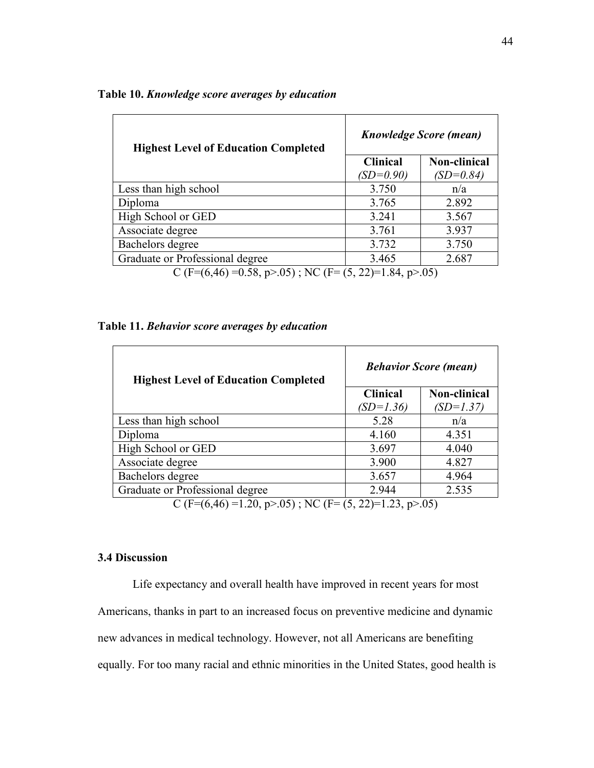| <b>Highest Level of Education Completed</b>                           | <b>Knowledge Score (mean)</b> |              |  |  |
|-----------------------------------------------------------------------|-------------------------------|--------------|--|--|
|                                                                       | <b>Clinical</b>               | Non-clinical |  |  |
|                                                                       | $(SD=0.90)$                   | $(SD=0.84)$  |  |  |
| Less than high school                                                 | 3.750                         | n/a          |  |  |
| Diploma                                                               | 3.765                         | 2.892        |  |  |
| High School or GED                                                    | 3.241                         | 3.567        |  |  |
| Associate degree                                                      | 3.761                         | 3.937        |  |  |
| Bachelors degree                                                      | 3.732                         | 3.750        |  |  |
| Graduate or Professional degree                                       | 3.465                         | 2.687        |  |  |
| $C$ (E-(6 A6) -0.58 $R > 0.5$ ) $\cdot$ NC (E-(5 22)-1.84 $R > 0.5$ ) |                               |              |  |  |

# **Table 10.** *Knowledge score averages by education*

C (F= $(6,46)$  = 0.58, p>.05); NC (F=  $(5, 22)$ =1.84, p>.05)

# **Table 11.** *Behavior score averages by education*

| <b>Highest Level of Education Completed</b>                                                   | <b>Behavior Score (mean)</b> |              |  |  |
|-----------------------------------------------------------------------------------------------|------------------------------|--------------|--|--|
|                                                                                               | <b>Clinical</b>              | Non-clinical |  |  |
|                                                                                               | $(SD=1.36)$                  | (SD=1.37)    |  |  |
| Less than high school                                                                         | 5.28                         | n/a          |  |  |
| Diploma                                                                                       | 4.160                        | 4.351        |  |  |
| High School or GED                                                                            | 3.697                        | 4.040        |  |  |
| Associate degree                                                                              | 3.900                        | 4.827        |  |  |
| Bachelors degree                                                                              | 3.657                        | 4.964        |  |  |
| Graduate or Professional degree                                                               | 2.944                        | 2.535        |  |  |
| $C(E-(6.4C)-1.20 \rightarrow \overline{OC})$ . NC $(E-(6.22)-1.22 \rightarrow \overline{OC})$ |                              |              |  |  |

C (F= $(6,46)$  =1.20, p>.05); NC (F= $(5, 22)$ =1.23, p>.05)

# **3.4 Discussion**

Life expectancy and overall health have improved in recent years for most Americans, thanks in part to an increased focus on preventive medicine and dynamic new advances in medical technology. However, not all Americans are benefiting equally. For too many racial and ethnic minorities in the United States, good health is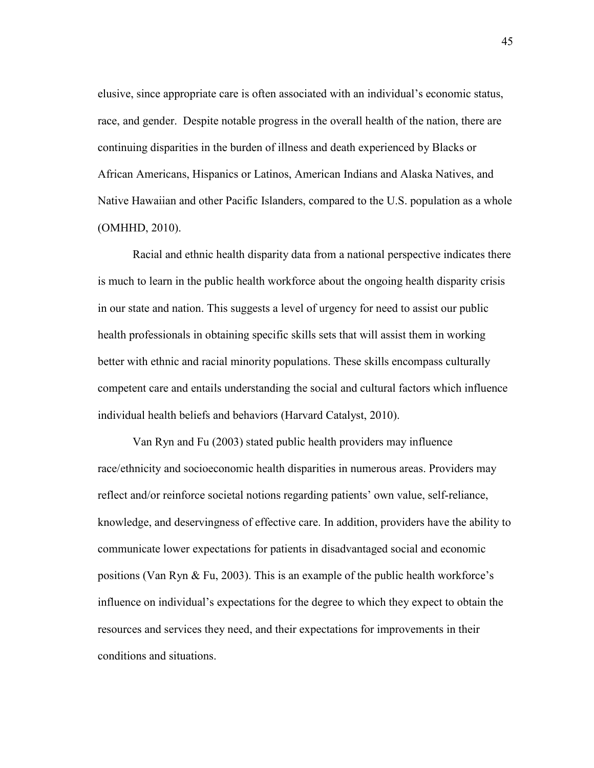elusive, since appropriate care is often associated with an individual's economic status, race, and gender. Despite notable progress in the overall health of the nation, there are continuing disparities in the burden of illness and death experienced by Blacks or African Americans, Hispanics or Latinos, American Indians and Alaska Natives, and Native Hawaiian and other Pacific Islanders, compared to the U.S. population as a whole (OMHHD, 2010).

Racial and ethnic health disparity data from a national perspective indicates there is much to learn in the public health workforce about the ongoing health disparity crisis in our state and nation. This suggests a level of urgency for need to assist our public health professionals in obtaining specific skills sets that will assist them in working better with ethnic and racial minority populations. These skills encompass culturally competent care and entails understanding the social and cultural factors which influence individual health beliefs and behaviors (Harvard Catalyst, 2010).

Van Ryn and Fu (2003) stated public health providers may influence race/ethnicity and socioeconomic health disparities in numerous areas. Providers may reflect and/or reinforce societal notions regarding patients' own value, self-reliance, knowledge, and deservingness of effective care. In addition, providers have the ability to communicate lower expectations for patients in disadvantaged social and economic positions (Van Ryn & Fu, 2003). This is an example of the public health workforce's influence on individual's expectations for the degree to which they expect to obtain the resources and services they need, and their expectations for improvements in their conditions and situations.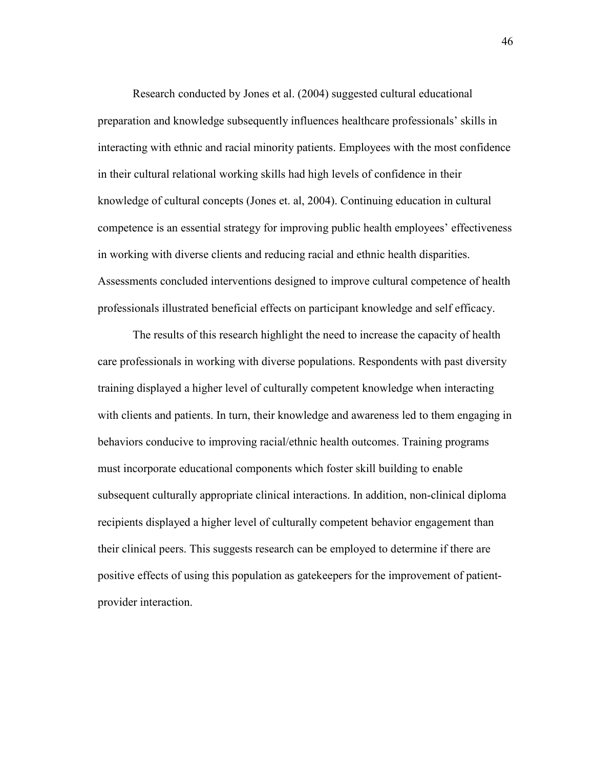Research conducted by Jones et al. (2004) suggested cultural educational preparation and knowledge subsequently influences healthcare professionals' skills in interacting with ethnic and racial minority patients. Employees with the most confidence in their cultural relational working skills had high levels of confidence in their knowledge of cultural concepts (Jones et. al, 2004). Continuing education in cultural competence is an essential strategy for improving public health employees' effectiveness in working with diverse clients and reducing racial and ethnic health disparities. Assessments concluded interventions designed to improve cultural competence of health professionals illustrated beneficial effects on participant knowledge and self efficacy.

The results of this research highlight the need to increase the capacity of health care professionals in working with diverse populations. Respondents with past diversity training displayed a higher level of culturally competent knowledge when interacting with clients and patients. In turn, their knowledge and awareness led to them engaging in behaviors conducive to improving racial/ethnic health outcomes. Training programs must incorporate educational components which foster skill building to enable subsequent culturally appropriate clinical interactions. In addition, non-clinical diploma recipients displayed a higher level of culturally competent behavior engagement than their clinical peers. This suggests research can be employed to determine if there are positive effects of using this population as gatekeepers for the improvement of patientprovider interaction.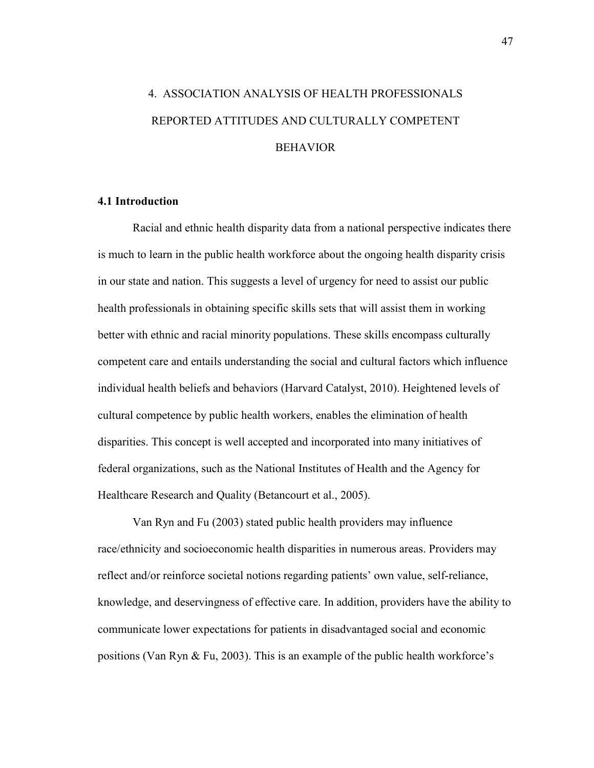# 4. ASSOCIATION ANALYSIS OF HEALTH PROFESSIONALS REPORTED ATTITUDES AND CULTURALLY COMPETENT BEHAVIOR

## **4.1 Introduction**

Racial and ethnic health disparity data from a national perspective indicates there is much to learn in the public health workforce about the ongoing health disparity crisis in our state and nation. This suggests a level of urgency for need to assist our public health professionals in obtaining specific skills sets that will assist them in working better with ethnic and racial minority populations. These skills encompass culturally competent care and entails understanding the social and cultural factors which influence individual health beliefs and behaviors (Harvard Catalyst, 2010). Heightened levels of cultural competence by public health workers, enables the elimination of health disparities. This concept is well accepted and incorporated into many initiatives of federal organizations, such as the National Institutes of Health and the Agency for Healthcare Research and Quality (Betancourt et al., 2005).

Van Ryn and Fu (2003) stated public health providers may influence race/ethnicity and socioeconomic health disparities in numerous areas. Providers may reflect and/or reinforce societal notions regarding patients' own value, self-reliance, knowledge, and deservingness of effective care. In addition, providers have the ability to communicate lower expectations for patients in disadvantaged social and economic positions (Van Ryn & Fu, 2003). This is an example of the public health workforce's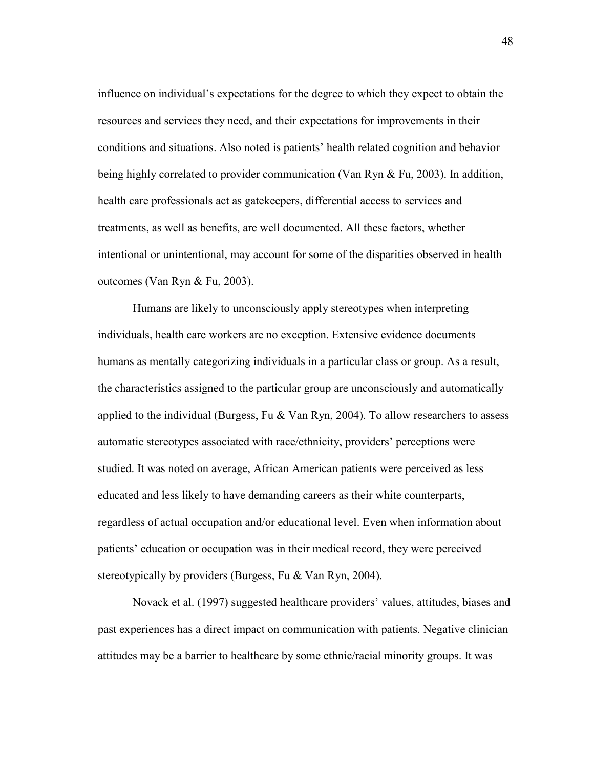influence on individual's expectations for the degree to which they expect to obtain the resources and services they need, and their expectations for improvements in their conditions and situations. Also noted is patients' health related cognition and behavior being highly correlated to provider communication (Van Ryn & Fu, 2003). In addition, health care professionals act as gatekeepers, differential access to services and treatments, as well as benefits, are well documented. All these factors, whether intentional or unintentional, may account for some of the disparities observed in health outcomes (Van Ryn & Fu, 2003).

Humans are likely to unconsciously apply stereotypes when interpreting individuals, health care workers are no exception. Extensive evidence documents humans as mentally categorizing individuals in a particular class or group. As a result, the characteristics assigned to the particular group are unconsciously and automatically applied to the individual (Burgess, Fu  $&$  Van Ryn, 2004). To allow researchers to assess automatic stereotypes associated with race/ethnicity, providers' perceptions were studied. It was noted on average, African American patients were perceived as less educated and less likely to have demanding careers as their white counterparts, regardless of actual occupation and/or educational level. Even when information about patients' education or occupation was in their medical record, they were perceived stereotypically by providers (Burgess, Fu & Van Ryn, 2004).

Novack et al. (1997) suggested healthcare providers' values, attitudes, biases and past experiences has a direct impact on communication with patients. Negative clinician attitudes may be a barrier to healthcare by some ethnic/racial minority groups. It was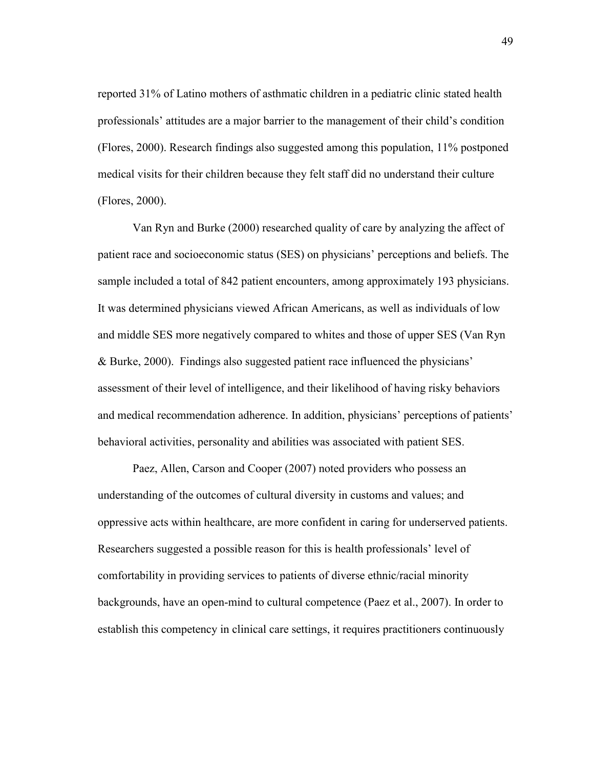reported 31% of Latino mothers of asthmatic children in a pediatric clinic stated health professionals' attitudes are a major barrier to the management of their child's condition (Flores, 2000). Research findings also suggested among this population, 11% postponed medical visits for their children because they felt staff did no understand their culture (Flores, 2000).

Van Ryn and Burke (2000) researched quality of care by analyzing the affect of patient race and socioeconomic status (SES) on physicians' perceptions and beliefs. The sample included a total of 842 patient encounters, among approximately 193 physicians. It was determined physicians viewed African Americans, as well as individuals of low and middle SES more negatively compared to whites and those of upper SES (Van Ryn & Burke, 2000). Findings also suggested patient race influenced the physicians' assessment of their level of intelligence, and their likelihood of having risky behaviors and medical recommendation adherence. In addition, physicians' perceptions of patients' behavioral activities, personality and abilities was associated with patient SES.

Paez, Allen, Carson and Cooper (2007) noted providers who possess an understanding of the outcomes of cultural diversity in customs and values; and oppressive acts within healthcare, are more confident in caring for underserved patients. Researchers suggested a possible reason for this is health professionals' level of comfortability in providing services to patients of diverse ethnic/racial minority backgrounds, have an open-mind to cultural competence (Paez et al., 2007). In order to establish this competency in clinical care settings, it requires practitioners continuously

49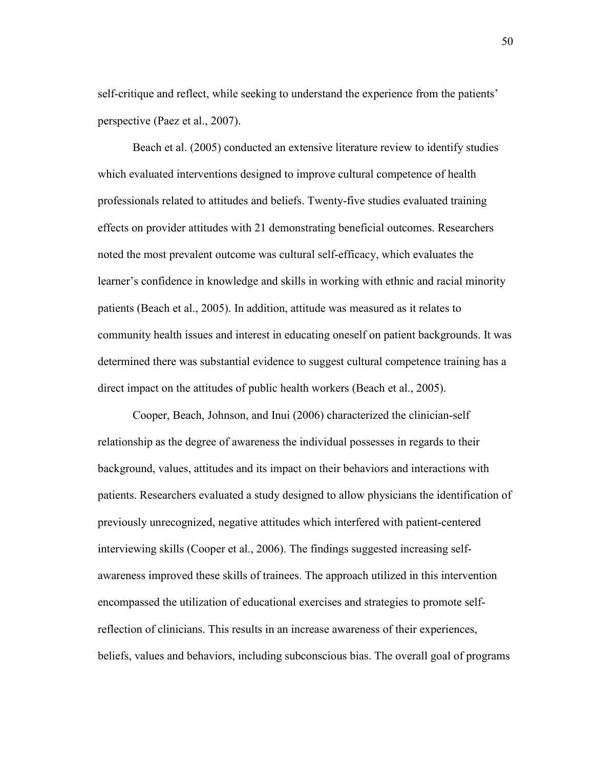self-critique and reflect, while seeking to understand the experience from the patients' perspective (Paez et al., 2007).

Beach et al. (2005) conducted an extensive literature review to identify studies which evaluated interventions designed to improve cultural competence of health professionals related to attitudes and beliefs. Twenty-five studies evaluated training effects on provider attitudes with 21 demonstrating beneficial outcomes. Researchers noted the most prevalent outcome was cultural self-efficacy, which evaluates the learner's confidence in knowledge and skills in working with ethnic and racial minority patients (Beach et al., 2005). In addition, attitude was measured as it relates to community health issues and interest in educating oneself on patient backgrounds. It was determined there was substantial evidence to suggest cultural competence training has a direct impact on the attitudes of public health workers (Beach et al., 2005).

Cooper, Beach, Johnson, and Inui (2006) characterized the clinician-self relationship as the degree of awareness the individual possesses in regards to their background, values, attitudes and its impact on their behaviors and interactions with patients. Researchers evaluated a study designed to allow physicians the identification of previously unrecognized, negative attitudes which interfered with patient-centered interviewing skills (Cooper et al., 2006). The findings suggested increasing selfawareness improved these skills of trainees. The approach utilized in this intervention encompassed the utilization of educational exercises and strategies to promote selfreflection of clinicians. This results in an increase awareness of their experiences, beliefs, values and behaviors, including subconscious bias. The overall goal of programs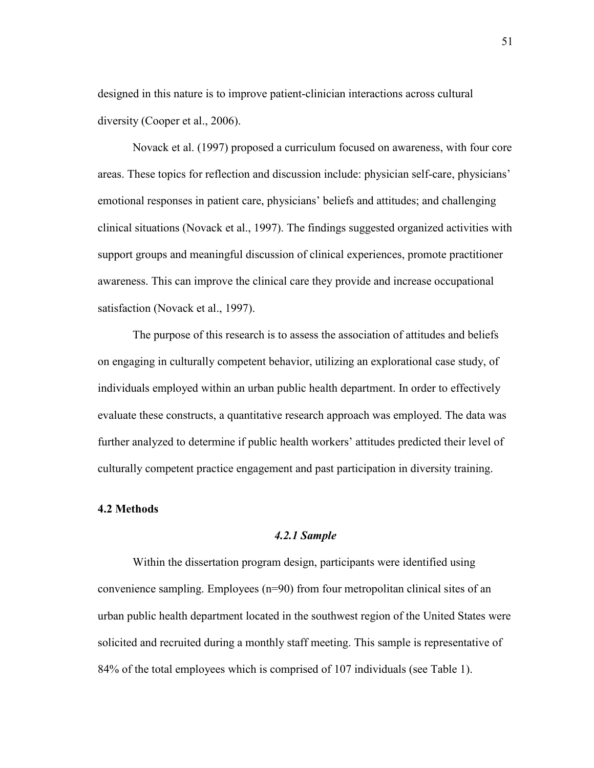designed in this nature is to improve patient-clinician interactions across cultural diversity (Cooper et al., 2006).

Novack et al. (1997) proposed a curriculum focused on awareness, with four core areas. These topics for reflection and discussion include: physician self-care, physicians' emotional responses in patient care, physicians' beliefs and attitudes; and challenging clinical situations (Novack et al., 1997). The findings suggested organized activities with support groups and meaningful discussion of clinical experiences, promote practitioner awareness. This can improve the clinical care they provide and increase occupational satisfaction (Novack et al., 1997).

 The purpose of this research is to assess the association of attitudes and beliefs on engaging in culturally competent behavior, utilizing an explorational case study, of individuals employed within an urban public health department. In order to effectively evaluate these constructs, a quantitative research approach was employed. The data was further analyzed to determine if public health workers' attitudes predicted their level of culturally competent practice engagement and past participation in diversity training.

#### **4.2 Methods**

# *4.2.1 Sample*

 Within the dissertation program design, participants were identified using convenience sampling. Employees (n=90) from four metropolitan clinical sites of an urban public health department located in the southwest region of the United States were solicited and recruited during a monthly staff meeting. This sample is representative of 84% of the total employees which is comprised of 107 individuals (see Table 1).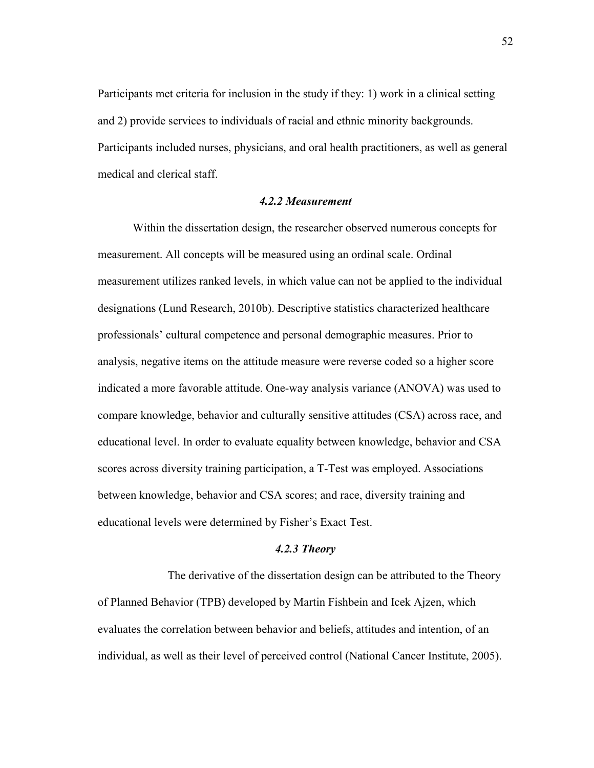Participants met criteria for inclusion in the study if they: 1) work in a clinical setting and 2) provide services to individuals of racial and ethnic minority backgrounds. Participants included nurses, physicians, and oral health practitioners, as well as general medical and clerical staff.

## *4.2.2 Measurement*

Within the dissertation design, the researcher observed numerous concepts for measurement. All concepts will be measured using an ordinal scale. Ordinal measurement utilizes ranked levels, in which value can not be applied to the individual designations (Lund Research, 2010b). Descriptive statistics characterized healthcare professionals' cultural competence and personal demographic measures. Prior to analysis, negative items on the attitude measure were reverse coded so a higher score indicated a more favorable attitude. One-way analysis variance (ANOVA) was used to compare knowledge, behavior and culturally sensitive attitudes (CSA) across race, and educational level. In order to evaluate equality between knowledge, behavior and CSA scores across diversity training participation, a T-Test was employed. Associations between knowledge, behavior and CSA scores; and race, diversity training and educational levels were determined by Fisher's Exact Test.

# *4.2.3 Theory*

 The derivative of the dissertation design can be attributed to the Theory of Planned Behavior (TPB) developed by Martin Fishbein and Icek Ajzen, which evaluates the correlation between behavior and beliefs, attitudes and intention, of an individual, as well as their level of perceived control (National Cancer Institute, 2005).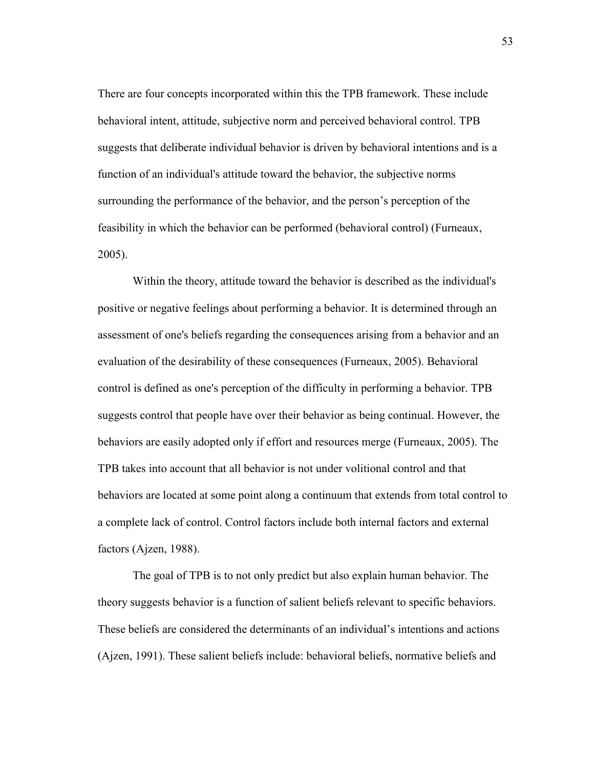There are four concepts incorporated within this the TPB framework. These include behavioral intent, attitude, subjective norm and perceived behavioral control. TPB suggests that deliberate individual behavior is driven by behavioral intentions and is a function of an individual's attitude toward the behavior, the subjective norms surrounding the performance of the behavior, and the person's perception of the feasibility in which the behavior can be performed (behavioral control) (Furneaux, 2005).

Within the theory, attitude toward the behavior is described as the individual's positive or negative feelings about performing a behavior. It is determined through an assessment of one's beliefs regarding the consequences arising from a behavior and an evaluation of the desirability of these consequences (Furneaux, 2005). Behavioral control is defined as one's perception of the difficulty in performing a behavior. TPB suggests control that people have over their behavior as being continual. However, the behaviors are easily adopted only if effort and resources merge (Furneaux, 2005). The TPB takes into account that all behavior is not under volitional control and that behaviors are located at some point along a continuum that extends from total control to a complete lack of control. Control factors include both internal factors and external factors (Ajzen, 1988).

The goal of TPB is to not only predict but also explain human behavior. The theory suggests behavior is a function of salient beliefs relevant to specific behaviors. These beliefs are considered the determinants of an individual's intentions and actions (Ajzen, 1991). These salient beliefs include: behavioral beliefs, normative beliefs and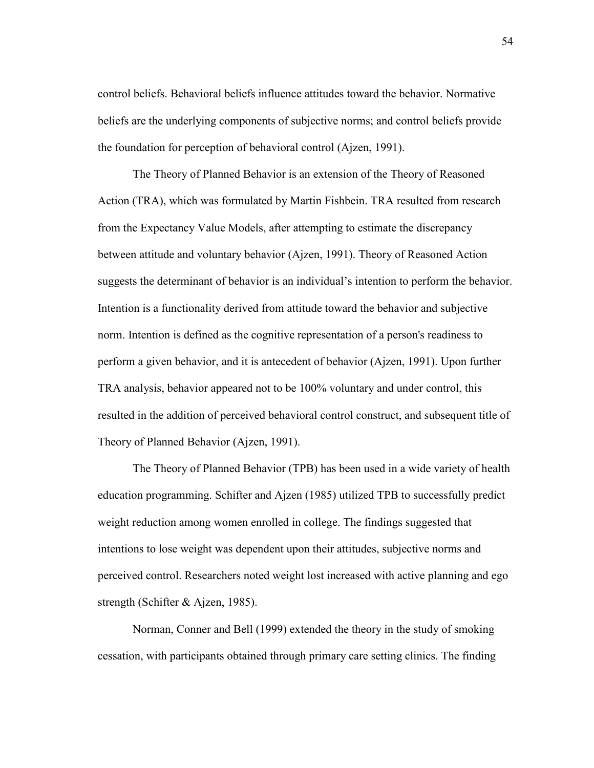control beliefs. Behavioral beliefs influence attitudes toward the behavior. Normative beliefs are the underlying components of subjective norms; and control beliefs provide the foundation for perception of behavioral control (Ajzen, 1991).

The Theory of Planned Behavior is an extension of the Theory of Reasoned Action (TRA), which was formulated by Martin Fishbein. TRA resulted from research from the Expectancy Value Models, after attempting to estimate the discrepancy between attitude and voluntary behavior (Ajzen, 1991). Theory of Reasoned Action suggests the determinant of behavior is an individual's intention to perform the behavior. Intention is a functionality derived from attitude toward the behavior and subjective norm. Intention is defined as the cognitive representation of a person's readiness to perform a given behavior, and it is antecedent of behavior (Ajzen, 1991). Upon further TRA analysis, behavior appeared not to be 100% voluntary and under control, this resulted in the addition of perceived behavioral control construct, and subsequent title of Theory of Planned Behavior (Ajzen, 1991).

The Theory of Planned Behavior (TPB) has been used in a wide variety of health education programming. Schifter and Ajzen (1985) utilized TPB to successfully predict weight reduction among women enrolled in college. The findings suggested that intentions to lose weight was dependent upon their attitudes, subjective norms and perceived control. Researchers noted weight lost increased with active planning and ego strength (Schifter & Ajzen, 1985).

Norman, Conner and Bell (1999) extended the theory in the study of smoking cessation, with participants obtained through primary care setting clinics. The finding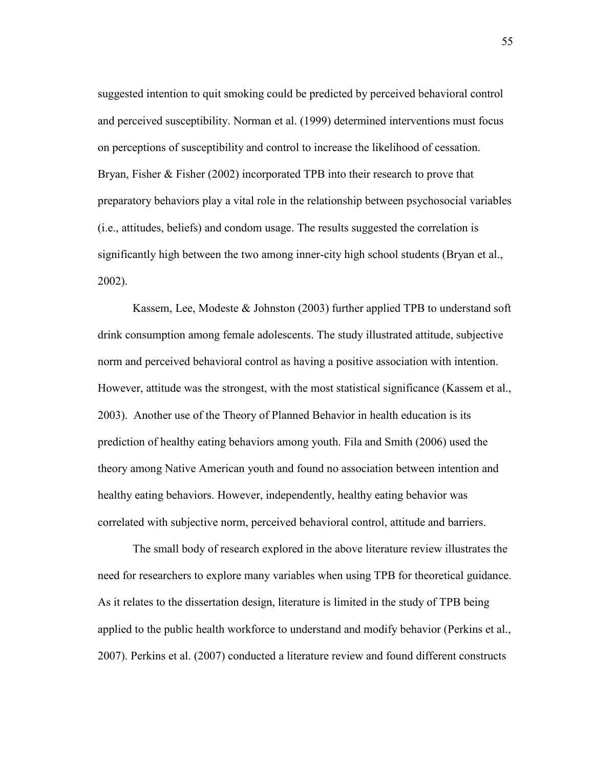suggested intention to quit smoking could be predicted by perceived behavioral control and perceived susceptibility. Norman et al. (1999) determined interventions must focus on perceptions of susceptibility and control to increase the likelihood of cessation. Bryan, Fisher & Fisher (2002) incorporated TPB into their research to prove that preparatory behaviors play a vital role in the relationship between psychosocial variables (i.e., attitudes, beliefs) and condom usage. The results suggested the correlation is significantly high between the two among inner-city high school students (Bryan et al., 2002).

Kassem, Lee, Modeste & Johnston (2003) further applied TPB to understand soft drink consumption among female adolescents. The study illustrated attitude, subjective norm and perceived behavioral control as having a positive association with intention. However, attitude was the strongest, with the most statistical significance (Kassem et al., 2003). Another use of the Theory of Planned Behavior in health education is its prediction of healthy eating behaviors among youth. Fila and Smith (2006) used the theory among Native American youth and found no association between intention and healthy eating behaviors. However, independently, healthy eating behavior was correlated with subjective norm, perceived behavioral control, attitude and barriers.

 The small body of research explored in the above literature review illustrates the need for researchers to explore many variables when using TPB for theoretical guidance. As it relates to the dissertation design, literature is limited in the study of TPB being applied to the public health workforce to understand and modify behavior (Perkins et al., 2007). Perkins et al. (2007) conducted a literature review and found different constructs

55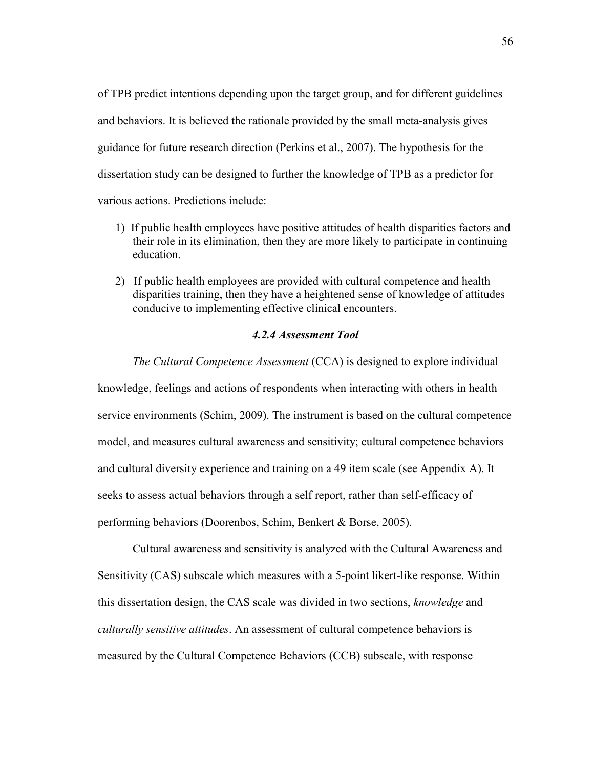of TPB predict intentions depending upon the target group, and for different guidelines and behaviors. It is believed the rationale provided by the small meta-analysis gives guidance for future research direction (Perkins et al., 2007). The hypothesis for the dissertation study can be designed to further the knowledge of TPB as a predictor for various actions. Predictions include:

- 1) If public health employees have positive attitudes of health disparities factors and their role in its elimination, then they are more likely to participate in continuing education.
- 2) If public health employees are provided with cultural competence and health disparities training, then they have a heightened sense of knowledge of attitudes conducive to implementing effective clinical encounters.

# *4.2.4 Assessment Tool*

*The Cultural Competence Assessment* (CCA) is designed to explore individual knowledge, feelings and actions of respondents when interacting with others in health service environments (Schim, 2009). The instrument is based on the cultural competence model, and measures cultural awareness and sensitivity; cultural competence behaviors and cultural diversity experience and training on a 49 item scale (see Appendix A). It seeks to assess actual behaviors through a self report, rather than self-efficacy of performing behaviors (Doorenbos, Schim, Benkert & Borse, 2005).

Cultural awareness and sensitivity is analyzed with the Cultural Awareness and Sensitivity (CAS) subscale which measures with a 5-point likert-like response. Within this dissertation design, the CAS scale was divided in two sections, *knowledge* and *culturally sensitive attitudes*. An assessment of cultural competence behaviors is measured by the Cultural Competence Behaviors (CCB) subscale, with response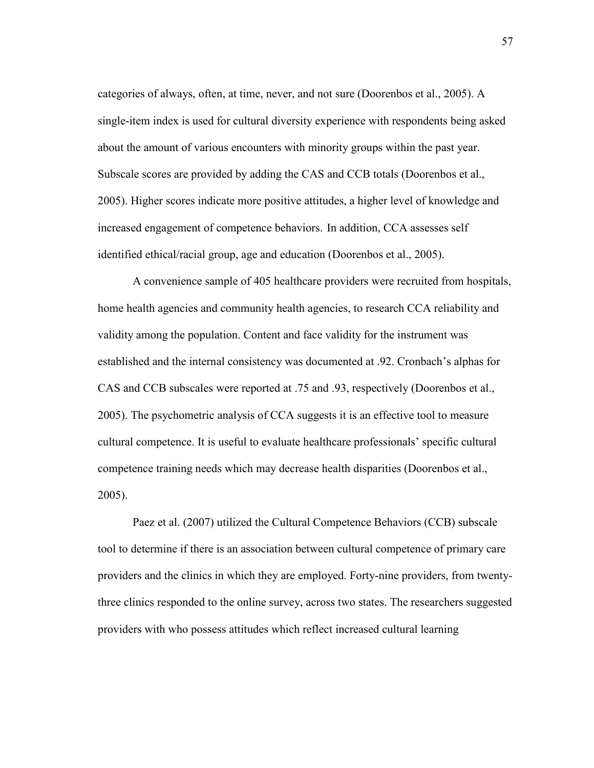categories of always, often, at time, never, and not sure (Doorenbos et al., 2005). A single-item index is used for cultural diversity experience with respondents being asked about the amount of various encounters with minority groups within the past year. Subscale scores are provided by adding the CAS and CCB totals (Doorenbos et al., 2005). Higher scores indicate more positive attitudes, a higher level of knowledge and increased engagement of competence behaviors. In addition, CCA assesses self identified ethical/racial group, age and education (Doorenbos et al., 2005).

A convenience sample of 405 healthcare providers were recruited from hospitals, home health agencies and community health agencies, to research CCA reliability and validity among the population. Content and face validity for the instrument was established and the internal consistency was documented at .92. Cronbach's alphas for CAS and CCB subscales were reported at .75 and .93, respectively (Doorenbos et al., 2005). The psychometric analysis of CCA suggests it is an effective tool to measure cultural competence. It is useful to evaluate healthcare professionals' specific cultural competence training needs which may decrease health disparities (Doorenbos et al., 2005).

Paez et al. (2007) utilized the Cultural Competence Behaviors (CCB) subscale tool to determine if there is an association between cultural competence of primary care providers and the clinics in which they are employed. Forty-nine providers, from twentythree clinics responded to the online survey, across two states. The researchers suggested providers with who possess attitudes which reflect increased cultural learning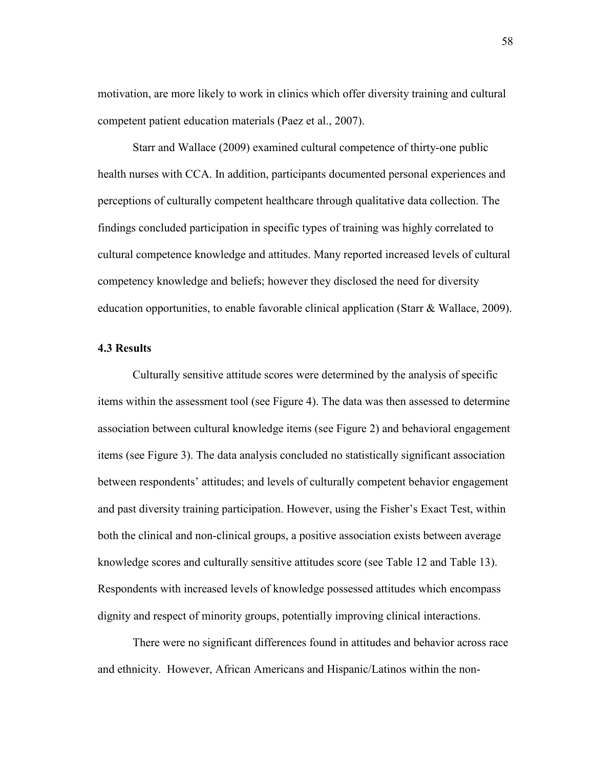motivation, are more likely to work in clinics which offer diversity training and cultural competent patient education materials (Paez et al., 2007).

Starr and Wallace (2009) examined cultural competence of thirty-one public health nurses with CCA. In addition, participants documented personal experiences and perceptions of culturally competent healthcare through qualitative data collection. The findings concluded participation in specific types of training was highly correlated to cultural competence knowledge and attitudes. Many reported increased levels of cultural competency knowledge and beliefs; however they disclosed the need for diversity education opportunities, to enable favorable clinical application (Starr & Wallace, 2009).

# **4.3 Results**

Culturally sensitive attitude scores were determined by the analysis of specific items within the assessment tool (see Figure 4). The data was then assessed to determine association between cultural knowledge items (see Figure 2) and behavioral engagement items (see Figure 3). The data analysis concluded no statistically significant association between respondents' attitudes; and levels of culturally competent behavior engagement and past diversity training participation. However, using the Fisher's Exact Test, within both the clinical and non-clinical groups, a positive association exists between average knowledge scores and culturally sensitive attitudes score (see Table 12 and Table 13). Respondents with increased levels of knowledge possessed attitudes which encompass dignity and respect of minority groups, potentially improving clinical interactions.

There were no significant differences found in attitudes and behavior across race and ethnicity. However, African Americans and Hispanic/Latinos within the non-

58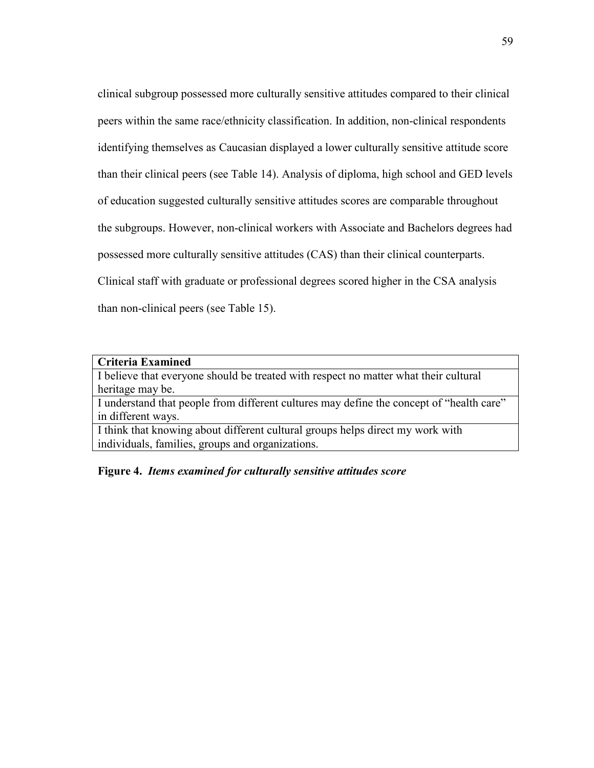clinical subgroup possessed more culturally sensitive attitudes compared to their clinical peers within the same race/ethnicity classification. In addition, non-clinical respondents identifying themselves as Caucasian displayed a lower culturally sensitive attitude score than their clinical peers (see Table 14). Analysis of diploma, high school and GED levels of education suggested culturally sensitive attitudes scores are comparable throughout the subgroups. However, non-clinical workers with Associate and Bachelors degrees had possessed more culturally sensitive attitudes (CAS) than their clinical counterparts. Clinical staff with graduate or professional degrees scored higher in the CSA analysis than non-clinical peers (see Table 15).

#### **Criteria Examined**

I believe that everyone should be treated with respect no matter what their cultural heritage may be.

I understand that people from different cultures may define the concept of "health care" in different ways.

I think that knowing about different cultural groups helps direct my work with individuals, families, groups and organizations.

# **Figure 4.** *Items examined for culturally sensitive attitudes score*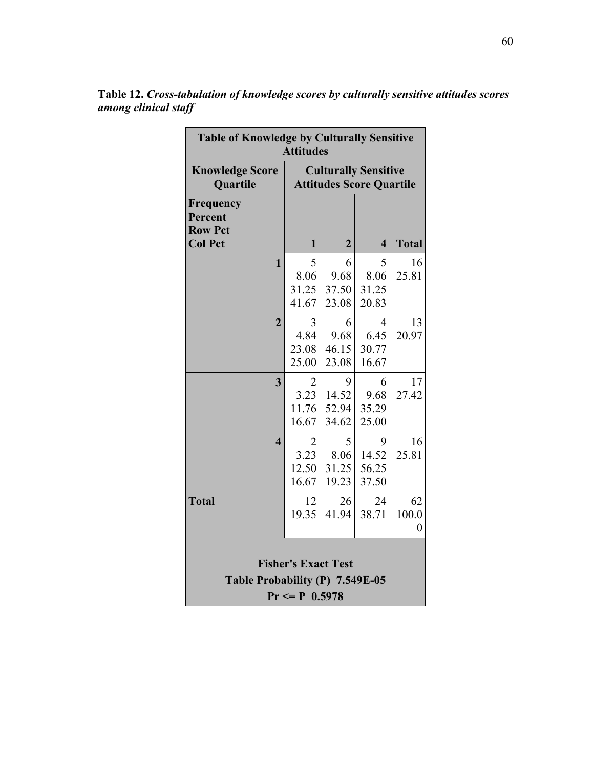| <b>Table of Knowledge by Culturally Sensitive</b><br><b>Attitudes</b>              |                                                                |                              |                              |                               |  |
|------------------------------------------------------------------------------------|----------------------------------------------------------------|------------------------------|------------------------------|-------------------------------|--|
| <b>Knowledge Score</b><br>Quartile                                                 | <b>Culturally Sensitive</b><br><b>Attitudes Score Quartile</b> |                              |                              |                               |  |
| Frequency<br>Percent<br><b>Row Pct</b>                                             |                                                                |                              |                              |                               |  |
| <b>Col Pct</b>                                                                     | $\mathbf{1}$                                                   | $\overline{2}$               | $\overline{\mathbf{4}}$      | <b>Total</b>                  |  |
| $\mathbf{1}$                                                                       | 5<br>8.06<br>31.25<br>41.67                                    | 6<br>9.68<br>37.50<br>23.08  | 5<br>8.06<br>31.25<br>20.83  | 16<br>25.81                   |  |
| $\overline{2}$                                                                     | 3<br>4.84<br>23.08<br>25.00                                    | 6<br>9.68<br>46.15<br>23.08  | 4<br>6.45<br>30.77<br>16.67  | 13<br>20.97                   |  |
| 3                                                                                  | $\overline{2}$<br>3.23<br>11.76<br>16.67                       | 9<br>14.52<br>52.94<br>34.62 | 6<br>9.68<br>35.29<br>25.00  | 17<br>27.42                   |  |
| $\overline{\mathbf{4}}$                                                            | 2<br>3.23<br>12.50<br>16.67                                    | 5<br>8.06<br>31.25<br>19.23  | 9<br>14.52<br>56.25<br>37.50 | 16<br>25.81                   |  |
| <b>Total</b>                                                                       | 12<br>19.35                                                    | 26<br>41.94                  | 24<br>38.71                  | 62<br>100.0<br>$\overline{0}$ |  |
| <b>Fisher's Exact Test</b><br>Table Probability (P) 7.549E-05<br>$Pr \le P 0.5978$ |                                                                |                              |                              |                               |  |

**Table 12.** *Cross-tabulation of knowledge scores by culturally sensitive attitudes scores among clinical staff*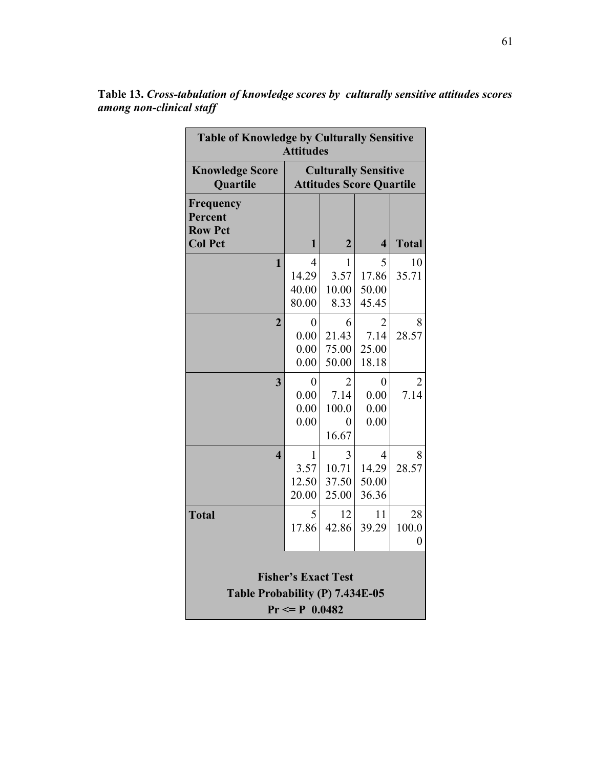| <b>Table of Knowledge by Culturally Sensitive</b><br><b>Attitudes</b>              |                                          |                                                                |                                          |                               |  |  |  |  |  |
|------------------------------------------------------------------------------------|------------------------------------------|----------------------------------------------------------------|------------------------------------------|-------------------------------|--|--|--|--|--|
| <b>Knowledge Score</b><br><b>Quartile</b>                                          |                                          | <b>Culturally Sensitive</b><br><b>Attitudes Score Quartile</b> |                                          |                               |  |  |  |  |  |
| <b>Frequency</b><br>Percent<br><b>Row Pct</b><br><b>Col Pct</b>                    | 1                                        | $\overline{2}$                                                 | $\overline{\mathbf{4}}$                  | <b>Total</b>                  |  |  |  |  |  |
| $\mathbf{1}$                                                                       | 4<br>14.29<br>40.00<br>80.00             | 1<br>3.57<br>10.00<br>8.33                                     | 5<br>17.86<br>50.00<br>45.45             | 10<br>35.71                   |  |  |  |  |  |
| $\overline{2}$                                                                     | $\boldsymbol{0}$<br>0.00<br>0.00<br>0.00 | 6<br>21.43<br>75.00<br>50.00                                   | $\overline{2}$<br>7.14<br>25.00<br>18.18 | 8<br>28.57                    |  |  |  |  |  |
| $\overline{\mathbf{3}}$                                                            | 0<br>0.00<br>0.00<br>0.00                | $\overline{2}$<br>7.14<br>100.0<br>$\theta$<br>16.67           | $\boldsymbol{0}$<br>0.00<br>0.00<br>0.00 | 2<br>7.14                     |  |  |  |  |  |
| $\overline{\mathbf{4}}$                                                            | 1<br>3.57<br>12.50<br>20.00              | 3<br>10.71<br>37.50<br>25.00                                   | 4<br>14.29<br>50.00<br>36.36             | 8<br>28.57                    |  |  |  |  |  |
| <b>Total</b>                                                                       | 5<br>17.86                               | 12<br>42.86                                                    | 11<br>39.29                              | 28<br>100.0<br>$\overline{0}$ |  |  |  |  |  |
| <b>Fisher's Exact Test</b><br>Table Probability (P) 7.434E-05<br>$Pr \le P 0.0482$ |                                          |                                                                |                                          |                               |  |  |  |  |  |

**Table 13.** *Cross-tabulation of knowledge scores by culturally sensitive attitudes scores among non-clinical staff*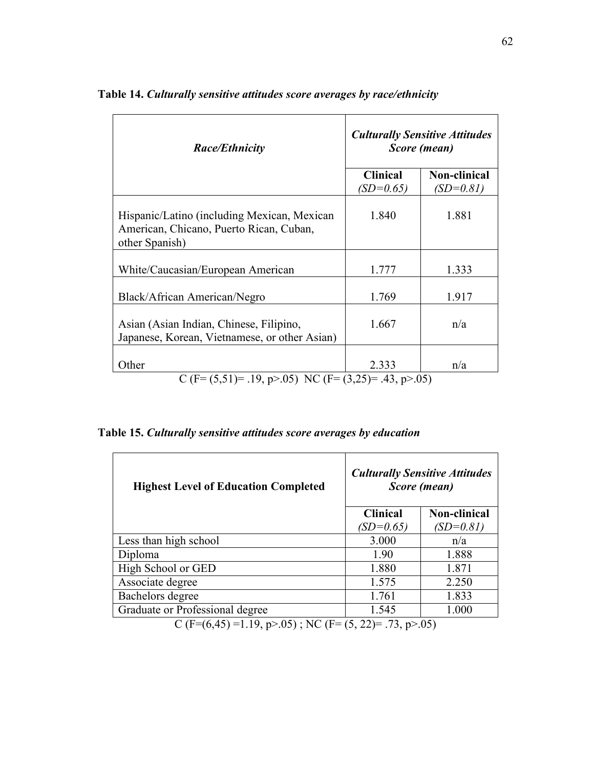| <b>Culturally Sensitive Attitudes</b><br>Score (mean) |                                                            |  |  |
|-------------------------------------------------------|------------------------------------------------------------|--|--|
| <b>Clinical</b><br>$(SD=0.65)$                        | <b>Non-clinical</b><br>$(SD=0.81)$                         |  |  |
| 1.840                                                 | 1.881                                                      |  |  |
| 1.777                                                 | 1.333                                                      |  |  |
| 1.769                                                 | 1.917                                                      |  |  |
| 1.667                                                 | n/a                                                        |  |  |
| 2.333                                                 | n/a                                                        |  |  |
|                                                       | C (F= $(5,51)$ = .19, p>.05) NC (F= $(3,25)$ = .43, p>.05) |  |  |

**Table 14.** *Culturally sensitive attitudes score averages by race/ethnicity*

**Table 15.** *Culturally sensitive attitudes score averages by education* 

| <b>Highest Level of Education Completed</b>                          |                 | <b>Culturally Sensitive Attitudes</b><br>Score (mean) |  |  |  |
|----------------------------------------------------------------------|-----------------|-------------------------------------------------------|--|--|--|
|                                                                      | <b>Clinical</b> | <b>Non-clinical</b>                                   |  |  |  |
|                                                                      | $(SD=0.65)$     | $(SD=0.81)$                                           |  |  |  |
| Less than high school                                                | 3.000           | n/a                                                   |  |  |  |
| Diploma                                                              | 1.90            | 1.888                                                 |  |  |  |
| High School or GED                                                   | 1.880           | 1.871                                                 |  |  |  |
| Associate degree                                                     | 1.575           | 2.250                                                 |  |  |  |
| Bachelors degree                                                     | 1.761           | 1.833                                                 |  |  |  |
| Graduate or Professional degree                                      | 1.545           | 1.000                                                 |  |  |  |
| $C(E-(6.45) - 1.10 \times 0.5)$ , NIC $(E - (5.22) - 72 \times 0.5)$ |                 |                                                       |  |  |  |

C (F= $(6,45)$  =1.19, p>.05); NC (F= $(5, 22)$ = .73, p>.05)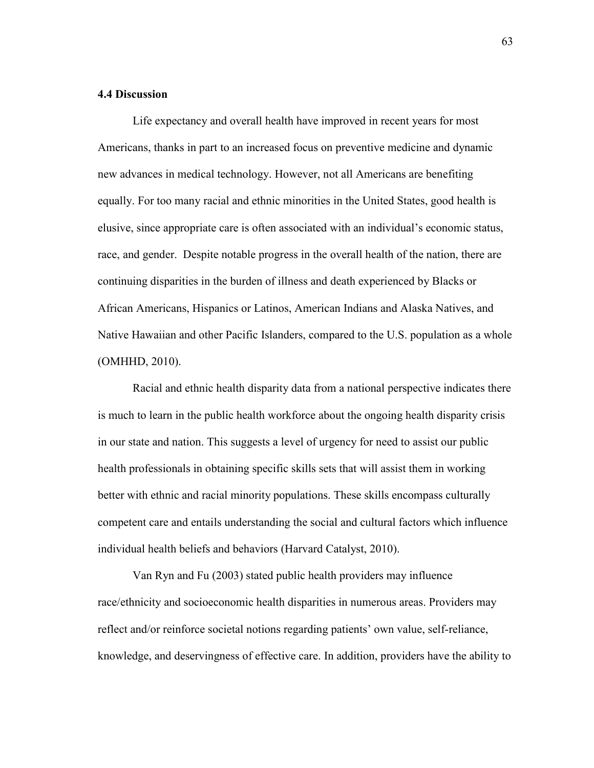#### **4.4 Discussion**

Life expectancy and overall health have improved in recent years for most Americans, thanks in part to an increased focus on preventive medicine and dynamic new advances in medical technology. However, not all Americans are benefiting equally. For too many racial and ethnic minorities in the United States, good health is elusive, since appropriate care is often associated with an individual's economic status, race, and gender. Despite notable progress in the overall health of the nation, there are continuing disparities in the burden of illness and death experienced by Blacks or African Americans, Hispanics or Latinos, American Indians and Alaska Natives, and Native Hawaiian and other Pacific Islanders, compared to the U.S. population as a whole (OMHHD, 2010).

Racial and ethnic health disparity data from a national perspective indicates there is much to learn in the public health workforce about the ongoing health disparity crisis in our state and nation. This suggests a level of urgency for need to assist our public health professionals in obtaining specific skills sets that will assist them in working better with ethnic and racial minority populations. These skills encompass culturally competent care and entails understanding the social and cultural factors which influence individual health beliefs and behaviors (Harvard Catalyst, 2010).

Van Ryn and Fu (2003) stated public health providers may influence race/ethnicity and socioeconomic health disparities in numerous areas. Providers may reflect and/or reinforce societal notions regarding patients' own value, self-reliance, knowledge, and deservingness of effective care. In addition, providers have the ability to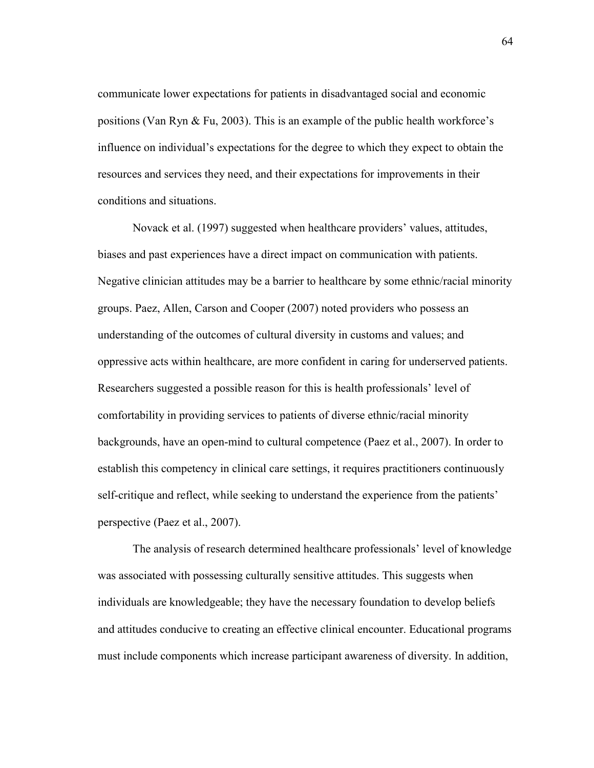communicate lower expectations for patients in disadvantaged social and economic positions (Van Ryn & Fu, 2003). This is an example of the public health workforce's influence on individual's expectations for the degree to which they expect to obtain the resources and services they need, and their expectations for improvements in their conditions and situations.

Novack et al. (1997) suggested when healthcare providers' values, attitudes, biases and past experiences have a direct impact on communication with patients. Negative clinician attitudes may be a barrier to healthcare by some ethnic/racial minority groups. Paez, Allen, Carson and Cooper (2007) noted providers who possess an understanding of the outcomes of cultural diversity in customs and values; and oppressive acts within healthcare, are more confident in caring for underserved patients. Researchers suggested a possible reason for this is health professionals' level of comfortability in providing services to patients of diverse ethnic/racial minority backgrounds, have an open-mind to cultural competence (Paez et al., 2007). In order to establish this competency in clinical care settings, it requires practitioners continuously self-critique and reflect, while seeking to understand the experience from the patients' perspective (Paez et al., 2007).

 The analysis of research determined healthcare professionals' level of knowledge was associated with possessing culturally sensitive attitudes. This suggests when individuals are knowledgeable; they have the necessary foundation to develop beliefs and attitudes conducive to creating an effective clinical encounter. Educational programs must include components which increase participant awareness of diversity. In addition,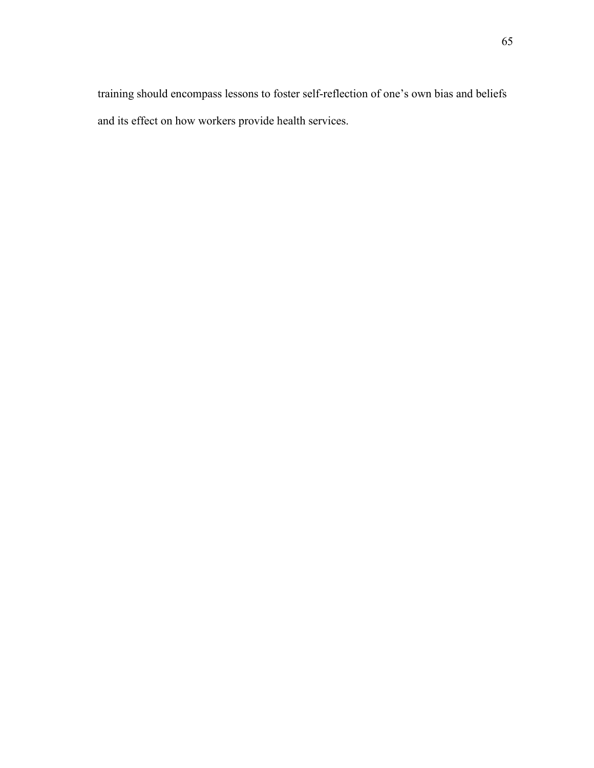training should encompass lessons to foster self-reflection of one's own bias and beliefs and its effect on how workers provide health services.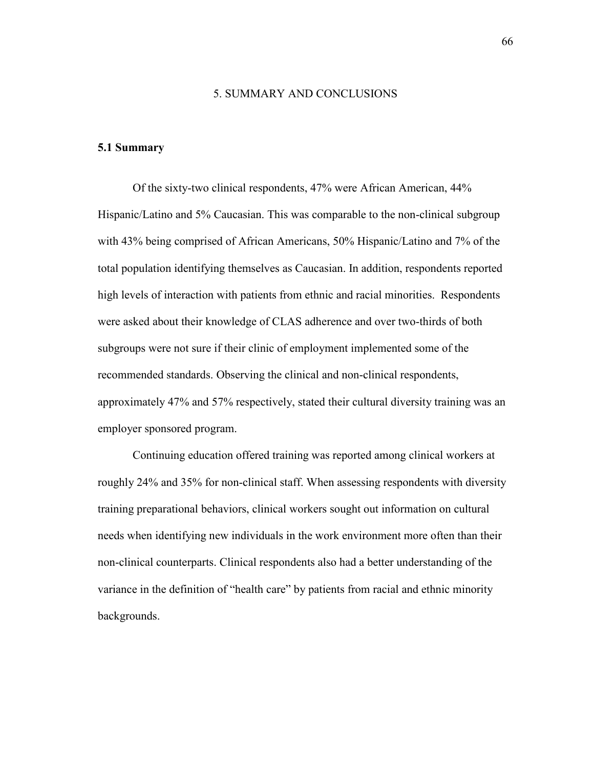#### 5. SUMMARY AND CONCLUSIONS

## **5.1 Summary**

Of the sixty-two clinical respondents, 47% were African American, 44% Hispanic/Latino and 5% Caucasian. This was comparable to the non-clinical subgroup with 43% being comprised of African Americans, 50% Hispanic/Latino and 7% of the total population identifying themselves as Caucasian. In addition, respondents reported high levels of interaction with patients from ethnic and racial minorities. Respondents were asked about their knowledge of CLAS adherence and over two-thirds of both subgroups were not sure if their clinic of employment implemented some of the recommended standards. Observing the clinical and non-clinical respondents, approximately 47% and 57% respectively, stated their cultural diversity training was an employer sponsored program.

 Continuing education offered training was reported among clinical workers at roughly 24% and 35% for non-clinical staff. When assessing respondents with diversity training preparational behaviors, clinical workers sought out information on cultural needs when identifying new individuals in the work environment more often than their non-clinical counterparts. Clinical respondents also had a better understanding of the variance in the definition of "health care" by patients from racial and ethnic minority backgrounds.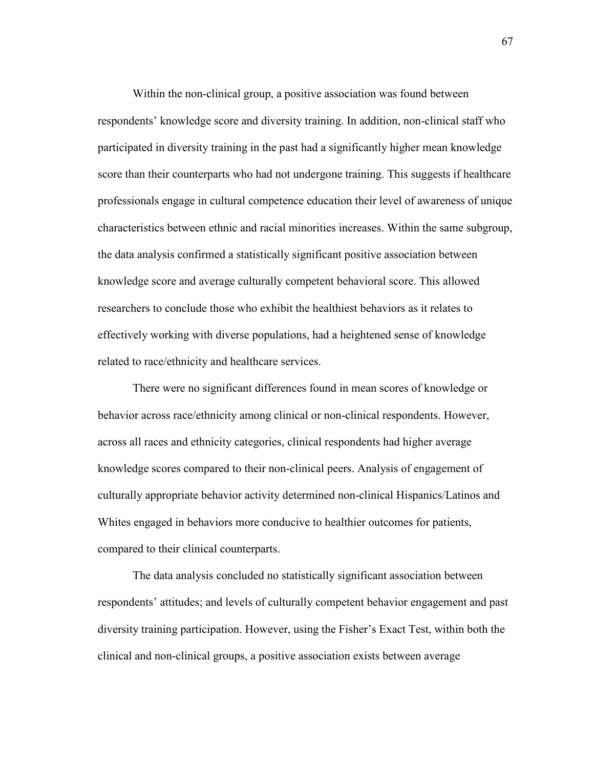Within the non-clinical group, a positive association was found between respondents' knowledge score and diversity training. In addition, non-clinical staff who participated in diversity training in the past had a significantly higher mean knowledge score than their counterparts who had not undergone training. This suggests if healthcare professionals engage in cultural competence education their level of awareness of unique characteristics between ethnic and racial minorities increases. Within the same subgroup, the data analysis confirmed a statistically significant positive association between knowledge score and average culturally competent behavioral score. This allowed researchers to conclude those who exhibit the healthiest behaviors as it relates to effectively working with diverse populations, had a heightened sense of knowledge related to race/ethnicity and healthcare services.

There were no significant differences found in mean scores of knowledge or behavior across race/ethnicity among clinical or non-clinical respondents. However, across all races and ethnicity categories, clinical respondents had higher average knowledge scores compared to their non-clinical peers. Analysis of engagement of culturally appropriate behavior activity determined non-clinical Hispanics/Latinos and Whites engaged in behaviors more conducive to healthier outcomes for patients, compared to their clinical counterparts.

The data analysis concluded no statistically significant association between respondents' attitudes; and levels of culturally competent behavior engagement and past diversity training participation. However, using the Fisher's Exact Test, within both the clinical and non-clinical groups, a positive association exists between average

67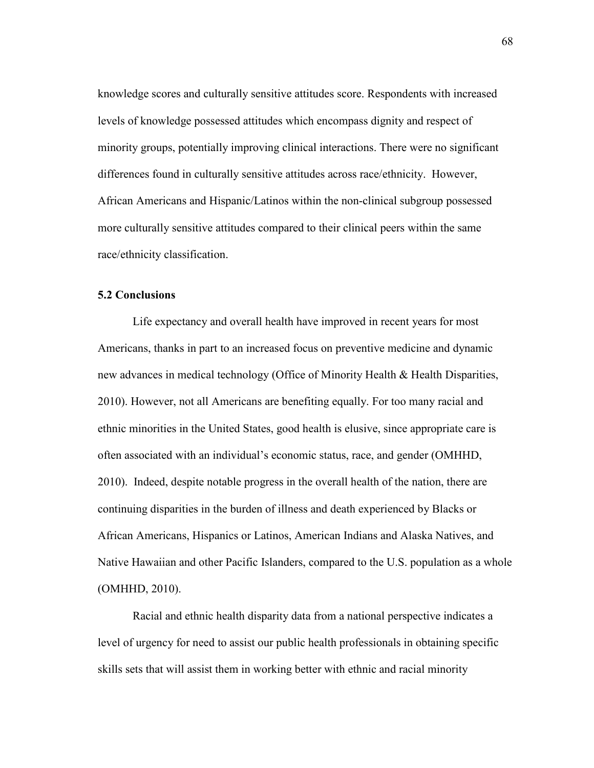knowledge scores and culturally sensitive attitudes score. Respondents with increased levels of knowledge possessed attitudes which encompass dignity and respect of minority groups, potentially improving clinical interactions. There were no significant differences found in culturally sensitive attitudes across race/ethnicity. However, African Americans and Hispanic/Latinos within the non-clinical subgroup possessed more culturally sensitive attitudes compared to their clinical peers within the same race/ethnicity classification.

### **5.2 Conclusions**

Life expectancy and overall health have improved in recent years for most Americans, thanks in part to an increased focus on preventive medicine and dynamic new advances in medical technology (Office of Minority Health & Health Disparities, 2010). However, not all Americans are benefiting equally. For too many racial and ethnic minorities in the United States, good health is elusive, since appropriate care is often associated with an individual's economic status, race, and gender (OMHHD, 2010). Indeed, despite notable progress in the overall health of the nation, there are continuing disparities in the burden of illness and death experienced by Blacks or African Americans, Hispanics or Latinos, American Indians and Alaska Natives, and Native Hawaiian and other Pacific Islanders, compared to the U.S. population as a whole (OMHHD, 2010).

Racial and ethnic health disparity data from a national perspective indicates a level of urgency for need to assist our public health professionals in obtaining specific skills sets that will assist them in working better with ethnic and racial minority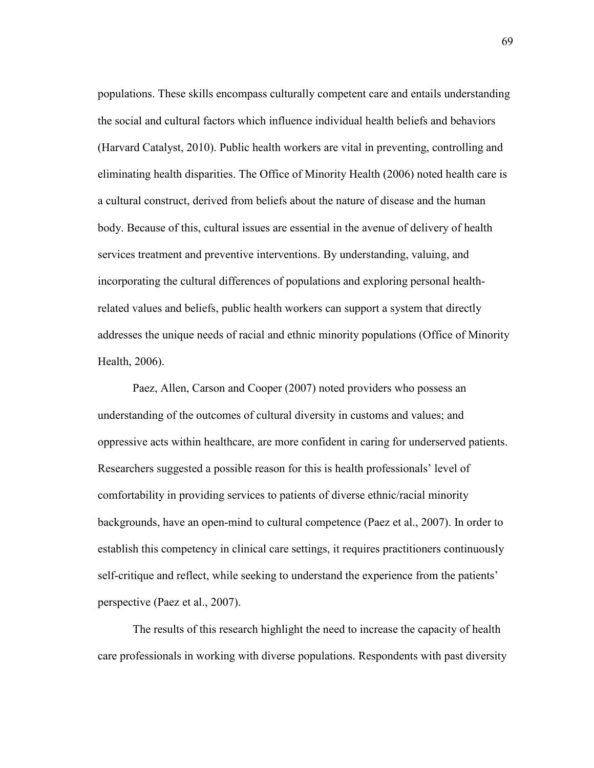populations. These skills encompass culturally competent care and entails understanding the social and cultural factors which influence individual health beliefs and behaviors (Harvard Catalyst, 2010). Public health workers are vital in preventing, controlling and eliminating health disparities. The Office of Minority Health (2006) noted health care is a cultural construct, derived from beliefs about the nature of disease and the human body. Because of this, cultural issues are essential in the avenue of delivery of health services treatment and preventive interventions. By understanding, valuing, and incorporating the cultural differences of populations and exploring personal healthrelated values and beliefs, public health workers can support a system that directly addresses the unique needs of racial and ethnic minority populations (Office of Minority Health, 2006).

Paez, Allen, Carson and Cooper (2007) noted providers who possess an understanding of the outcomes of cultural diversity in customs and values; and oppressive acts within healthcare, are more confident in caring for underserved patients. Researchers suggested a possible reason for this is health professionals' level of comfortability in providing services to patients of diverse ethnic/racial minority backgrounds, have an open-mind to cultural competence (Paez et al., 2007). In order to establish this competency in clinical care settings, it requires practitioners continuously self-critique and reflect, while seeking to understand the experience from the patients' perspective (Paez et al., 2007).

The results of this research highlight the need to increase the capacity of health care professionals in working with diverse populations. Respondents with past diversity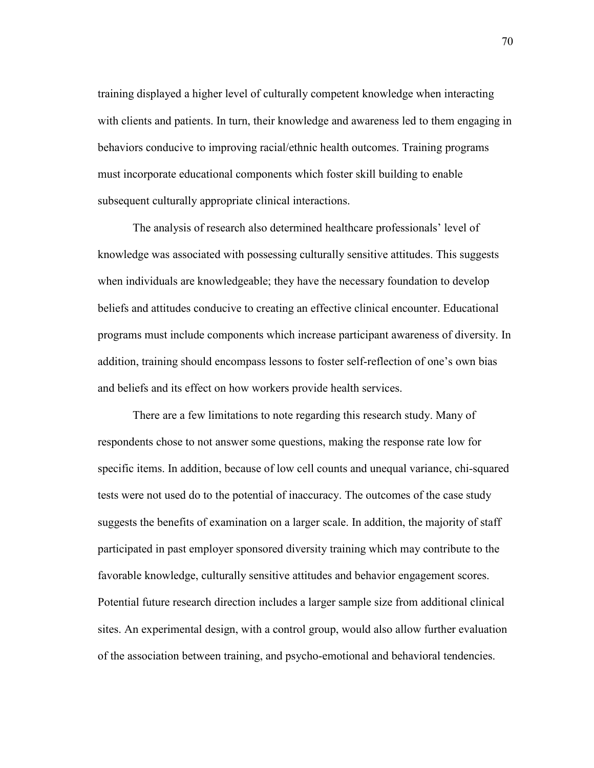training displayed a higher level of culturally competent knowledge when interacting with clients and patients. In turn, their knowledge and awareness led to them engaging in behaviors conducive to improving racial/ethnic health outcomes. Training programs must incorporate educational components which foster skill building to enable subsequent culturally appropriate clinical interactions.

The analysis of research also determined healthcare professionals' level of knowledge was associated with possessing culturally sensitive attitudes. This suggests when individuals are knowledgeable; they have the necessary foundation to develop beliefs and attitudes conducive to creating an effective clinical encounter. Educational programs must include components which increase participant awareness of diversity. In addition, training should encompass lessons to foster self-reflection of one's own bias and beliefs and its effect on how workers provide health services.

There are a few limitations to note regarding this research study. Many of respondents chose to not answer some questions, making the response rate low for specific items. In addition, because of low cell counts and unequal variance, chi-squared tests were not used do to the potential of inaccuracy. The outcomes of the case study suggests the benefits of examination on a larger scale. In addition, the majority of staff participated in past employer sponsored diversity training which may contribute to the favorable knowledge, culturally sensitive attitudes and behavior engagement scores. Potential future research direction includes a larger sample size from additional clinical sites. An experimental design, with a control group, would also allow further evaluation of the association between training, and psycho-emotional and behavioral tendencies.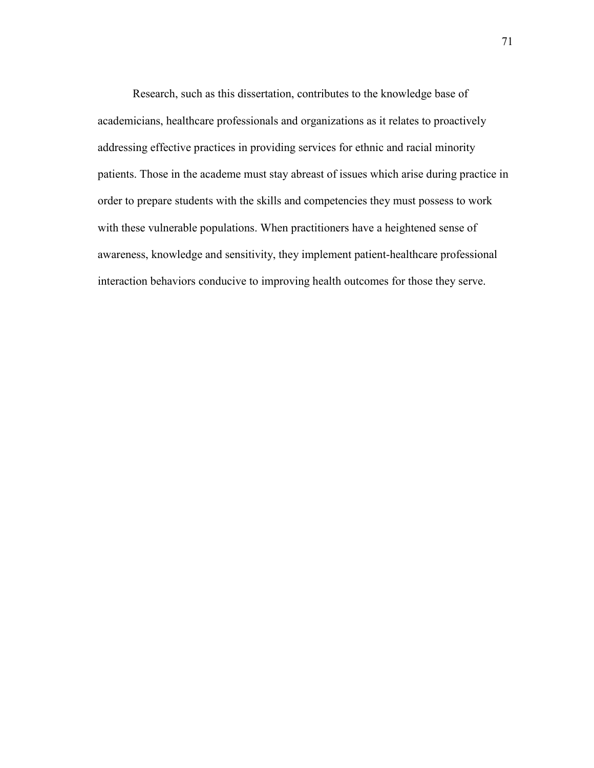Research, such as this dissertation, contributes to the knowledge base of academicians, healthcare professionals and organizations as it relates to proactively addressing effective practices in providing services for ethnic and racial minority patients. Those in the academe must stay abreast of issues which arise during practice in order to prepare students with the skills and competencies they must possess to work with these vulnerable populations. When practitioners have a heightened sense of awareness, knowledge and sensitivity, they implement patient-healthcare professional interaction behaviors conducive to improving health outcomes for those they serve.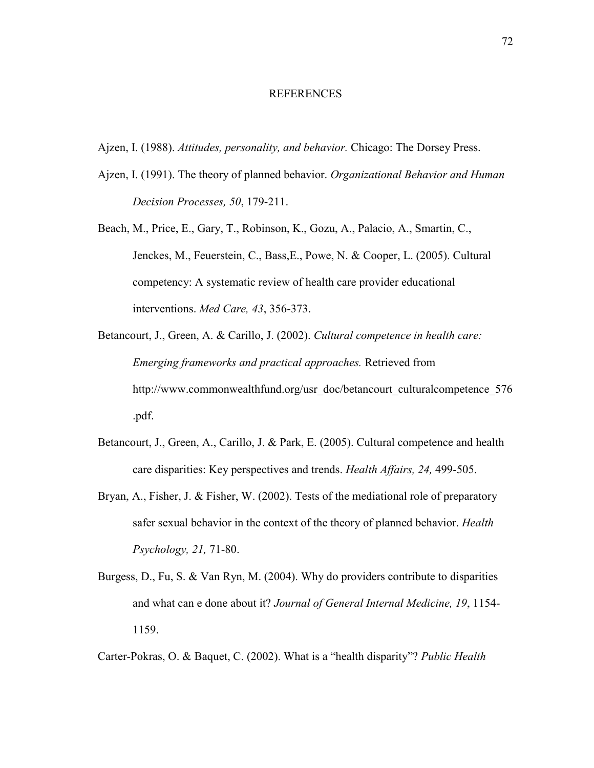#### REFERENCES

- Ajzen, I. (1988). *Attitudes, personality, and behavior.* Chicago: The Dorsey Press.
- Ajzen, I. (1991). The theory of planned behavior. *Organizational Behavior and Human Decision Processes, 50*, 179-211.
- Beach, M., Price, E., Gary, T., Robinson, K., Gozu, A., Palacio, A., Smartin, C., Jenckes, M., Feuerstein, C., Bass,E., Powe, N. & Cooper, L. (2005). Cultural competency: A systematic review of health care provider educational interventions. *Med Care, 43*, 356-373.
- Betancourt, J., Green, A. & Carillo, J. (2002). *Cultural competence in health care: Emerging frameworks and practical approaches.* Retrieved from http://www.commonwealthfund.org/usr\_doc/betancourt\_culturalcompetence\_576 .pdf.
- Betancourt, J., Green, A., Carillo, J. & Park, E. (2005). Cultural competence and health care disparities: Key perspectives and trends. *Health Affairs, 24,* 499-505.
- Bryan, A., Fisher, J. & Fisher, W. (2002). Tests of the mediational role of preparatory safer sexual behavior in the context of the theory of planned behavior. *Health Psychology, 21,* 71-80.
- Burgess, D., Fu, S. & Van Ryn, M. (2004). Why do providers contribute to disparities and what can e done about it? *Journal of General Internal Medicine, 19*, 1154- 1159.

Carter-Pokras, O. & Baquet, C. (2002). What is a "health disparity"? *Public Health*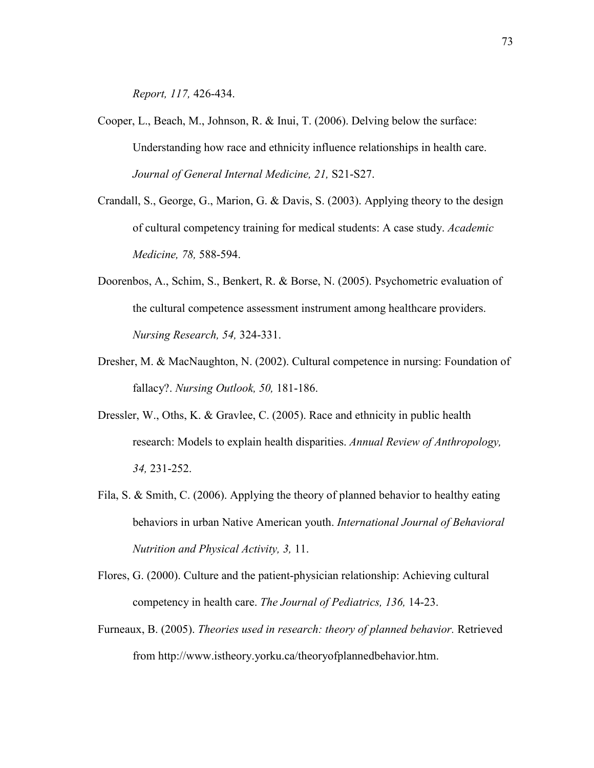*Report, 117,* 426-434.

- Cooper, L., Beach, M., Johnson, R. & Inui, T. (2006). Delving below the surface: Understanding how race and ethnicity influence relationships in health care. *Journal of General Internal Medicine, 21,* S21-S27.
- Crandall, S., George, G., Marion, G. & Davis, S. (2003). Applying theory to the design of cultural competency training for medical students: A case study. *Academic Medicine, 78,* 588-594.
- Doorenbos, A., Schim, S., Benkert, R. & Borse, N. (2005). Psychometric evaluation of the cultural competence assessment instrument among healthcare providers. *Nursing Research, 54,* 324-331.
- Dresher, M. & MacNaughton, N. (2002). Cultural competence in nursing: Foundation of fallacy?. *Nursing Outlook, 50,* 181-186.
- Dressler, W., Oths, K. & Gravlee, C. (2005). Race and ethnicity in public health research: Models to explain health disparities. *Annual Review of Anthropology, 34,* 231-252.
- Fila, S. & Smith, C. (2006). Applying the theory of planned behavior to healthy eating behaviors in urban Native American youth. *International Journal of Behavioral Nutrition and Physical Activity, 3,* 11.
- Flores, G. (2000). Culture and the patient-physician relationship: Achieving cultural competency in health care. *The Journal of Pediatrics, 136,* 14-23.
- Furneaux, B. (2005). *Theories used in research: theory of planned behavior.* Retrieved from http://www.istheory.yorku.ca/theoryofplannedbehavior.htm.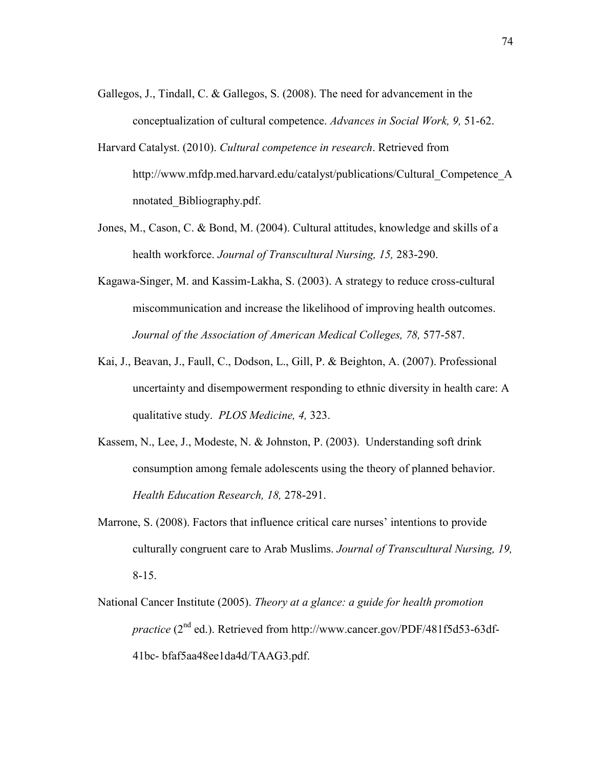- Gallegos, J., Tindall, C. & Gallegos, S. (2008). The need for advancement in the conceptualization of cultural competence. *Advances in Social Work, 9,* 51-62.
- Harvard Catalyst. (2010). *Cultural competence in research*. Retrieved from http://www.mfdp.med.harvard.edu/catalyst/publications/Cultural\_Competence\_A nnotated\_Bibliography.pdf.
- Jones, M., Cason, C. & Bond, M. (2004). Cultural attitudes, knowledge and skills of a health workforce. *Journal of Transcultural Nursing, 15,* 283-290.
- Kagawa-Singer, M. and Kassim-Lakha, S. (2003). A strategy to reduce cross-cultural miscommunication and increase the likelihood of improving health outcomes. *Journal of the Association of American Medical Colleges, 78,* 577-587.
- Kai, J., Beavan, J., Faull, C., Dodson, L., Gill, P. & Beighton, A. (2007). Professional uncertainty and disempowerment responding to ethnic diversity in health care: A qualitative study. *PLOS Medicine, 4,* 323.
- Kassem, N., Lee, J., Modeste, N. & Johnston, P. (2003). Understanding soft drink consumption among female adolescents using the theory of planned behavior. *Health Education Research, 18,* 278-291.
- Marrone, S. (2008). Factors that influence critical care nurses' intentions to provide culturally congruent care to Arab Muslims. *Journal of Transcultural Nursing, 19,*  8-15.
- National Cancer Institute (2005). *Theory at a glance: a guide for health promotion practice* (2<sup>nd</sup> ed.). Retrieved from http://www.cancer.gov/PDF/481f5d53-63df-41bc- bfaf5aa48ee1da4d/TAAG3.pdf.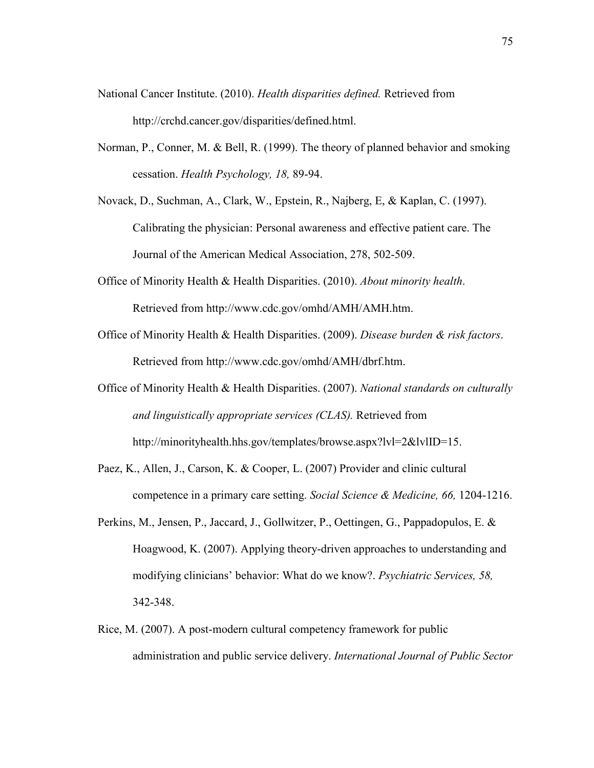- National Cancer Institute. (2010). *Health disparities defined.* Retrieved from http://crchd.cancer.gov/disparities/defined.html.
- Norman, P., Conner, M. & Bell, R. (1999). The theory of planned behavior and smoking cessation. *Health Psychology, 18,* 89-94.

Novack, D., Suchman, A., Clark, W., Epstein, R., Najberg, E, & Kaplan, C. (1997). Calibrating the physician: Personal awareness and effective patient care. The Journal of the American Medical Association, 278, 502-509.

- Office of Minority Health & Health Disparities. (2010). *About minority health*. Retrieved from http://www.cdc.gov/omhd/AMH/AMH.htm.
- Office of Minority Health & Health Disparities. (2009). *Disease burden & risk factors*. Retrieved from http://www.cdc.gov/omhd/AMH/dbrf.htm.
- Office of Minority Health & Health Disparities. (2007). *National standards on culturally and linguistically appropriate services (CLAS).* Retrieved from http://minorityhealth.hhs.gov/templates/browse.aspx?lvl=2&lvlID=15.
- Paez, K., Allen, J., Carson, K. & Cooper, L. (2007) Provider and clinic cultural competence in a primary care setting. *Social Science & Medicine, 66,* 1204-1216.
- Perkins, M., Jensen, P., Jaccard, J., Gollwitzer, P., Oettingen, G., Pappadopulos, E. & Hoagwood, K. (2007). Applying theory-driven approaches to understanding and modifying clinicians' behavior: What do we know?. *Psychiatric Services, 58,*  342-348.
- Rice, M. (2007). A post-modern cultural competency framework for public administration and public service delivery. *International Journal of Public Sector*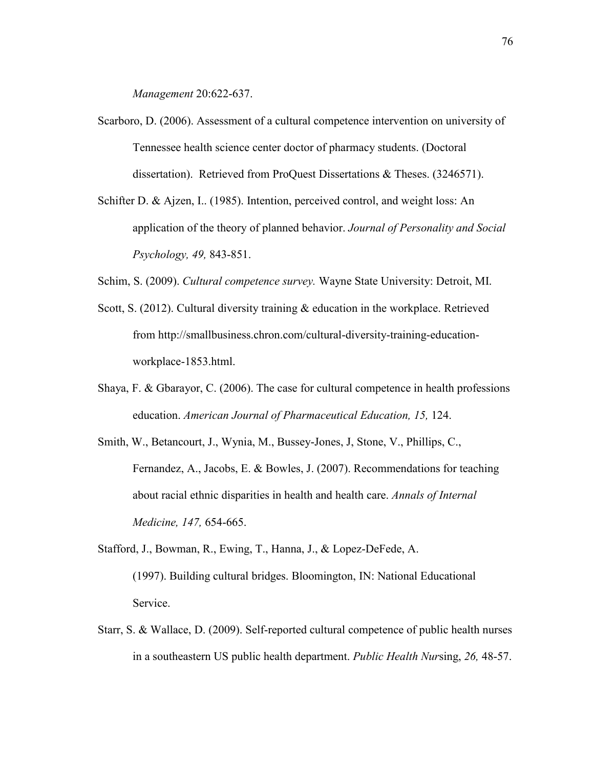*Management* 20:622-637.

- Scarboro, D. (2006). Assessment of a cultural competence intervention on university of Tennessee health science center doctor of pharmacy students. (Doctoral dissertation). Retrieved from ProQuest Dissertations & Theses. (3246571).
- Schifter D. & Ajzen, I.. (1985). Intention, perceived control, and weight loss: An application of the theory of planned behavior. *Journal of Personality and Social Psychology, 49,* 843-851.

Schim, S. (2009). *Cultural competence survey.* Wayne State University: Detroit, MI.

- Scott, S. (2012). Cultural diversity training & education in the workplace. Retrieved from http://smallbusiness.chron.com/cultural-diversity-training-educationworkplace-1853.html.
- Shaya, F. & Gbarayor, C. (2006). The case for cultural competence in health professions education. *American Journal of Pharmaceutical Education, 15,* 124.
- Smith, W., Betancourt, J., Wynia, M., Bussey-Jones, J, Stone, V., Phillips, C., Fernandez, A., Jacobs, E. & Bowles, J. (2007). Recommendations for teaching about racial ethnic disparities in health and health care. *Annals of Internal Medicine, 147,* 654-665.
- Stafford, J., Bowman, R., Ewing, T., Hanna, J., & Lopez-DeFede, A. (1997). Building cultural bridges. Bloomington, IN: National Educational Service.
- Starr, S. & Wallace, D. (2009). Self-reported cultural competence of public health nurses in a southeastern US public health department. *Public Health Nur*sing, *26,* 48-57.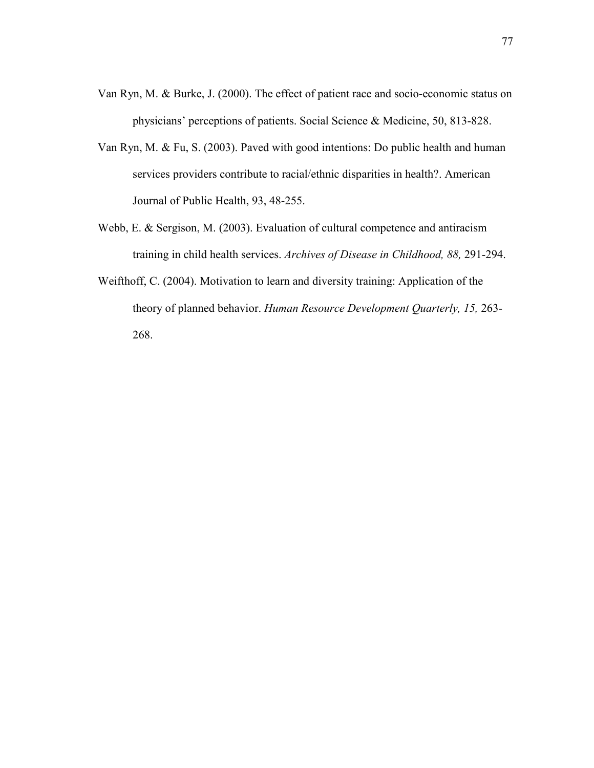- Van Ryn, M. & Burke, J. (2000). The effect of patient race and socio-economic status on physicians' perceptions of patients. Social Science & Medicine, 50, 813-828.
- Van Ryn, M. & Fu, S. (2003). Paved with good intentions: Do public health and human services providers contribute to racial/ethnic disparities in health?. American Journal of Public Health, 93, 48-255.
- Webb, E. & Sergison, M. (2003). Evaluation of cultural competence and antiracism training in child health services. *Archives of Disease in Childhood, 88,* 291-294.
- Weifthoff, C. (2004). Motivation to learn and diversity training: Application of the theory of planned behavior. *Human Resource Development Quarterly, 15,* 263- 268.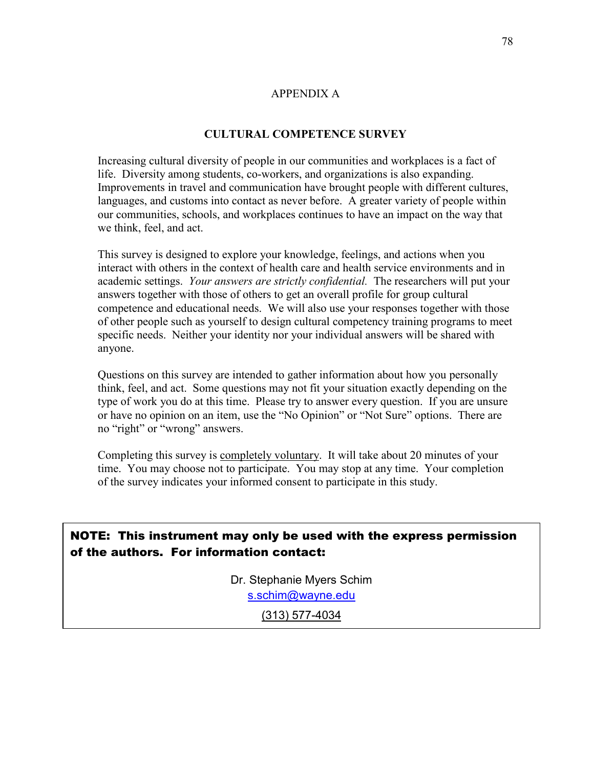## APPENDIX A

# **CULTURAL COMPETENCE SURVEY**

Increasing cultural diversity of people in our communities and workplaces is a fact of life. Diversity among students, co-workers, and organizations is also expanding. Improvements in travel and communication have brought people with different cultures, languages, and customs into contact as never before. A greater variety of people within our communities, schools, and workplaces continues to have an impact on the way that we think, feel, and act.

This survey is designed to explore your knowledge, feelings, and actions when you interact with others in the context of health care and health service environments and in academic settings. *Your answers are strictly confidential.* The researchers will put your answers together with those of others to get an overall profile for group cultural competence and educational needs. We will also use your responses together with those of other people such as yourself to design cultural competency training programs to meet specific needs. Neither your identity nor your individual answers will be shared with anyone.

Questions on this survey are intended to gather information about how you personally think, feel, and act. Some questions may not fit your situation exactly depending on the type of work you do at this time. Please try to answer every question. If you are unsure or have no opinion on an item, use the "No Opinion" or "Not Sure" options. There are no "right" or "wrong" answers.

Completing this survey is completely voluntary. It will take about 20 minutes of your time. You may choose not to participate. You may stop at any time. Your completion of the survey indicates your informed consent to participate in this study.

NOTE: This instrument may only be used with the express permission of the authors. For information contact:

> Dr. Stephanie Myers Schim [s.schim@wayne.edu](mailto:s.schim@wayne.edu)

> > (313) 577-4034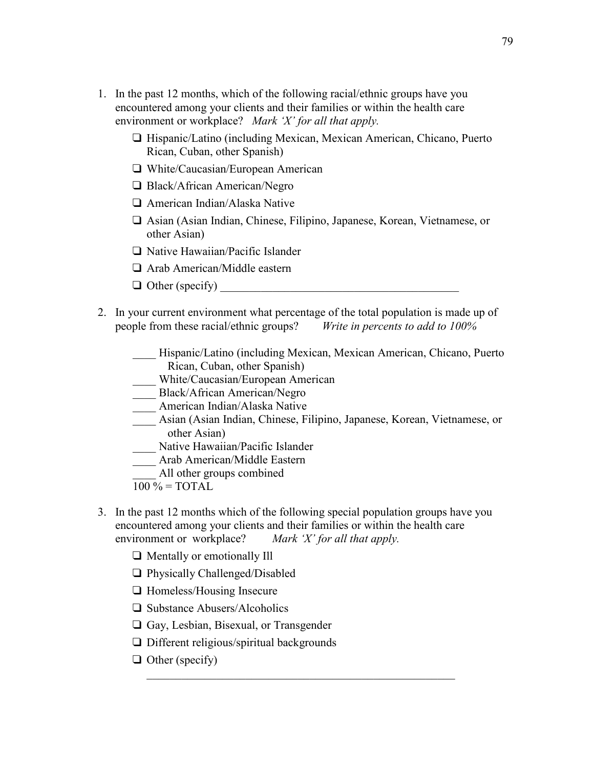- 1. In the past 12 months, which of the following racial/ethnic groups have you encountered among your clients and their families or within the health care environment or workplace? *Mark 'X' for all that apply.* 
	- $\Box$  Hispanic/Latino (including Mexican, Mexican American, Chicano, Puerto Rican, Cuban, other Spanish)
	- □ White/Caucasian/European American
	- □ Black/African American/Negro
	- American Indian/Alaska Native
	- Asian (Asian Indian, Chinese, Filipino, Japanese, Korean, Vietnamese, or other Asian)
	- $\Box$  Native Hawaiian/Pacific Islander
	- □ Arab American/Middle eastern
	- $\Box$  Other (specify)
- 2. In your current environment what percentage of the total population is made up of people from these racial/ethnic groups? *Write in percents to add to 100%*
	- \_\_\_\_ Hispanic/Latino (including Mexican, Mexican American, Chicano, Puerto Rican, Cuban, other Spanish)
		- \_\_\_\_ White/Caucasian/European American
	- \_\_\_\_ Black/African American/Negro
	- \_\_\_\_ American Indian/Alaska Native
	- \_\_\_\_ Asian (Asian Indian, Chinese, Filipino, Japanese, Korean, Vietnamese, or other Asian)
	- Native Hawaiian/Pacific Islander
	- \_\_\_\_ Arab American/Middle Eastern
	- All other groups combined
	- $100 \% = TOTAL$
- 3. In the past 12 months which of the following special population groups have you encountered among your clients and their families or within the health care environment or workplace? *Mark 'X' for all that apply.*

\_\_\_\_\_\_\_\_\_\_\_\_\_\_\_\_\_\_\_\_\_\_\_\_\_\_\_\_\_\_\_\_\_\_\_\_\_\_\_\_\_\_\_\_\_\_\_\_\_\_\_\_\_

- Mentally or emotionally Ill
- □ Physically Challenged/Disabled
- $\Box$  Homeless/Housing Insecure
- □ Substance Abusers/Alcoholics
- Gay, Lesbian, Bisexual, or Transgender
- $\Box$  Different religious/spiritual backgrounds
- $\Box$  Other (specify)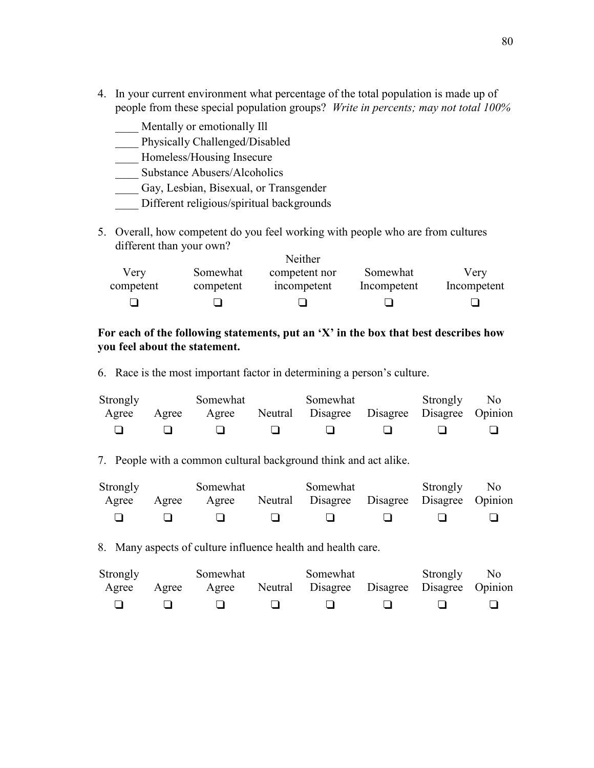- 4. In your current environment what percentage of the total population is made up of people from these special population groups? *Write in percents; may not total 100%*
	- Mentally or emotionally Ill
	- \_\_\_\_ Physically Challenged/Disabled
	- \_\_\_\_ Homeless/Housing Insecure
	- \_\_\_\_ Substance Abusers/Alcoholics
	- \_\_\_\_ Gay, Lesbian, Bisexual, or Transgender
	- Different religious/spiritual backgrounds
- 5. Overall, how competent do you feel working with people who are from cultures different than your own? Neither

|           |           | Neither       |             |             |
|-----------|-----------|---------------|-------------|-------------|
| Very      | Somewhat  | competent nor | Somewhat    | Very        |
| competent | competent | incompetent   | Incompetent | Incompetent |
|           |           |               |             |             |

# **For each of the following statements, put an 'X' in the box that best describes how you feel about the statement.**

6. Race is the most important factor in determining a person's culture.

| <b>Strongly</b> |       | Somewhat | Somewhat                                   | Strongly No |  |
|-----------------|-------|----------|--------------------------------------------|-------------|--|
| Agree           | Agree | Agree    | Neutral Disagree Disagree Disagree Opinion |             |  |
|                 |       |          |                                            |             |  |

7. People with a common cultural background think and act alike.

| Strongly |       | Somewhat | Somewhat                                         | Strongly No |  |
|----------|-------|----------|--------------------------------------------------|-------------|--|
| Agree    | Agree |          | Agree Neutral Disagree Disagree Disagree Opinion |             |  |
|          |       |          |                                                  |             |  |

8. Many aspects of culture influence health and health care.

| Strongly |       | Somewhat | Somewhat                                   | Strongly No |  |
|----------|-------|----------|--------------------------------------------|-------------|--|
| Agree    | Agree | Agree    | Neutral Disagree Disagree Disagree Opinion |             |  |
|          |       |          |                                            |             |  |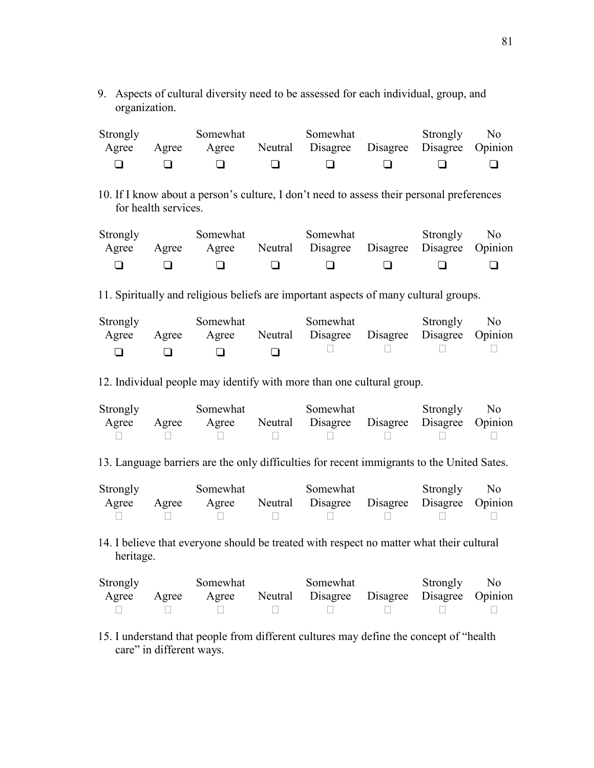9. Aspects of cultural diversity need to be assessed for each individual, group, and organization.

| Strongly |       | Somewhat | Somewhat                                         | Strongly No |  |
|----------|-------|----------|--------------------------------------------------|-------------|--|
| Agree    | Agree |          | Agree Neutral Disagree Disagree Disagree Opinion |             |  |
|          |       |          |                                                  |             |  |

10. If I know about a person's culture, I don't need to assess their personal preferences for health services.

| Strongly |       | Somewhat | Somewhat                                         | Strongly No |  |
|----------|-------|----------|--------------------------------------------------|-------------|--|
| Agree    | Agree |          | Agree Neutral Disagree Disagree Disagree Opinion |             |  |
|          |       |          |                                                  |             |  |

11. Spiritually and religious beliefs are important aspects of many cultural groups.

| Strongly |       | Somewhat | Somewhat                                         | Strongly No |  |
|----------|-------|----------|--------------------------------------------------|-------------|--|
| Agree    | Agree |          | Agree Neutral Disagree Disagree Disagree Opinion |             |  |
|          |       |          |                                                  |             |  |

12. Individual people may identify with more than one cultural group.

| Strongly |       | Somewhat | Somewhat                                   | Strongly No |  |
|----------|-------|----------|--------------------------------------------|-------------|--|
| Agree    | Agree | Agree    | Neutral Disagree Disagree Disagree Opinion |             |  |
|          |       |          |                                            |             |  |

13. Language barriers are the only difficulties for recent immigrants to the United Sates.

| Strongly |       | Somewhat | Somewhat                                   | Strongly No |  |
|----------|-------|----------|--------------------------------------------|-------------|--|
| Agree    | Agree | Agree    | Neutral Disagree Disagree Disagree Opinion |             |  |
|          |       |          |                                            |             |  |

14. I believe that everyone should be treated with respect no matter what their cultural heritage.

| Strongly |       | Somewhat | Somewhat                                   | Strongly No |  |
|----------|-------|----------|--------------------------------------------|-------------|--|
| Agree    | Agree | Agree    | Neutral Disagree Disagree Disagree Opinion |             |  |
|          |       |          |                                            |             |  |

15. I understand that people from different cultures may define the concept of "health care" in different ways.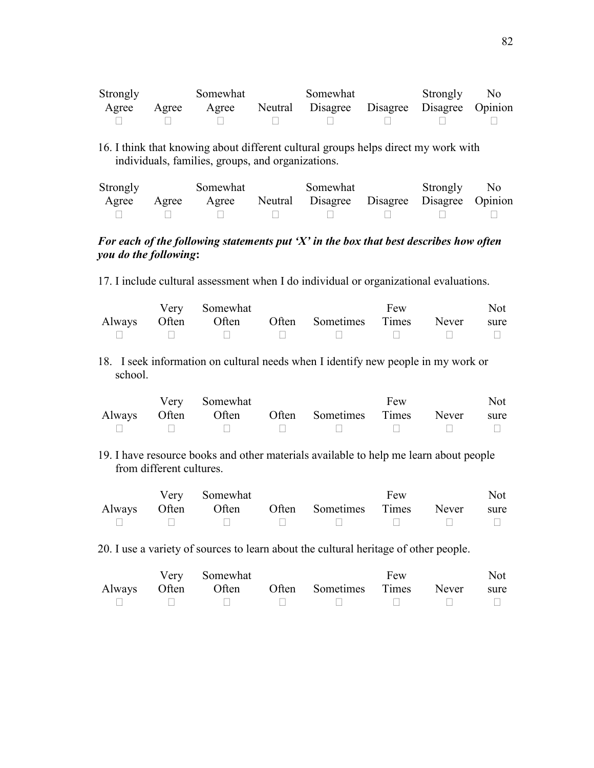| Strongly |       | Somewhat | Somewhat                                   | Strongly No |  |
|----------|-------|----------|--------------------------------------------|-------------|--|
| Agree    | Agree | Agree    | Neutral Disagree Disagree Disagree Opinion |             |  |
|          |       |          |                                            |             |  |

16. I think that knowing about different cultural groups helps direct my work with individuals, families, groups, and organizations.

| Strongly |       | Somewhat | Somewhat                                   | Strongly No |  |
|----------|-------|----------|--------------------------------------------|-------------|--|
| Agree    | Agree | Agree    | Neutral Disagree Disagree Disagree Opinion |             |  |
|          |       |          |                                            |             |  |

# *For each of the following statements put 'X' in the box that best describes how often you do the following***:**

17. I include cultural assessment when I do individual or organizational evaluations.

|  | Very Somewhat |                                                     | Few | Not |
|--|---------------|-----------------------------------------------------|-----|-----|
|  |               | Always Often Often Often Sometimes Times Never sure |     |     |
|  |               | UUNI UUNI UUNI UU                                   |     |     |

18. I seek information on cultural needs when I identify new people in my work or school.

|  | Very Somewhat |                                                     | Few |                                                | Not |
|--|---------------|-----------------------------------------------------|-----|------------------------------------------------|-----|
|  |               | Always Often Often Often Sometimes Times Never sure |     |                                                |     |
|  |               |                                                     |     | $\mathbf{H}$ and $\mathbf{H}$ and $\mathbf{H}$ |     |

19. I have resource books and other materials available to help me learn about people from different cultures.

|  | Very Somewhat |                                                                                                                                                                                                                                | Few | Not |
|--|---------------|--------------------------------------------------------------------------------------------------------------------------------------------------------------------------------------------------------------------------------|-----|-----|
|  |               | Always Often Often Often Sometimes Times Never sure                                                                                                                                                                            |     |     |
|  |               | and the contract of the contract of the contract of the contract of the contract of the contract of the contract of the contract of the contract of the contract of the contract of the contract of the contract of the contra |     |     |

20. I use a variety of sources to learn about the cultural heritage of other people.

|  | Very Somewhat |                                                                                                                              | Few | Not |
|--|---------------|------------------------------------------------------------------------------------------------------------------------------|-----|-----|
|  |               | Always Often Often Often Sometimes Times Never sure                                                                          |     |     |
|  |               | $\mathbf{U}$ is the contract of the contract of $\mathbf{U}$ is the contract of $\mathbf{U}$ is the contract of $\mathbf{U}$ |     |     |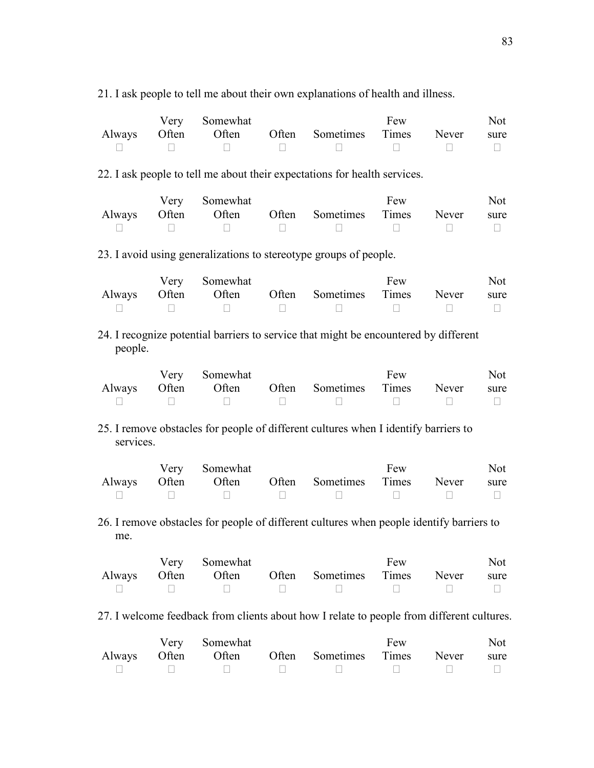| 21. I ask people to tell me about their own explanations of health and illness. |  |
|---------------------------------------------------------------------------------|--|
|---------------------------------------------------------------------------------|--|

|  | Very Somewhat |                                                                                                                                                                                                                                | Few | Not |
|--|---------------|--------------------------------------------------------------------------------------------------------------------------------------------------------------------------------------------------------------------------------|-----|-----|
|  |               | Always Often Often Often Sometimes Times Never sure                                                                                                                                                                            |     |     |
|  |               | and the contract of the contract of the contract of the contract of the contract of the contract of the contract of the contract of the contract of the contract of the contract of the contract of the contract of the contra |     |     |

22. I ask people to tell me about their expectations for health services.

|  | Very Somewhat |                                                     | Few | Not |
|--|---------------|-----------------------------------------------------|-----|-----|
|  |               | Always Often Often Often Sometimes Times Never sure |     |     |
|  |               | UUNI UUNI UUNI UUNI                                 |     |     |

23. I avoid using generalizations to stereotype groups of people.

|  | Very Somewhat |                                                                                            | Few | Not |
|--|---------------|--------------------------------------------------------------------------------------------|-----|-----|
|  |               | Always Often Often Often Sometimes Times Never sure                                        |     |     |
|  |               | $\mathbf{U}$ $\mathbf{U}$ $\mathbf{U}$ $\mathbf{U}$ $\mathbf{U}$ $\mathbf{U}$ $\mathbf{U}$ |     |     |

24. I recognize potential barriers to service that might be encountered by different people.

|  | Very Somewhat |                                                                                                                | Few | Not |
|--|---------------|----------------------------------------------------------------------------------------------------------------|-----|-----|
|  |               | Always Often Often Often Sometimes Times Never sure                                                            |     |     |
|  |               | and the contract of the contract of the contract of the contract of the contract of the contract of the contra |     |     |

25. I remove obstacles for people of different cultures when I identify barriers to services.

|  | Very Somewhat |                                                     | Few | Not |
|--|---------------|-----------------------------------------------------|-----|-----|
|  |               | Always Often Often Often Sometimes Times Never sure |     |     |
|  |               | $\cup$ $\cup$ $\cup$ $\cup$ $\cup$ $\cup$ $\cup$    |     |     |

26. I remove obstacles for people of different cultures when people identify barriers to me.

|  | Very Somewhat |                                                     | Few | Not |
|--|---------------|-----------------------------------------------------|-----|-----|
|  |               | Always Often Often Often Sometimes Times Never sure |     |     |
|  |               |                                                     |     |     |

27. I welcome feedback from clients about how I relate to people from different cultures.

|  | Very Somewhat |                                                                 | Few | Not |
|--|---------------|-----------------------------------------------------------------|-----|-----|
|  |               | Always Often Often Often Sometimes Times Never sure             |     |     |
|  |               | $\mathbf{U}$ and $\mathbf{U}$ and $\mathbf{U}$ and $\mathbf{U}$ |     |     |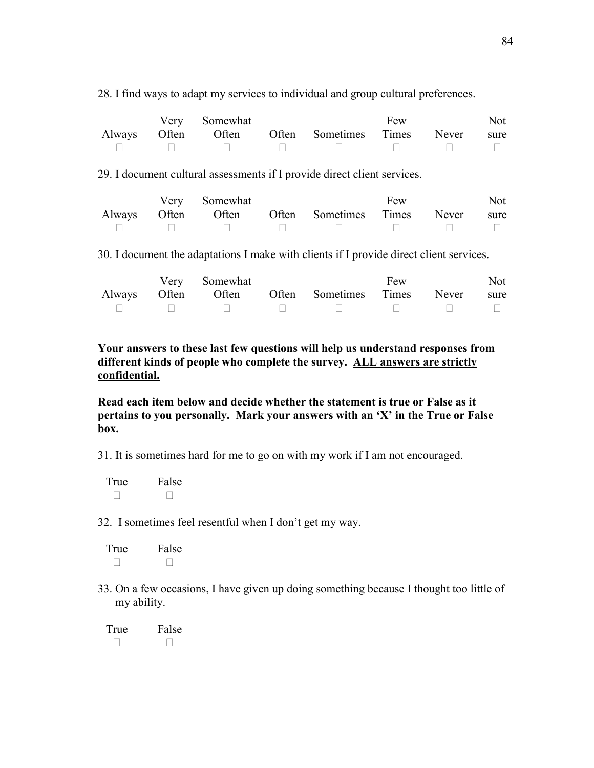28. I find ways to adapt my services to individual and group cultural preferences.

|  | Very Somewhat |                                                     | Few | Not |
|--|---------------|-----------------------------------------------------|-----|-----|
|  |               | Always Often Often Often Sometimes Times Never sure |     |     |
|  |               | UUNI UUNI UUNI UUNI                                 |     |     |

29. I document cultural assessments if I provide direct client services.

|  | Very Somewhat |                                                                                                              | Few | Not |
|--|---------------|--------------------------------------------------------------------------------------------------------------|-----|-----|
|  |               | Always Often Often Often Sometimes Times Never sure                                                          |     |     |
|  |               | $\mathbf{U}$ is $\mathbf{U}$ if $\mathbf{U}$ is $\mathbf{U}$ if $\mathbf{U}$ if $\mathbf{U}$ if $\mathbf{U}$ |     |     |

30. I document the adaptations I make with clients if I provide direct client services.

|  | Very Somewhat |                                                                            | Few | Not |
|--|---------------|----------------------------------------------------------------------------|-----|-----|
|  |               | Always Often Often Often Sometimes Times Never sure                        |     |     |
|  |               | $\mathbf{U}$ and $\mathbf{U}$ are the set of $\mathbf{U}$ and $\mathbf{U}$ |     |     |

**Your answers to these last few questions will help us understand responses from different kinds of people who complete the survey. ALL answers are strictly confidential.**

**Read each item below and decide whether the statement is true or False as it pertains to you personally. Mark your answers with an 'X' in the True or False box.** 

31. It is sometimes hard for me to go on with my work if I am not encouraged.

True False U U

32. I sometimes feel resentful when I don't get my way.

| True | False |
|------|-------|
| U    | U     |

33. On a few occasions, I have given up doing something because I thought too little of my ability.

True False<br>U U  $\cup$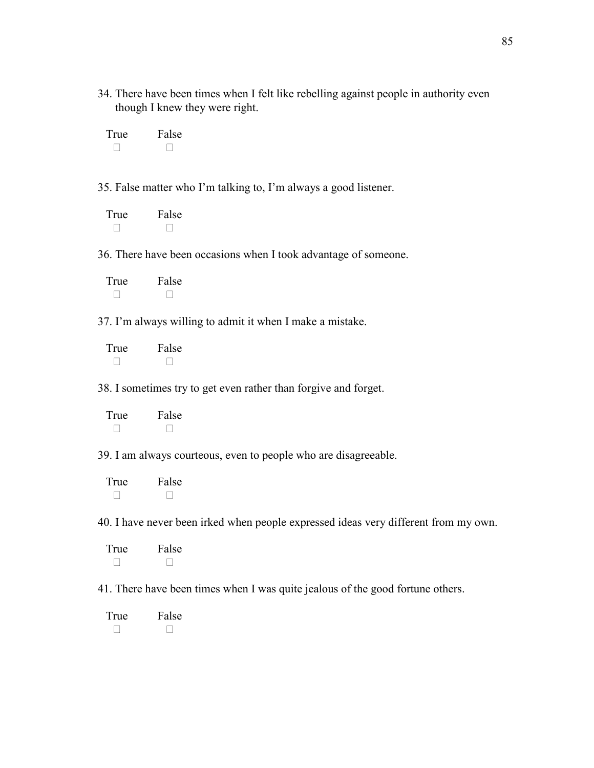34. There have been times when I felt like rebelling against people in authority even though I knew they were right.

| True | False |
|------|-------|
| U    | U     |

35. False matter who I'm talking to, I'm always a good listener.

| True | False |
|------|-------|
| U    | U     |

36. There have been occasions when I took advantage of someone.

| True | False |
|------|-------|
| U    | U     |

37. I'm always willing to admit it when I make a mistake.

| True | False |
|------|-------|
| U    | U     |

38. I sometimes try to get even rather than forgive and forget.

| True | False |
|------|-------|
| U    | U     |

39. I am always courteous, even to people who are disagreeable.

| True | False |
|------|-------|
| U    | U     |

40. I have never been irked when people expressed ideas very different from my own.

| True | False |
|------|-------|
| U    | U     |

41. There have been times when I was quite jealous of the good fortune others.

| True | False |
|------|-------|
| U    | U     |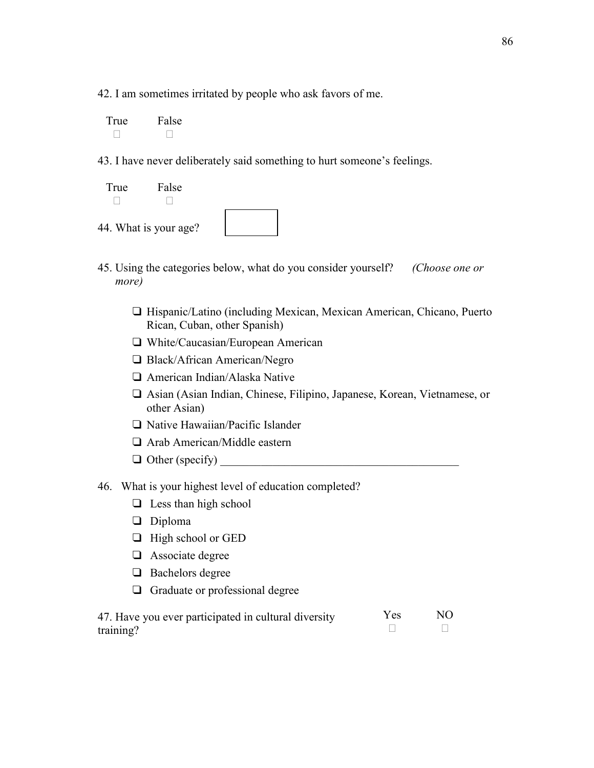42. I am sometimes irritated by people who ask favors of me.

True False U U

43. I have never deliberately said something to hurt someone's feelings.

| True                  | False |  |
|-----------------------|-------|--|
| 44. What is your age? |       |  |

- 45. Using the categories below, what do you consider yourself? *(Choose one or more)*
	- □ Hispanic/Latino (including Mexican, Mexican American, Chicano, Puerto Rican, Cuban, other Spanish)
	- White/Caucasian/European American
	- □ Black/African American/Negro
	- American Indian/Alaska Native
	- Asian (Asian Indian, Chinese, Filipino, Japanese, Korean, Vietnamese, or other Asian)
	- $\Box$  Native Hawaiian/Pacific Islander
	- Arab American/Middle eastern
	- $\Box$  Other (specify)
- 46. What is your highest level of education completed?
	- $\Box$  Less than high school
	- Diploma
	- $\Box$  High school or GED
	- **a** Associate degree
	- $\Box$  Bachelors degree
	- Graduate or professional degree

| 47. Have you ever participated in cultural diversity | Y es | NO. |
|------------------------------------------------------|------|-----|
| training?                                            |      |     |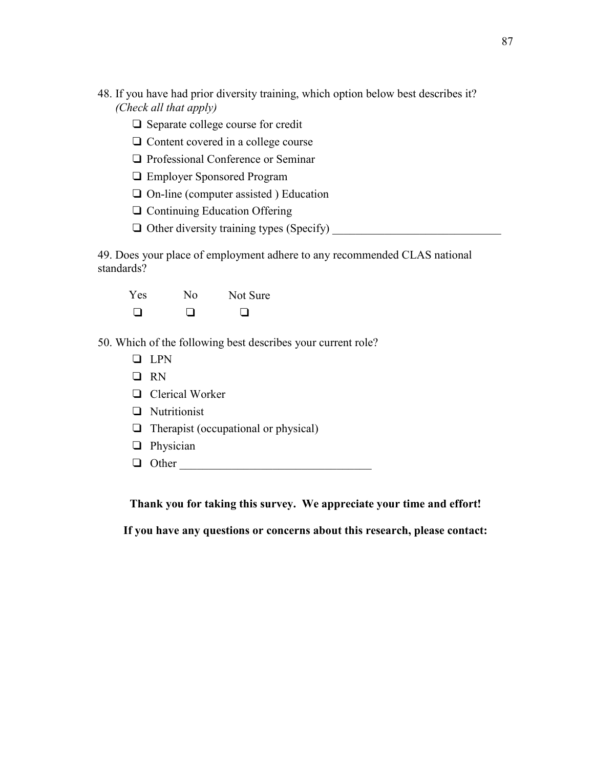- 48. If you have had prior diversity training, which option below best describes it? *(Check all that apply)* 
	- $\Box$  Separate college course for credit
	- $\Box$  Content covered in a college course
	- □ Professional Conference or Seminar
	- Employer Sponsored Program
	- $\Box$  On-line (computer assisted ) Education
	- $\Box$  Continuing Education Offering
	- $\Box$  Other diversity training types (Specify)

49. Does your place of employment adhere to any recommended CLAS national standards?

| Yes    | Nο | Not Sure |
|--------|----|----------|
| $\Box$ | □  | ∩        |

- 50. Which of the following best describes your current role?
	- **Q** LPN
	- **D**RN
	- **Q** Clerical Worker
	- **Q** Nutritionist
	- $\Box$  Therapist (occupational or physical)
	- **D** Physician
	- Other \_\_\_\_\_\_\_\_\_\_\_\_\_\_\_\_\_\_\_\_\_\_\_\_\_\_\_\_\_\_\_\_\_

**Thank you for taking this survey. We appreciate your time and effort!** 

**If you have any questions or concerns about this research, please contact:**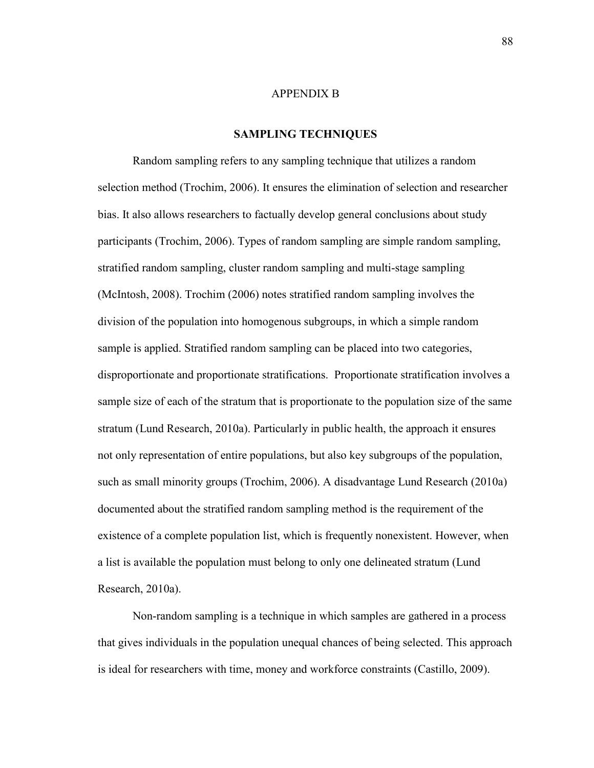#### APPENDIX B

### **SAMPLING TECHNIQUES**

Random sampling refers to any sampling technique that utilizes a random selection method (Trochim, 2006). It ensures the elimination of selection and researcher bias. It also allows researchers to factually develop general conclusions about study participants (Trochim, 2006). Types of random sampling are simple random sampling, stratified random sampling, cluster random sampling and multi-stage sampling (McIntosh, 2008). Trochim (2006) notes stratified random sampling involves the division of the population into homogenous subgroups, in which a simple random sample is applied. Stratified random sampling can be placed into two categories, disproportionate and proportionate stratifications. Proportionate stratification involves a sample size of each of the stratum that is proportionate to the population size of the same stratum (Lund Research, 2010a). Particularly in public health, the approach it ensures not only representation of entire populations, but also key subgroups of the population, such as small minority groups (Trochim, 2006). A disadvantage Lund Research (2010a) documented about the stratified random sampling method is the requirement of the existence of a complete population list, which is frequently nonexistent. However, when a list is available the population must belong to only one delineated stratum (Lund Research, 2010a).

Non-random sampling is a technique in which samples are gathered in a process that gives individuals in the population unequal chances of being selected. This approach is ideal for researchers with time, money and workforce constraints (Castillo, 2009).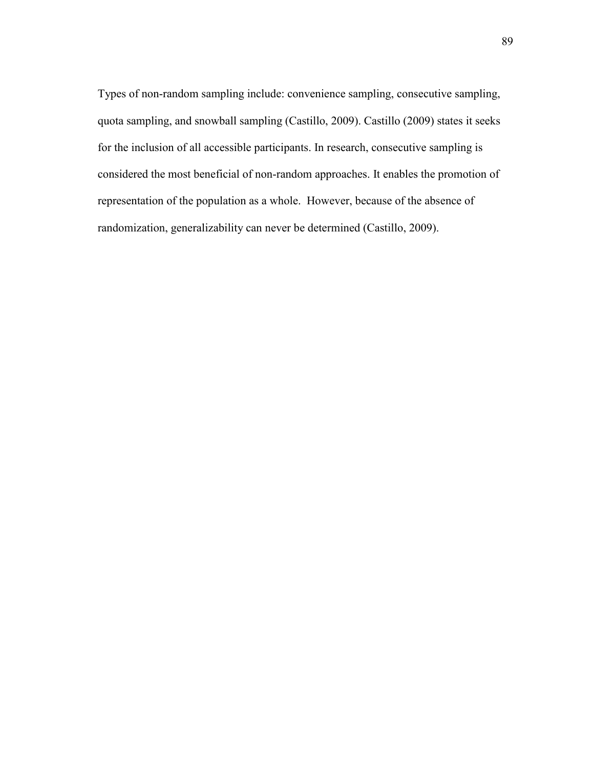Types of non-random sampling include: convenience sampling, consecutive sampling, quota sampling, and snowball sampling (Castillo, 2009). Castillo (2009) states it seeks for the inclusion of all accessible participants. In research, consecutive sampling is considered the most beneficial of non-random approaches. It enables the promotion of representation of the population as a whole. However, because of the absence of randomization, generalizability can never be determined (Castillo, 2009).